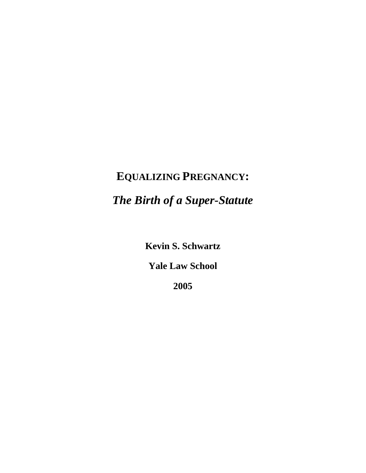# **EQUALIZING PREGNANCY:**

# *The Birth of a Super-Statute*

**Kevin S. Schwartz** 

**Yale Law School** 

**2005**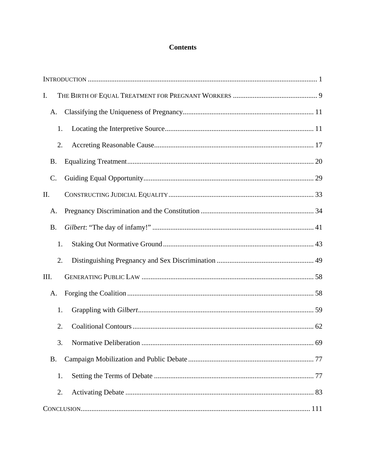## **Contents**

| $\mathbf{I}$ . |
|----------------|
| A.             |
| 1.             |
| 2.             |
| <b>B.</b>      |
| C.             |
| II.            |
| А.             |
| <b>B.</b>      |
| 1.             |
| 2.             |
| III.           |
| А.             |
| 1.             |
| 2.             |
| .69<br>3.      |
| <b>B.</b>      |
| 1.             |
| 2.             |
|                |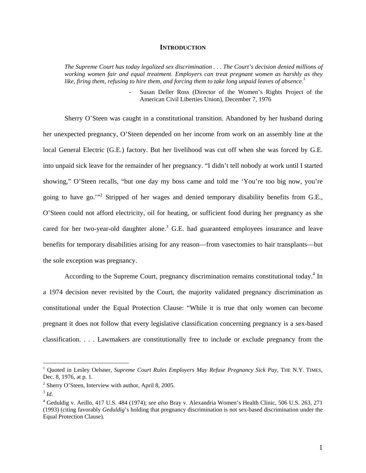#### **INTRODUCTION**

*The Supreme Court has today legalized sex discrimination . . . The Court's decision denied millions of working women fair and equal treatment. Employers can treat pregnant women as harshly as they like, firing them, refusing to hire them, and forcing them to take long unpaid leaves of absence.1*

> Susan Deller Ross (Director of the Women's Rights Project of the American Civil Liberties Union), December 7, 1976

Sherry O'Steen was caught in a constitutional transition. Abandoned by her husband during her unexpected pregnancy, O'Steen depended on her income from work on an assembly line at the local General Electric (G.E.) factory. But her livelihood was cut off when she was forced by G.E. into unpaid sick leave for the remainder of her pregnancy. "I didn't tell nobody at work until I started showing," O'Steen recalls, "but one day my boss came and told me 'You're too big now, you're going to have go."<sup>2</sup> Stripped of her wages and denied temporary disability benefits from G.E., O'Steen could not afford electricity, oil for heating, or sufficient food during her pregnancy as she cared for her two-year-old daughter alone.<sup>3</sup> G.E. had guaranteed employees insurance and leave benefits for temporary disabilities arising for any reason—from vasectomies to hair transplants—but the sole exception was pregnancy.

According to the Supreme Court, pregnancy discrimination remains constitutional today.<sup>4</sup> In a 1974 decision never revisited by the Court, the majority validated pregnancy discrimination as constitutional under the Equal Protection Clause: "While it is true that only women can become pregnant it does not follow that every legislative classification concerning pregnancy is a sex-based classification. . . . Lawmakers are constitutionally free to include or exclude pregnancy from the

<sup>&</sup>lt;sup>1</sup> Quoted in Lesley Oelsner, *Supreme Court Rules Employers May Refuse Pregnancy Sick Pay*, THE N.Y. TIMES, Dec. 8, 1976, at p. 1.

<sup>&</sup>lt;sup>2</sup> Sherry O'Steen, Interview with author, April 8, 2005.<sup>3</sup> *Id.* 

<sup>4</sup> Geduldig v. Aeillo, 417 U.S. 484 (1974); *see also* Bray v. Alexandria Women's Health Clinic, 506 U.S. 263, 271 (1993) (citing favorably *Geduldig*'s holding that pregnancy discrimination is not sex-based discrimination under the Equal Protection Clause).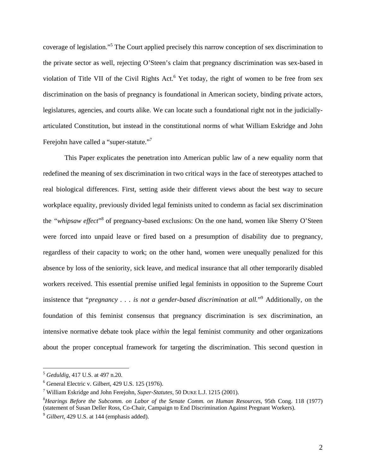coverage of legislation."5 The Court applied precisely this narrow conception of sex discrimination to the private sector as well, rejecting O'Steen's claim that pregnancy discrimination was sex-based in violation of Title VII of the Civil Rights Act.<sup>6</sup> Yet today, the right of women to be free from sex discrimination on the basis of pregnancy is foundational in American society, binding private actors, legislatures, agencies, and courts alike. We can locate such a foundational right not in the judiciallyarticulated Constitution, but instead in the constitutional norms of what William Eskridge and John Ferejohn have called a "super-statute."<sup>7</sup>

This Paper explicates the penetration into American public law of a new equality norm that redefined the meaning of sex discrimination in two critical ways in the face of stereotypes attached to real biological differences. First, setting aside their different views about the best way to secure workplace equality, previously divided legal feminists united to condemn as facial sex discrimination the "whipsaw effect"<sup>8</sup> of pregnancy-based exclusions: On the one hand, women like Sherry O'Steen were forced into unpaid leave or fired based on a presumption of disability due to pregnancy, regardless of their capacity to work; on the other hand, women were unequally penalized for this absence by loss of the seniority, sick leave, and medical insurance that all other temporarily disabled workers received. This essential premise unified legal feminists in opposition to the Supreme Court insistence that "*pregnancy . . . is not a gender-based discrimination at all.*"9 Additionally, on the foundation of this feminist consensus that pregnancy discrimination is sex discrimination, an intensive normative debate took place *within* the legal feminist community and other organizations about the proper conceptual framework for targeting the discrimination. This second question in

<sup>5</sup> *Geduldig*, 417 U.S. at 497 n.20.

<sup>6</sup> General Electric v. Gilbert, 429 U.S. 125 (1976).

<sup>&</sup>lt;sup>7</sup> William Eskridge and John Ferejohn, *Super-Statutes*, 50 DUKE L.J. 1215 (2001). <sup>8</sup> Heavings, *Patons, the Syphermy on Labor of the Senate Comm*, on Human *P* 

*Hearings Before the Subcomm. on Labor of the Senate Comm. on Human Resources*, 95th Cong. 118 (1977) (statement of Susan Deller Ross, Co-Chair, Campaign to End Discrimination Against Pregnant Workers).

<sup>9</sup> *Gilbert*, 429 U.S. at 144 (emphasis added).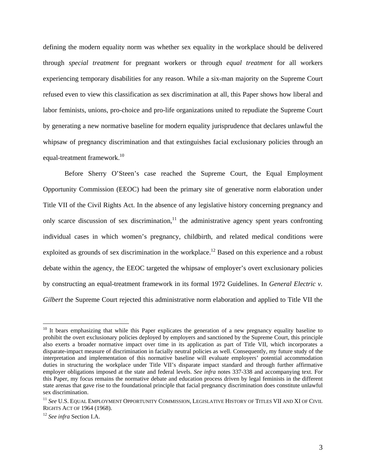defining the modern equality norm was whether sex equality in the workplace should be delivered through *special treatment* for pregnant workers or through *equal treatment* for all workers experiencing temporary disabilities for any reason. While a six-man majority on the Supreme Court refused even to view this classification as sex discrimination at all, this Paper shows how liberal and labor feminists, unions, pro-choice and pro-life organizations united to repudiate the Supreme Court by generating a new normative baseline for modern equality jurisprudence that declares unlawful the whipsaw of pregnancy discrimination and that extinguishes facial exclusionary policies through an equal-treatment framework.<sup>10</sup>

Before Sherry O'Steen's case reached the Supreme Court, the Equal Employment Opportunity Commission (EEOC) had been the primary site of generative norm elaboration under Title VII of the Civil Rights Act. In the absence of any legislative history concerning pregnancy and only scarce discussion of sex discrimination, $11$  the administrative agency spent years confronting individual cases in which women's pregnancy, childbirth, and related medical conditions were exploited as grounds of sex discrimination in the workplace.<sup>12</sup> Based on this experience and a robust debate within the agency, the EEOC targeted the whipsaw of employer's overt exclusionary policies by constructing an equal-treatment framework in its formal 1972 Guidelines. In *General Electric v. Gilbert* the Supreme Court rejected this administrative norm elaboration and applied to Title VII the

 $10$  It bears emphasizing that while this Paper explicates the generation of a new pregnancy equality baseline to prohibit the overt exclusionary policies deployed by employers and sanctioned by the Supreme Court, this principle also exerts a broader normative impact over time in its application as part of Title VII, which incorporates a disparate-impact measure of discrimination in facially neutral policies as well. Consequently, my future study of the interpretation and implementation of this normative baseline will evaluate employers' potential accommodation duties in structuring the workplace under Title VII's disparate impact standard and through further affirmative employer obligations imposed at the state and federal levels. *See infra* notes 337-338 and accompanying text. For this Paper, my focus remains the normative debate and education process driven by legal feminists in the different state arenas that gave rise to the foundational principle that facial pregnancy discrimination does constitute unlawful sex discrimination.

<sup>&</sup>lt;sup>11</sup> *See U.S. EQUAL EMPLOYMENT OPPORTUNITY COMMISSION, LEGISLATIVE HISTORY OF TITLES VII AND XI OF CIVIL*<br>RIGHTS ACT OF 1964 (1968).

<sup>&</sup>lt;sup>12</sup> See infra Section I.A.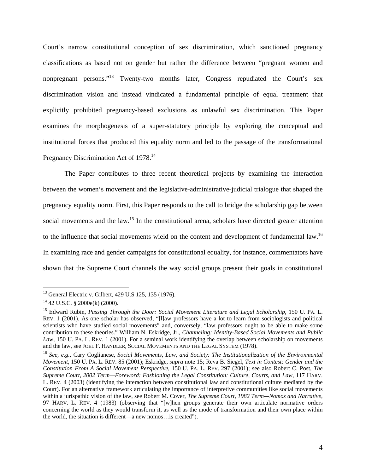Court's narrow constitutional conception of sex discrimination, which sanctioned pregnancy classifications as based not on gender but rather the difference between "pregnant women and nonpregnant persons."13 Twenty-two months later, Congress repudiated the Court's sex discrimination vision and instead vindicated a fundamental principle of equal treatment that explicitly prohibited pregnancy-based exclusions as unlawful sex discrimination. This Paper examines the morphogenesis of a super-statutory principle by exploring the conceptual and institutional forces that produced this equality norm and led to the passage of the transformational Pregnancy Discrimination Act of 1978.<sup>14</sup>

The Paper contributes to three recent theoretical projects by examining the interaction between the women's movement and the legislative-administrative-judicial trialogue that shaped the pregnancy equality norm. First, this Paper responds to the call to bridge the scholarship gap between social movements and the law.<sup>15</sup> In the constitutional arena, scholars have directed greater attention to the influence that social movements wield on the content and development of fundamental law.<sup>16</sup> In examining race and gender campaigns for constitutional equality, for instance, commentators have shown that the Supreme Court channels the way social groups present their goals in constitutional

<sup>13</sup> General Electric v. Gilbert, 429 U.S 125, 135 (1976).

 $14$  42 U.S.C. § 2000e(k) (2000).

<sup>15</sup> Edward Rubin, *Passing Through the Door: Social Movement Literature and Legal Scholarship*, 150 U. PA. L. REV. 1 (2001). As one scholar has observed, "[l]aw professors have a lot to learn from sociologists and political scientists who have studied social movements" and, conversely, "law professors ought to be able to make some contribution to these theories." William N. Eskridge, Jr., *Channeling: Identity-Based Social Movements and Public Law*, 150 U. PA. L. REV. 1 (2001). For a seminal work identifying the overlap between scholarship on movements and the law, see JOEL F. HANDLER, SOCIAL MOVEMENTS AND THE LEGAL SYSTEM (1978).

<sup>16</sup> *See, e.g.*, Cary Coglianese, *Social Movements, Law, and Society: The Institutionalization of the Environmental Movement*, 150 U. PA. L. REV. 85 (2001); Eskridge, *supra* note 15; Reva B. Siegel, *Text in Contest: Gender and the Constitution From A Social Movement Perspective*, 150 U. PA. L. REV. 297 (2001); see also Robert C. Post, *The Supreme Court, 2002 Term—Foreword: Fashioning the Legal Constitution: Culture, Courts, and Law*, 117 HARV. L. REV. 4 (2003) (identifying the interaction between constitutional law and constitutional culture mediated by the Court). For an alternative framework articulating the importance of interpretive communities like social movements within a jurispathic vision of the law, see Robert M. Cover, *The Supreme Court, 1982 Term—Nomos and Narrative*, 97 HARV. L. REV. 4 (1983) (observing that "[w]hen groups generate their own articulate normative orders concerning the world as they would transform it, as well as the mode of transformation and their own place within the world, the situation is different—a new nomos…is created").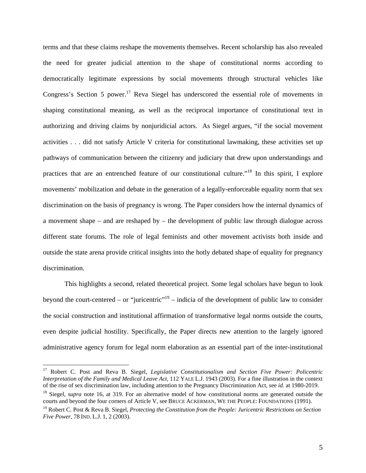terms and that these claims reshape the movements themselves. Recent scholarship has also revealed the need for greater judicial attention to the shape of constitutional norms according to democratically legitimate expressions by social movements through structural vehicles like Congress's Section 5 power.<sup>17</sup> Reva Siegel has underscored the essential role of movements in shaping constitutional meaning, as well as the reciprocal importance of constitutional text in authorizing and driving claims by nonjuridicial actors. As Siegel argues, "if the social movement activities . . . did not satisfy Article V criteria for constitutional lawmaking, these activities set up pathways of communication between the citizenry and judiciary that drew upon understandings and practices that are an entrenched feature of our constitutional culture."18 In this spirit, I explore movements' mobilization and debate in the generation of a legally-enforceable equality norm that sex discrimination on the basis of pregnancy is wrong. The Paper considers how the internal dynamics of a movement shape – and are reshaped by – the development of public law through dialogue across different state forums. The role of legal feminists and other movement activists both inside and outside the state arena provide critical insights into the hotly debated shape of equality for pregnancy discrimination.

This highlights a second, related theoretical project. Some legal scholars have begun to look beyond the court-centered – or "juricentric"<sup>19</sup> – indicia of the development of public law to consider the social construction and institutional affirmation of transformative legal norms outside the courts, even despite judicial hostility. Specifically, the Paper directs new attention to the largely ignored administrative agency forum for legal norm elaboration as an essential part of the inter-institutional

<sup>&</sup>lt;sup>17</sup> Robert C. Post and Reva B. Siegel, *Legislative Constitutionalism and Section Five Power: Policentric Interpretation of the Family and Medical Leave Act*, 112 YALE L.J. 1943 (2003). For a fine illustration in the context

 $^{18}$  Siegel, *supra* note 16, at 319. For an alternative model of how constitutional norms are generated outside the courts and beyond the four corners of Article V, see BRUCE ACKERMAN, WE THE PEOPLE: FOUNDATIONS (1991).

<sup>19</sup> Robert C. Post & Reva B. Siegel, *Protecting the Constitution from the People: Juricentric Restrictions on Section Five Power*, 78 IND. L.J. 1, 2 (2003).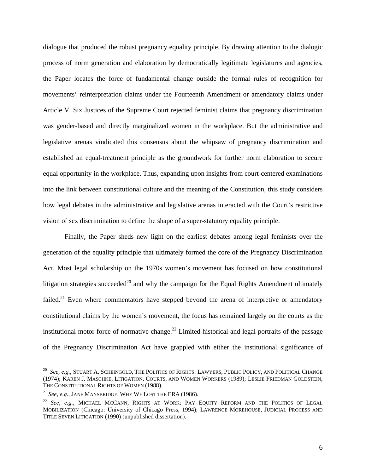dialogue that produced the robust pregnancy equality principle. By drawing attention to the dialogic process of norm generation and elaboration by democratically legitimate legislatures and agencies, the Paper locates the force of fundamental change outside the formal rules of recognition for movements' reinterpretation claims under the Fourteenth Amendment or amendatory claims under Article V. Six Justices of the Supreme Court rejected feminist claims that pregnancy discrimination was gender-based and directly marginalized women in the workplace. But the administrative and legislative arenas vindicated this consensus about the whipsaw of pregnancy discrimination and established an equal-treatment principle as the groundwork for further norm elaboration to secure equal opportunity in the workplace. Thus, expanding upon insights from court-centered examinations into the link between constitutional culture and the meaning of the Constitution, this study considers how legal debates in the administrative and legislative arenas interacted with the Court's restrictive vision of sex discrimination to define the shape of a super-statutory equality principle.

Finally, the Paper sheds new light on the earliest debates among legal feminists over the generation of the equality principle that ultimately formed the core of the Pregnancy Discrimination Act. Most legal scholarship on the 1970s women's movement has focused on how constitutional litigation strategies succeeded<sup>20</sup> and why the campaign for the Equal Rights Amendment ultimately failed.<sup>21</sup> Even where commentators have stepped beyond the arena of interpretive or amendatory constitutional claims by the women's movement, the focus has remained largely on the courts as the institutional motor force of normative change.<sup>22</sup> Limited historical and legal portraits of the passage of the Pregnancy Discrimination Act have grappled with either the institutional significance of

<sup>20</sup> *See, e.g.*, STUART A. SCHEINGOLD, THE POLITICS OF RIGHTS: LAWYERS, PUBLIC POLICY, AND POLITICAL CHANGE (1974); KAREN J. MASCHKE, LITIGATION, COURTS, AND WOMEN WORKERS (1989); LESLIE FRIEDMAN GOLDSTEIN, THE CONSTITUTIONAL RIGHTS OF WOMEN (1988).<br><sup>21</sup> *See, e.g.*, JANE MANSBRIDGE, WHY WE LOST THE ERA (1986).

<sup>22</sup> *See, e.g.*, MICHAEL MCCANN, RIGHTS AT WORK: PAY EQUITY REFORM AND THE POLITICS OF LEGAL MOBILIZATION (Chicago: University of Chicago Press, 1994); LAWRENCE MOREHOUSE, JUDICIAL PROCESS AND TITLE SEVEN LITIGATION (1990) (unpublished dissertation).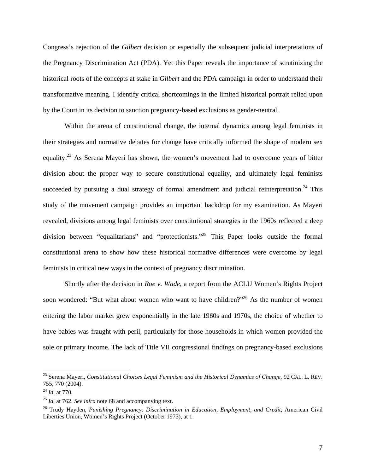Congress's rejection of the *Gilbert* decision or especially the subsequent judicial interpretations of the Pregnancy Discrimination Act (PDA). Yet this Paper reveals the importance of scrutinizing the historical roots of the concepts at stake in *Gilbert* and the PDA campaign in order to understand their transformative meaning. I identify critical shortcomings in the limited historical portrait relied upon by the Court in its decision to sanction pregnancy-based exclusions as gender-neutral.

Within the arena of constitutional change, the internal dynamics among legal feminists in their strategies and normative debates for change have critically informed the shape of modern sex equality.<sup>23</sup> As Serena Mayeri has shown, the women's movement had to overcome years of bitter division about the proper way to secure constitutional equality, and ultimately legal feminists succeeded by pursuing a dual strategy of formal amendment and judicial reinterpretation.<sup>24</sup> This study of the movement campaign provides an important backdrop for my examination. As Mayeri revealed, divisions among legal feminists over constitutional strategies in the 1960s reflected a deep division between "equalitarians" and "protectionists."25 This Paper looks outside the formal constitutional arena to show how these historical normative differences were overcome by legal feminists in critical new ways in the context of pregnancy discrimination.

Shortly after the decision in *Roe v. Wade*, a report from the ACLU Women's Rights Project soon wondered: "But what about women who want to have children?"<sup>26</sup> As the number of women entering the labor market grew exponentially in the late 1960s and 1970s, the choice of whether to have babies was fraught with peril, particularly for those households in which women provided the sole or primary income. The lack of Title VII congressional findings on pregnancy-based exclusions

<sup>&</sup>lt;sup>23</sup> Serena Mayeri, *Constitutional Choices Legal Feminism and the Historical Dynamics of Change*, 92 CAL. L. REV. 755, 770 (2004).

<sup>24</sup> *Id.* at 770. 25 *Id.* at 762. *See infra* note 68 and accompanying text.

<sup>&</sup>lt;sup>26</sup> Trudy Hayden, *Punishing Pregnancy: Discrimination in Education, Employment, and Credit*, American Civil Liberties Union, Women's Rights Project (October 1973), at 1.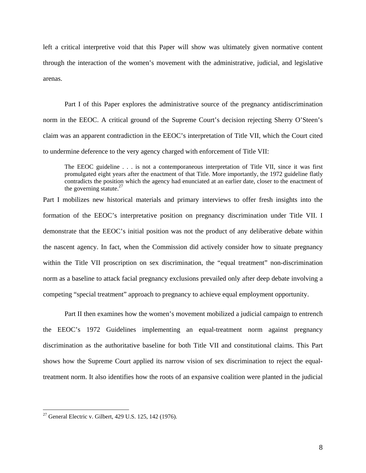left a critical interpretive void that this Paper will show was ultimately given normative content through the interaction of the women's movement with the administrative, judicial, and legislative arenas.

 Part I of this Paper explores the administrative source of the pregnancy antidiscrimination norm in the EEOC. A critical ground of the Supreme Court's decision rejecting Sherry O'Steen's claim was an apparent contradiction in the EEOC's interpretation of Title VII, which the Court cited to undermine deference to the very agency charged with enforcement of Title VII:

The EEOC guideline . . . is not a contemporaneous interpretation of Title VII, since it was first promulgated eight years after the enactment of that Title. More importantly, the 1972 guideline flatly contradicts the position which the agency had enunciated at an earlier date, closer to the enactment of the governing statute. $27$ 

Part I mobilizes new historical materials and primary interviews to offer fresh insights into the formation of the EEOC's interpretative position on pregnancy discrimination under Title VII. I demonstrate that the EEOC's initial position was not the product of any deliberative debate within the nascent agency. In fact, when the Commission did actively consider how to situate pregnancy within the Title VII proscription on sex discrimination, the "equal treatment" non-discrimination norm as a baseline to attack facial pregnancy exclusions prevailed only after deep debate involving a competing "special treatment" approach to pregnancy to achieve equal employment opportunity.

 Part II then examines how the women's movement mobilized a judicial campaign to entrench the EEOC's 1972 Guidelines implementing an equal-treatment norm against pregnancy discrimination as the authoritative baseline for both Title VII and constitutional claims. This Part shows how the Supreme Court applied its narrow vision of sex discrimination to reject the equaltreatment norm. It also identifies how the roots of an expansive coalition were planted in the judicial

<sup>&</sup>lt;sup>27</sup> General Electric v. Gilbert, 429 U.S. 125, 142 (1976).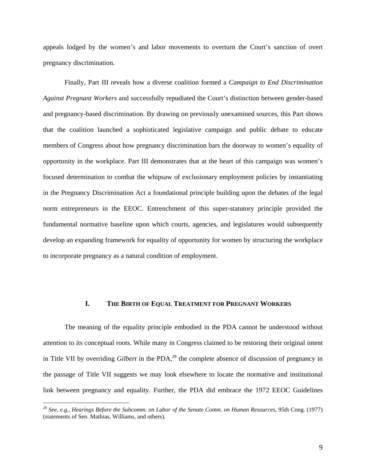appeals lodged by the women's and labor movements to overturn the Court's sanction of overt pregnancy discrimination.

 Finally, Part III reveals how a diverse coalition formed a *Campaign to End Discrimination Against Pregnant Workers* and successfully repudiated the Court's distinction between gender-based and pregnancy-based discrimination. By drawing on previously unexamined sources, this Part shows that the coalition launched a sophisticated legislative campaign and public debate to educate members of Congress about how pregnancy discrimination bars the doorway to women's equality of opportunity in the workplace. Part III demonstrates that at the heart of this campaign was women's focused determination to combat the whipsaw of exclusionary employment policies by instantiating in the Pregnancy Discrimination Act a foundational principle building upon the debates of the legal norm entrepreneurs in the EEOC. Entrenchment of this super-statutory principle provided the fundamental normative baseline upon which courts, agencies, and legislatures would subsequently develop an expanding framework for equality of opportunity for women by structuring the workplace to incorporate pregnancy as a natural condition of employment.

### **I. THE BIRTH OF EQUAL TREATMENT FOR PREGNANT WORKERS**

 The meaning of the equality principle embodied in the PDA cannot be understood without attention to its conceptual roots. While many in Congress claimed to be restoring their original intent in Title VII by overriding *Gilbert* in the PDA,<sup>28</sup> the complete absence of discussion of pregnancy in the passage of Title VII suggests we may look elsewhere to locate the normative and institutional link between pregnancy and equality. Further, the PDA did embrace the 1972 EEOC Guidelines

<sup>28</sup> *See, e.g.*, *Hearings Before the Subcomm. on Labor of the Senate Comm. on Human Resources*, 95th Cong. (1977) (statements of Sen. Mathias, Williams, and others).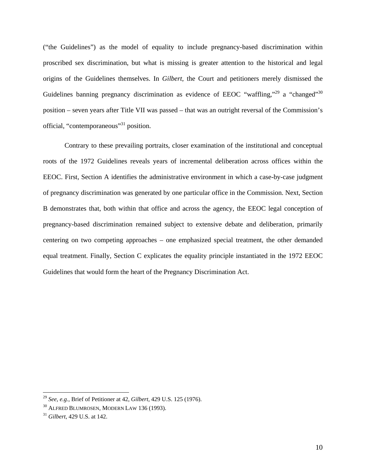("the Guidelines") as the model of equality to include pregnancy-based discrimination within proscribed sex discrimination, but what is missing is greater attention to the historical and legal origins of the Guidelines themselves. In *Gilbert*, the Court and petitioners merely dismissed the Guidelines banning pregnancy discrimination as evidence of EEOC "waffling,"<sup>29</sup> a "changed"<sup>30</sup> position – seven years after Title VII was passed – that was an outright reversal of the Commission's official, "contemporaneous"31 position.

Contrary to these prevailing portraits, closer examination of the institutional and conceptual roots of the 1972 Guidelines reveals years of incremental deliberation across offices within the EEOC. First, Section A identifies the administrative environment in which a case-by-case judgment of pregnancy discrimination was generated by one particular office in the Commission. Next, Section B demonstrates that, both within that office and across the agency, the EEOC legal conception of pregnancy-based discrimination remained subject to extensive debate and deliberation, primarily centering on two competing approaches – one emphasized special treatment, the other demanded equal treatment. Finally, Section C explicates the equality principle instantiated in the 1972 EEOC Guidelines that would form the heart of the Pregnancy Discrimination Act.

<sup>29</sup> *See, e.g.*, Brief of Petitioner at 42, *Gilbert*, 429 U.S. 125 (1976).

<sup>30</sup> ALFRED BLUMROSEN, MODERN LAW 136 (1993). 31 *Gilbert*, 429 U.S. at 142.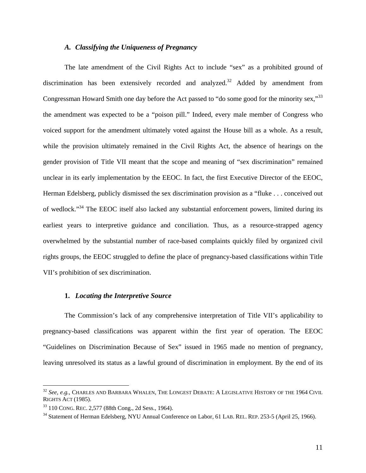#### *A. Classifying the Uniqueness of Pregnancy*

The late amendment of the Civil Rights Act to include "sex" as a prohibited ground of discrimination has been extensively recorded and analyzed.<sup>32</sup> Added by amendment from Congressman Howard Smith one day before the Act passed to "do some good for the minority sex,"<sup>33</sup> the amendment was expected to be a "poison pill." Indeed, every male member of Congress who voiced support for the amendment ultimately voted against the House bill as a whole. As a result, while the provision ultimately remained in the Civil Rights Act, the absence of hearings on the gender provision of Title VII meant that the scope and meaning of "sex discrimination" remained unclear in its early implementation by the EEOC. In fact, the first Executive Director of the EEOC, Herman Edelsberg, publicly dismissed the sex discrimination provision as a "fluke . . . conceived out of wedlock."34 The EEOC itself also lacked any substantial enforcement powers, limited during its earliest years to interpretive guidance and conciliation. Thus, as a resource-strapped agency overwhelmed by the substantial number of race-based complaints quickly filed by organized civil rights groups, the EEOC struggled to define the place of pregnancy-based classifications within Title VII's prohibition of sex discrimination.

#### **1.** *Locating the Interpretive Source*

The Commission's lack of any comprehensive interpretation of Title VII's applicability to pregnancy-based classifications was apparent within the first year of operation. The EEOC "Guidelines on Discrimination Because of Sex" issued in 1965 made no mention of pregnancy, leaving unresolved its status as a lawful ground of discrimination in employment. By the end of its

<sup>32</sup> *See, e.g.*, CHARLES AND BARBARA WHALEN, THE LONGEST DEBATE: A LEGISLATIVE HISTORY OF THE 1964 CIVIL RIGHTS ACT (1985).

<sup>&</sup>lt;sup>33</sup> 110 CONG. REC. 2,577 (88th Cong., 2d Sess., 1964).<br><sup>34</sup> Statement of Herman Edelsberg, NYU Annual Conference on Labor, 61 LAB. REL. REP. 253-5 (April 25, 1966).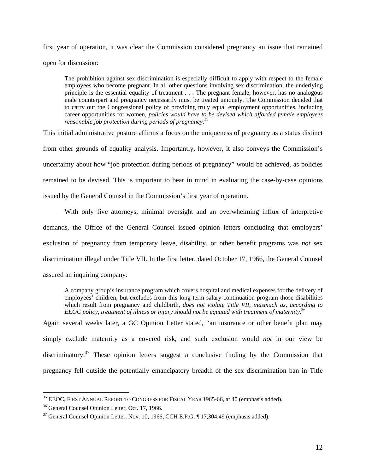first year of operation, it was clear the Commission considered pregnancy an issue that remained open for discussion:

The prohibition against sex discrimination is especially difficult to apply with respect to the female employees who become pregnant. In all other questions involving sex discrimination, the underlying principle is the essential equality of treatment . . . The pregnant female, however, has no analogous male counterpart and pregnancy necessarily must be treated uniquely. The Commission decided that to carry out the Congressional policy of providing truly equal employment opportunities, including career opportunities for women, *policies would have to be devised which afforded female employees reasonable job protection during periods of pregnancy*. 35

This initial administrative posture affirms a focus on the uniqueness of pregnancy as a status distinct from other grounds of equality analysis. Importantly, however, it also conveys the Commission's uncertainty about how "job protection during periods of pregnancy" would be achieved, as policies remained to be devised. This is important to bear in mind in evaluating the case-by-case opinions issued by the General Counsel in the Commission's first year of operation.

With only five attorneys, minimal oversight and an overwhelming influx of interpretive demands, the Office of the General Counsel issued opinion letters concluding that employers' exclusion of pregnancy from temporary leave, disability, or other benefit programs was *not* sex discrimination illegal under Title VII. In the first letter, dated October 17, 1966, the General Counsel assured an inquiring company:

A company group's insurance program which covers hospital and medical expenses for the delivery of employees' children, but excludes from this long term salary continuation program those disabilities which result from pregnancy and childbirth, *does not violate Title VII, inasmuch as, according to EEOC policy, treatment of illness or injury should not be equated with treatment of maternity*. 36

Again several weeks later, a GC Opinion Letter stated, "an insurance or other benefit plan may simply exclude maternity as a covered risk, and such exclusion would *not* in our view be discriminatory.<sup>37</sup> These opinion letters suggest a conclusive finding by the Commission that pregnancy fell outside the potentially emancipatory breadth of the sex discrimination ban in Title

 $35$  EEOC, FIRST ANNUAL REPORT TO CONGRESS FOR FISCAL YEAR 1965-66, at 40 (emphasis added).

<sup>36</sup> General Counsel Opinion Letter, Oct. 17, 1966.

 $37$  General Counsel Opinion Letter, Nov. 10, 1966, CCH E.P.G.  $\P$  17,304.49 (emphasis added).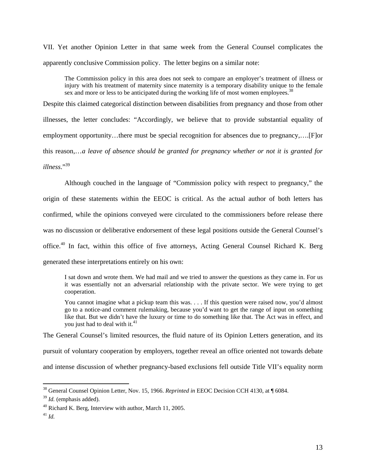VII. Yet another Opinion Letter in that same week from the General Counsel complicates the apparently conclusive Commission policy. The letter begins on a similar note:

The Commission policy in this area does not seek to compare an employer's treatment of illness or injury with his treatment of maternity since maternity is a temporary disability unique to the female sex and more or less to be anticipated during the working life of most women employees.<sup>38</sup>

Despite this claimed categorical distinction between disabilities from pregnancy and those from other illnesses, the letter concludes: "Accordingly, we believe that to provide substantial equality of employment opportunity…there must be special recognition for absences due to pregnancy,….[F]or this reason,…*a leave of absence should be granted for pregnancy whether or not it is granted for illness*."39

 Although couched in the language of "Commission policy with respect to pregnancy," the origin of these statements within the EEOC is critical. As the actual author of both letters has confirmed, while the opinions conveyed were circulated to the commissioners before release there was no discussion or deliberative endorsement of these legal positions outside the General Counsel's office.40 In fact, within this office of five attorneys, Acting General Counsel Richard K. Berg generated these interpretations entirely on his own:

I sat down and wrote them. We had mail and we tried to answer the questions as they came in. For us it was essentially not an adversarial relationship with the private sector. We were trying to get cooperation.

You cannot imagine what a pickup team this was. . . . If this question were raised now, you'd almost go to a notice-and comment rulemaking, because you'd want to get the range of input on something like that. But we didn't have the luxury or time to do something like that. The Act was in effect, and you just had to deal with it. $41$ 

The General Counsel's limited resources, the fluid nature of its Opinion Letters generation, and its

pursuit of voluntary cooperation by employers, together reveal an office oriented not towards debate

and intense discussion of whether pregnancy-based exclusions fell outside Title VII's equality norm

<sup>38</sup> General Counsel Opinion Letter, Nov. 15, 1966. *Reprinted in* EEOC Decision CCH 4130, at ¶ 6084.

<sup>39</sup> *Id.* (emphasis added).

<sup>40</sup> Richard K. Berg, Interview with author, March 11, 2005.

<sup>41</sup> *Id.*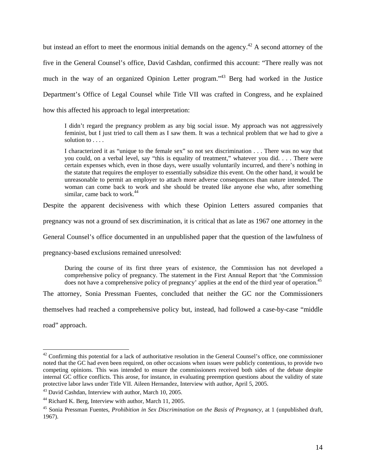but instead an effort to meet the enormous initial demands on the agency.<sup>42</sup> A second attorney of the five in the General Counsel's office, David Cashdan, confirmed this account: "There really was not much in the way of an organized Opinion Letter program."43 Berg had worked in the Justice Department's Office of Legal Counsel while Title VII was crafted in Congress, and he explained how this affected his approach to legal interpretation:

I didn't regard the pregnancy problem as any big social issue. My approach was not aggressively feminist, but I just tried to call them as I saw them. It was a technical problem that we had to give a solution to . . . .

I characterized it as "unique to the female sex" so not sex discrimination . . . There was no way that you could, on a verbal level, say "this is equality of treatment," whatever you did. . . . There were certain expenses which, even in those days, were usually voluntarily incurred, and there's nothing in the statute that requires the employer to essentially subsidize this event. On the other hand, it would be unreasonable to permit an employer to attach more adverse consequences than nature intended. The woman can come back to work and she should be treated like anyone else who, after something similar, came back to work. $44$ 

Despite the apparent decisiveness with which these Opinion Letters assured companies that

pregnancy was not a ground of sex discrimination, it is critical that as late as 1967 one attorney in the

General Counsel's office documented in an unpublished paper that the question of the lawfulness of

pregnancy-based exclusions remained unresolved:

During the course of its first three years of existence, the Commission has not developed a comprehensive policy of pregnancy. The statement in the First Annual Report that 'the Commission does not have a comprehensive policy of pregnancy' applies at the end of the third year of operation.<sup>45</sup>

The attorney, Sonia Pressman Fuentes, concluded that neither the GC nor the Commissioners

themselves had reached a comprehensive policy but, instead, had followed a case-by-case "middle

road" approach.

 $42$  Confirming this potential for a lack of authoritative resolution in the General Counsel's office, one commissioner noted that the GC had even been required, on other occasions when issues were publicly contentious, to provide two competing opinions. This was intended to ensure the commissioners received both sides of the debate despite internal GC office conflicts. This arose, for instance, in evaluating preemption questions about the validity of state protective labor laws under Title VII. Aileen Hernandez, Interview with author, April 5, 2005.<br><sup>43</sup> David Cashdan, Interview with author, March 10, 2005.

<sup>44</sup> Richard K. Berg, Interview with author, March 11, 2005.

<sup>45</sup> Sonia Pressman Fuentes, *Prohibition in Sex Discrimination on the Basis of Pregnancy*, at 1 (unpublished draft, 1967).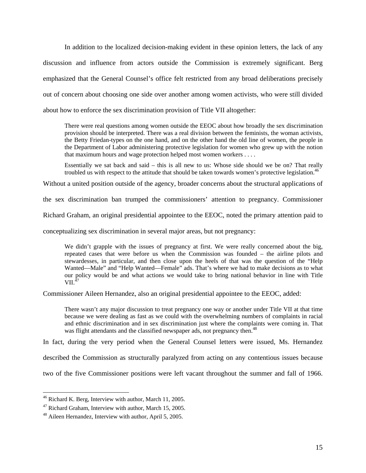In addition to the localized decision-making evident in these opinion letters, the lack of any discussion and influence from actors outside the Commission is extremely significant. Berg emphasized that the General Counsel's office felt restricted from any broad deliberations precisely out of concern about choosing one side over another among women activists, who were still divided about how to enforce the sex discrimination provision of Title VII altogether:

There were real questions among women outside the EEOC about how broadly the sex discrimination provision should be interpreted. There was a real division between the feminists, the woman activists, the Betty Friedan-types on the one hand, and on the other hand the old line of women, the people in the Department of Labor administering protective legislation for women who grew up with the notion that maximum hours and wage protection helped most women workers . . . .

Essentially we sat back and said – this is all new to us: Whose side should we be on? That really troubled us with respect to the attitude that should be taken towards women's protective legislation.<sup>46</sup>

Without a united position outside of the agency, broader concerns about the structural applications of

the sex discrimination ban trumped the commissioners' attention to pregnancy. Commissioner

Richard Graham, an original presidential appointee to the EEOC, noted the primary attention paid to

conceptualizing sex discrimination in several major areas, but not pregnancy:

We didn't grapple with the issues of pregnancy at first. We were really concerned about the big, repeated cases that were before us when the Commission was founded – the airline pilots and stewardesses, in particular, and then close upon the heels of that was the question of the "Help Wanted—Male" and "Help Wanted—Female" ads. That's where we had to make decisions as to what our policy would be and what actions we would take to bring national behavior in line with Title  $VII.$ <sup>47</sup>

Commissioner Aileen Hernandez, also an original presidential appointee to the EEOC, added:

There wasn't any major discussion to treat pregnancy one way or another under Title VII at that time because we were dealing as fast as we could with the overwhelming numbers of complaints in racial and ethnic discrimination and in sex discrimination just where the complaints were coming in. That was flight attendants and the classified newspaper ads, not pregnancy then.<sup>48</sup>

In fact, during the very period when the General Counsel letters were issued, Ms. Hernandez

described the Commission as structurally paralyzed from acting on any contentious issues because

two of the five Commissioner positions were left vacant throughout the summer and fall of 1966.

<sup>46</sup> Richard K. Berg, Interview with author, March 11, 2005.

<sup>&</sup>lt;sup>47</sup> Richard Graham, Interview with author, March 15, 2005.<br><sup>48</sup> Aileen Hernandez, Interview with author, April 5, 2005.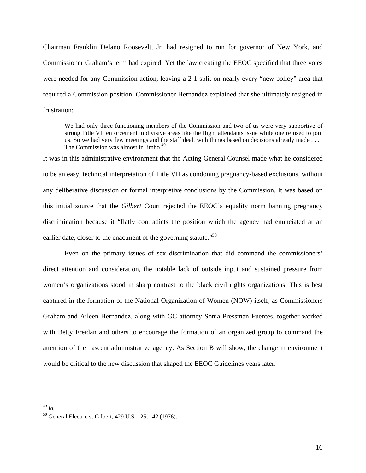Chairman Franklin Delano Roosevelt, Jr. had resigned to run for governor of New York, and Commissioner Graham's term had expired. Yet the law creating the EEOC specified that three votes were needed for any Commission action, leaving a 2-1 split on nearly every "new policy" area that required a Commission position. Commissioner Hernandez explained that she ultimately resigned in frustration:

We had only three functioning members of the Commission and two of us were very supportive of strong Title VII enforcement in divisive areas like the flight attendants issue while one refused to join us. So we had very few meetings and the staff dealt with things based on decisions already made . . . . The Commission was almost in limbo.<sup>49</sup>

It was in this administrative environment that the Acting General Counsel made what he considered to be an easy, technical interpretation of Title VII as condoning pregnancy-based exclusions, without any deliberative discussion or formal interpretive conclusions by the Commission. It was based on this initial source that the *Gilbert* Court rejected the EEOC's equality norm banning pregnancy discrimination because it "flatly contradicts the position which the agency had enunciated at an earlier date, closer to the enactment of the governing statute."<sup>50</sup>

Even on the primary issues of sex discrimination that did command the commissioners' direct attention and consideration, the notable lack of outside input and sustained pressure from women's organizations stood in sharp contrast to the black civil rights organizations. This is best captured in the formation of the National Organization of Women (NOW) itself, as Commissioners Graham and Aileen Hernandez, along with GC attorney Sonia Pressman Fuentes, together worked with Betty Freidan and others to encourage the formation of an organized group to command the attention of the nascent administrative agency. As Section B will show, the change in environment would be critical to the new discussion that shaped the EEOC Guidelines years later.

<sup>49</sup> *Id.*

<sup>50</sup> General Electric v. Gilbert, 429 U.S. 125, 142 (1976).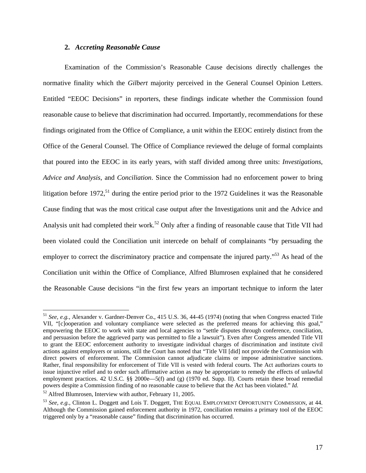#### **2.** *Accreting Reasonable Cause*

 Examination of the Commission's Reasonable Cause decisions directly challenges the normative finality which the *Gilbert* majority perceived in the General Counsel Opinion Letters. Entitled "EEOC Decisions" in reporters, these findings indicate whether the Commission found reasonable cause to believe that discrimination had occurred. Importantly, recommendations for these findings originated from the Office of Compliance, a unit within the EEOC entirely distinct from the Office of the General Counsel. The Office of Compliance reviewed the deluge of formal complaints that poured into the EEOC in its early years, with staff divided among three units: *Investigations*, *Advice and Analysis*, and *Conciliation*. Since the Commission had no enforcement power to bring litigation before 1972,<sup>51</sup> during the entire period prior to the 1972 Guidelines it was the Reasonable Cause finding that was the most critical case output after the Investigations unit and the Advice and Analysis unit had completed their work.52 Only after a finding of reasonable cause that Title VII had been violated could the Conciliation unit intercede on behalf of complainants "by persuading the employer to correct the discriminatory practice and compensate the injured party."<sup>53</sup> As head of the Conciliation unit within the Office of Compliance, Alfred Blumrosen explained that he considered the Reasonable Cause decisions "in the first few years an important technique to inform the later

<sup>51</sup> *See, e.g.*, Alexander v. Gardner-Denver Co., 415 U.S. 36, 44-45 (1974) (noting that when Congress enacted Title VII, "[c]ooperation and voluntary compliance were selected as the preferred means for achieving this goal," empowering the EEOC to work with state and local agencies to "settle disputes through conference, conciliation, and persuasion before the aggrieved party was permitted to file a lawsuit"). Even after Congress amended Title VII to grant the EEOC enforcement authority to investigate individual charges of discrimination and institute civil actions against employers or unions, still the Court has noted that "Title VII [did] not provide the Commission with direct powers of enforcement. The Commission cannot adjudicate claims or impose administrative sanctions. Rather, final responsibility for enforcement of Title VII is vested with federal courts. The Act authorizes courts to issue injunctive relief and to order such affirmative action as may be appropriate to remedy the effects of unlawful employment practices. 42 U.S.C. §§ 2000e—5(f) and (g) (1970 ed. Supp. II). Courts retain these broad remedial powers despite a Commission finding of no reasonable cause to believe that the Act has been violated." *Id.*

<sup>&</sup>lt;sup>52</sup> Alfred Blumrosen, Interview with author, February 11, 2005.<br><sup>53</sup> *See, e.g.*, Clinton L. Doggett and Lois T. Doggett, THE EQUAL EMPLOYMENT OPPORTUNITY COMMISSION, at 44. Although the Commission gained enforcement authority in 1972, conciliation remains a primary tool of the EEOC triggered only by a "reasonable cause" finding that discrimination has occurred.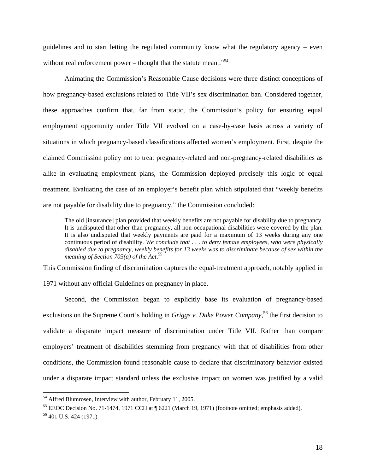guidelines and to start letting the regulated community know what the regulatory agency – even without real enforcement power – thought that the statute meant.<sup> $.54$ </sup>

 Animating the Commission's Reasonable Cause decisions were three distinct conceptions of how pregnancy-based exclusions related to Title VII's sex discrimination ban. Considered together, these approaches confirm that, far from static, the Commission's policy for ensuring equal employment opportunity under Title VII evolved on a case-by-case basis across a variety of situations in which pregnancy-based classifications affected women's employment. First, despite the claimed Commission policy not to treat pregnancy-related and non-pregnancy-related disabilities as alike in evaluating employment plans, the Commission deployed precisely this logic of equal treatment. Evaluating the case of an employer's benefit plan which stipulated that "weekly benefits are not payable for disability due to pregnancy," the Commission concluded:

The old [insurance] plan provided that weekly benefits are not payable for disability due to pregnancy. It is undisputed that other than pregnancy, all non-occupational disabilities were covered by the plan. It is also undisputed that weekly payments are paid for a maximum of 13 weeks during any one continuous period of disability. *We conclude that . . . to deny female employees, who were physically disabled due to pregnancy, weekly benefits for 13 weeks was to discriminate because of sex within the meaning of Section 703(a) of the Act*. 55

This Commission finding of discrimination captures the equal-treatment approach, notably applied in

1971 without any official Guidelines on pregnancy in place.

 Second, the Commission began to explicitly base its evaluation of pregnancy-based exclusions on the Supreme Court's holding in *Griggs v. Duke Power Company*,<sup>56</sup> the first decision to validate a disparate impact measure of discrimination under Title VII. Rather than compare employers' treatment of disabilities stemming from pregnancy with that of disabilities from other conditions, the Commission found reasonable cause to declare that discriminatory behavior existed under a disparate impact standard unless the exclusive impact on women was justified by a valid

<sup>&</sup>lt;sup>54</sup> Alfred Blumrosen, Interview with author, February 11, 2005.

<sup>55</sup> EEOC Decision No. 71-1474, 1971 CCH at ¶ 6221 (March 19, 1971) (footnote omitted; emphasis added).

<sup>56 401</sup> U.S. 424 (1971)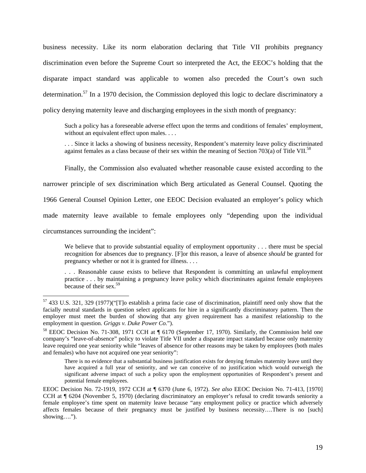business necessity. Like its norm elaboration declaring that Title VII prohibits pregnancy discrimination even before the Supreme Court so interpreted the Act, the EEOC's holding that the disparate impact standard was applicable to women also preceded the Court's own such determination.57 In a 1970 decision, the Commission deployed this logic to declare discriminatory a policy denying maternity leave and discharging employees in the sixth month of pregnancy:

Such a policy has a foreseeable adverse effect upon the terms and conditions of females' employment, without an equivalent effect upon males. . . .

. . . Since it lacks a showing of business necessity, Respondent's maternity leave policy discriminated against females as a class because of their sex within the meaning of Section 703(a) of Title VII.<sup>58</sup>

Finally, the Commission also evaluated whether reasonable cause existed according to the

narrower principle of sex discrimination which Berg articulated as General Counsel. Quoting the

1966 General Counsel Opinion Letter, one EEOC Decision evaluated an employer's policy which

made maternity leave available to female employees only "depending upon the individual

circumstances surrounding the incident":

 $\overline{a}$ 

We believe that to provide substantial equality of employment opportunity . . . there must be special recognition for absences due to pregnancy. [F]or this reason, a leave of absence *should* be granted for pregnancy whether or not it is granted for illness. . . .

. . . Reasonable cause exists to believe that Respondent is committing an unlawful employment practice . . . by maintaining a pregnancy leave policy which discriminates against female employees because of their sex. $59$ 

<sup>57 433</sup> U.S. 321, 329 (1977)("[T]o establish a prima facie case of discrimination, plaintiff need only show that the facially neutral standards in question select applicants for hire in a significantly discriminatory pattern. Then the employer must meet the burden of showing that any given requirement has a manifest relationship to the employment in question. *Griggs v. Duke Power Co.*").

<sup>58</sup> EEOC Decision No. 71-308, 1971 CCH at ¶ 6170 (September 17, 1970). Similarly, the Commission held one company's "leave-of-absence" policy to violate Title VII under a disparate impact standard because only maternity leave required one year seniority while "leaves of absence for other reasons may be taken by employees (both males and females) who have not acquired one year seniority":

There is no evidence that a substantial business justification exists for denying females maternity leave until they have acquired a full year of seniority, and we can conceive of no justification which would outweigh the significant adverse impact of such a policy upon the employment opportunities of Respondent's present and potential female employees.

EEOC Decision No. 72-1919, 1972 CCH at ¶ 6370 (June 6, 1972). *See also* EEOC Decision No. 71-413, [1970] CCH at ¶ 6204 (November 5, 1970) (declaring discriminatory an employer's refusal to credit towards seniority a female employee's time spent on maternity leave because "any employment policy or practice which adversely affects females because of their pregnancy must be justified by business necessity….There is no [such] showing….").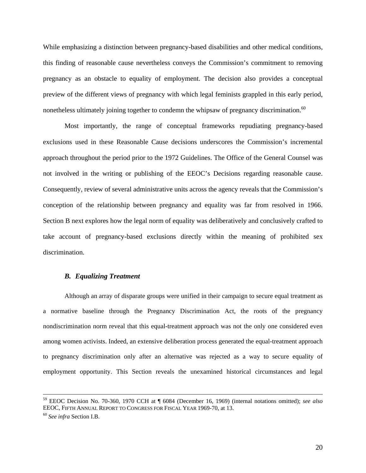While emphasizing a distinction between pregnancy-based disabilities and other medical conditions, this finding of reasonable cause nevertheless conveys the Commission's commitment to removing pregnancy as an obstacle to equality of employment. The decision also provides a conceptual preview of the different views of pregnancy with which legal feminists grappled in this early period, nonetheless ultimately joining together to condemn the whipsaw of pregnancy discrimination.<sup>60</sup>

 Most importantly, the range of conceptual frameworks repudiating pregnancy-based exclusions used in these Reasonable Cause decisions underscores the Commission's incremental approach throughout the period prior to the 1972 Guidelines. The Office of the General Counsel was not involved in the writing or publishing of the EEOC's Decisions regarding reasonable cause. Consequently, review of several administrative units across the agency reveals that the Commission's conception of the relationship between pregnancy and equality was far from resolved in 1966. Section B next explores how the legal norm of equality was deliberatively and conclusively crafted to take account of pregnancy-based exclusions directly within the meaning of prohibited sex discrimination.

#### *B. Equalizing Treatment*

Although an array of disparate groups were unified in their campaign to secure equal treatment as a normative baseline through the Pregnancy Discrimination Act, the roots of the pregnancy nondiscrimination norm reveal that this equal-treatment approach was not the only one considered even among women activists. Indeed, an extensive deliberation process generated the equal-treatment approach to pregnancy discrimination only after an alternative was rejected as a way to secure equality of employment opportunity. This Section reveals the unexamined historical circumstances and legal

 <sup>59</sup> EEOC Decision No. 70-360, 1970 CCH at ¶ 6084 (December 16, 1969) (internal notations omitted); *see also* EEOC, FIFTH ANNUAL REPORT TO CONGRESS FOR FISCAL YEAR 1969-70, at 13. 60 *See infra* Section I.B.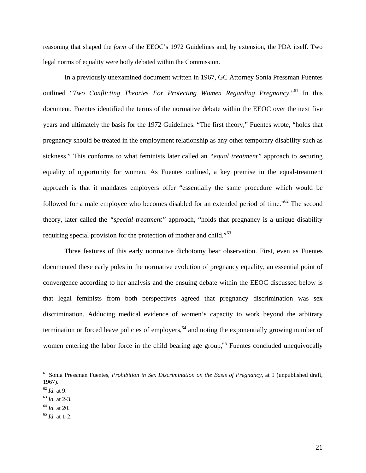reasoning that shaped the *form* of the EEOC's 1972 Guidelines and, by extension, the PDA itself. Two legal norms of equality were hotly debated within the Commission.

In a previously unexamined document written in 1967, GC Attorney Sonia Pressman Fuentes outlined "*Two Conflicting Theories For Protecting Women Regarding Pregnancy*."61 In this document, Fuentes identified the terms of the normative debate within the EEOC over the next five years and ultimately the basis for the 1972 Guidelines. "The first theory," Fuentes wrote, "holds that pregnancy should be treated in the employment relationship as any other temporary disability such as sickness." This conforms to what feminists later called an *"equal treatment"* approach to securing equality of opportunity for women. As Fuentes outlined, a key premise in the equal-treatment approach is that it mandates employers offer "essentially the same procedure which would be followed for a male employee who becomes disabled for an extended period of time."<sup>62</sup> The second theory, later called the *"special treatment"* approach, "holds that pregnancy is a unique disability requiring special provision for the protection of mother and child."<sup>63</sup>

Three features of this early normative dichotomy bear observation. First, even as Fuentes documented these early poles in the normative evolution of pregnancy equality, an essential point of convergence according to her analysis and the ensuing debate within the EEOC discussed below is that legal feminists from both perspectives agreed that pregnancy discrimination was sex discrimination. Adducing medical evidence of women's capacity to work beyond the arbitrary termination or forced leave policies of employers, $64$  and noting the exponentially growing number of women entering the labor force in the child bearing age group,<sup>65</sup> Fuentes concluded unequivocally

<sup>61</sup> Sonia Pressman Fuentes, *Prohibition in Sex Discrimination on the Basis of Pregnancy*, at 9 (unpublished draft, 1967).

<sup>62</sup> *Id.* at 9. 63 *Id.* at 2-3.

<sup>64</sup> *Id.* at 20. 65 *Id.* at 1-2.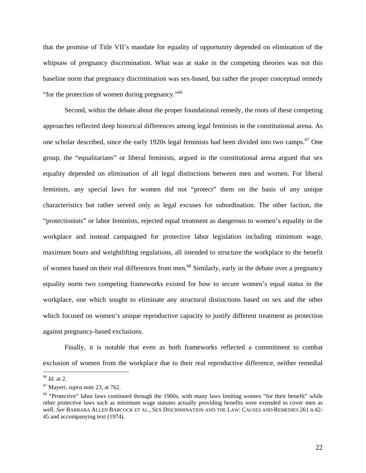that the promise of Title VII's mandate for equality of opportunity depended on elimination of the whipsaw of pregnancy discrimination. What was at stake in the competing theories was not this baseline norm that pregnancy discrimination was sex-based, but rather the proper conceptual remedy "for the protection of women during pregnancy."66

Second, within the debate about the proper foundational remedy, the roots of these competing approaches reflected deep historical differences among legal feminists in the constitutional arena. As one scholar described, since the early 1920s legal feminists had been divided into two camps.<sup>67</sup> One group, the "equalitarians" or liberal feminists, argued in the constitutional arena argued that sex equality depended on elimination of all legal distinctions between men and women. For liberal feminists, any special laws for women did not "protect" them on the basis of any unique characteristics but rather served only as legal excuses for subordination. The other faction, the "protectionists" or labor feminists, rejected equal treatment as dangerous to women's equality in the workplace and instead campaigned for protective labor legislation including minimum wage, maximum hours and weightlifting regulations, all intended to structure the workplace to the benefit of women based on their real differences from men.68 Similarly, early in the debate over a pregnancy equality norm two competing frameworks existed for how to secure women's equal status in the workplace, one which sought to eliminate any structural distinctions based on sex and the other which focused on women's unique reproductive capacity to justify different treatment as protection against pregnancy-based exclusions.

Finally, it is notable that even as both frameworks reflected a commitment to combat exclusion of women from the workplace due to their real reproductive difference, neither remedial

<sup>66</sup> *Id.* at 2.

<sup>&</sup>lt;sup>67</sup> Mayeri, *supra* note 23, at 762.<br><sup>68</sup> "Protective" labor laws continued through the 1960s, with many laws limiting women "for their benefit" while other protective laws such as minimum wage statutes actually providing benefits were extended to cover men as well. *See* BARBARA ALLEN BABCOCK ET AL., SEX DISCRIMINATION AND THE LAW: CAUSES AND REMEDIES 261 n.42- 45 and accompanying text (1974).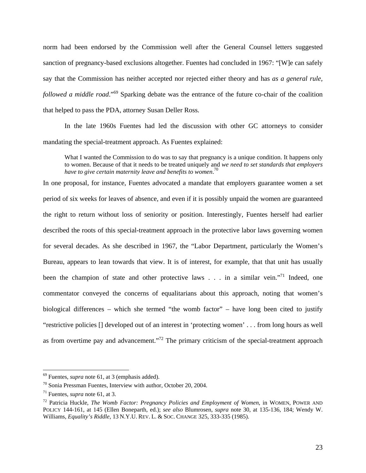norm had been endorsed by the Commission well after the General Counsel letters suggested sanction of pregnancy-based exclusions altogether. Fuentes had concluded in 1967: "[W]e can safely say that the Commission has neither accepted nor rejected either theory and has *as a general rule, followed a middle road*."69 Sparking debate was the entrance of the future co-chair of the coalition that helped to pass the PDA, attorney Susan Deller Ross.

In the late 1960s Fuentes had led the discussion with other GC attorneys to consider mandating the special-treatment approach. As Fuentes explained:

What I wanted the Commission to do was to say that pregnancy is a unique condition. It happens only to women. Because of that it needs to be treated uniquely and *we need to set standards that employers have to give certain maternity leave and benefits to women*. 70

In one proposal, for instance, Fuentes advocated a mandate that employers guarantee women a set period of six weeks for leaves of absence, and even if it is possibly unpaid the women are guaranteed the right to return without loss of seniority or position. Interestingly, Fuentes herself had earlier described the roots of this special-treatment approach in the protective labor laws governing women for several decades. As she described in 1967, the "Labor Department, particularly the Women's Bureau, appears to lean towards that view. It is of interest, for example, that that unit has usually been the champion of state and other protective laws . . . in a similar vein."<sup>71</sup> Indeed, one commentator conveyed the concerns of equalitarians about this approach, noting that women's biological differences – which she termed "the womb factor" – have long been cited to justify "restrictive policies [] developed out of an interest in 'protecting women' . . . from long hours as well as from overtime pay and advancement."72 The primary criticism of the special-treatment approach

<sup>69</sup> Fuentes, *supra* note 61, at 3 (emphasis added).

 $70$  Sonia Pressman Fuentes, Interview with author, October 20, 2004.

<sup>&</sup>lt;sup>71</sup> Fuentes, *supra* note 61, at 3.<br><sup>72</sup> Patricia Huckle, *The Womb Factor: Pregnancy Policies and Employment of Women*, in WOMEN, POWER AND POLICY 144-161, at 145 (Ellen Boneparth, ed.); *see also* Blumrosen, *supra* note 30, at 135-136, 184; Wendy W. Williams, *Equality's Riddle*, 13 N.Y.U. REV. L. & SOC. CHANGE 325, 333-335 (1985).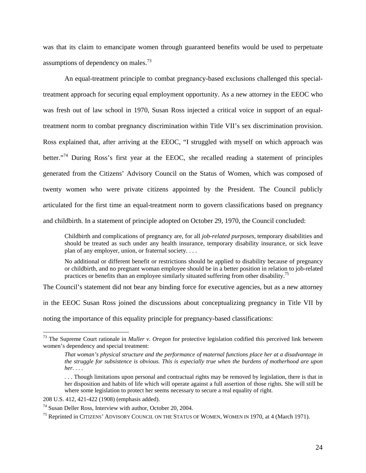was that its claim to emancipate women through guaranteed benefits would be used to perpetuate assumptions of dependency on males.<sup>73</sup>

An equal-treatment principle to combat pregnancy-based exclusions challenged this specialtreatment approach for securing equal employment opportunity. As a new attorney in the EEOC who was fresh out of law school in 1970, Susan Ross injected a critical voice in support of an equaltreatment norm to combat pregnancy discrimination within Title VII's sex discrimination provision. Ross explained that, after arriving at the EEOC, "I struggled with myself on which approach was better."<sup>74</sup> During Ross's first year at the EEOC, she recalled reading a statement of principles generated from the Citizens' Advisory Council on the Status of Women, which was composed of twenty women who were private citizens appointed by the President. The Council publicly articulated for the first time an equal-treatment norm to govern classifications based on pregnancy and childbirth. In a statement of principle adopted on October 29, 1970, the Council concluded:

Childbirth and complications of pregnancy are, for all *job-related purposes*, temporary disabilities and should be treated as such under any health insurance, temporary disability insurance, or sick leave plan of any employer, union, or fraternal society. . . .

No additional or different benefit or restrictions should be applied to disability because of pregnancy or childbirth, and no pregnant woman employee should be in a better position in relation to job-related practices or benefits than an employee similarly situated suffering from other disability.75

The Council's statement did not bear any binding force for executive agencies, but as a new attorney

in the EEOC Susan Ross joined the discussions about conceptualizing pregnancy in Title VII by

noting the importance of this equality principle for pregnancy-based classifications:

<sup>73</sup> The Supreme Court rationale in *Muller v. Oregon* for protective legislation codified this perceived link between women's dependency and special treatment:

*That woman's physical structure and the performance of maternal functions place her at a disadvantage in the struggle for subsistence is obvious. This is especially true when the burdens of motherhood are upon her*. . . .

<sup>. . .</sup> Though limitations upon personal and contractual rights may be removed by legislation, there is that in her disposition and habits of life which will operate against a full assertion of those rights. She will still be where some legislation to protect her seems necessary to secure a real equality of right.

<sup>208</sup> U.S. 412, 421-422 (1908) (emphasis added).

<sup>74</sup> Susan Deller Ross, Interview with author, October 20, 2004.

<sup>&</sup>lt;sup>75</sup> Reprinted in CITIZENS' ADVISORY COUNCIL ON THE STATUS OF WOMEN, WOMEN IN 1970, at 4 (March 1971).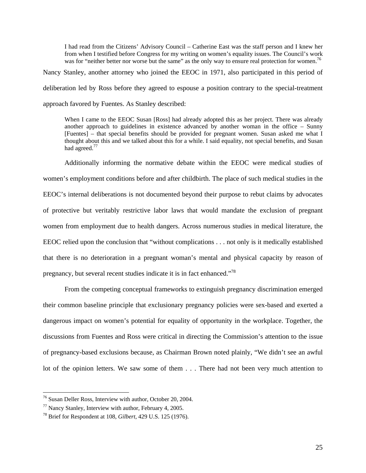I had read from the Citizens' Advisory Council – Catherine East was the staff person and I knew her from when I testified before Congress for my writing on women's equality issues. The Council's work was for "neither better nor worse but the same" as the only way to ensure real protection for women.<sup>76</sup>

Nancy Stanley, another attorney who joined the EEOC in 1971, also participated in this period of deliberation led by Ross before they agreed to espouse a position contrary to the special-treatment approach favored by Fuentes. As Stanley described:

When I came to the EEOC Susan [Ross] had already adopted this as her project. There was already another approach to guidelines in existence advanced by another woman in the office – Sunny [Fuentes] – that special benefits should be provided for pregnant women. Susan asked me what I thought about this and we talked about this for a while. I said equality, not special benefits, and Susan had agreed.<sup>77</sup>

Additionally informing the normative debate within the EEOC were medical studies of women's employment conditions before and after childbirth. The place of such medical studies in the EEOC's internal deliberations is not documented beyond their purpose to rebut claims by advocates of protective but veritably restrictive labor laws that would mandate the exclusion of pregnant women from employment due to health dangers. Across numerous studies in medical literature, the EEOC relied upon the conclusion that "without complications . . . not only is it medically established that there is no deterioration in a pregnant woman's mental and physical capacity by reason of pregnancy, but several recent studies indicate it is in fact enhanced."78

 From the competing conceptual frameworks to extinguish pregnancy discrimination emerged their common baseline principle that exclusionary pregnancy policies were sex-based and exerted a dangerous impact on women's potential for equality of opportunity in the workplace. Together, the discussions from Fuentes and Ross were critical in directing the Commission's attention to the issue of pregnancy-based exclusions because, as Chairman Brown noted plainly, "We didn't see an awful lot of the opinion letters. We saw some of them . . . There had not been very much attention to

<sup>76</sup> Susan Deller Ross, Interview with author, October 20, 2004.

<sup>77</sup> Nancy Stanley, Interview with author, February 4, 2005.

<sup>78</sup> Brief for Respondent at 108, *Gilbert*, 429 U.S. 125 (1976).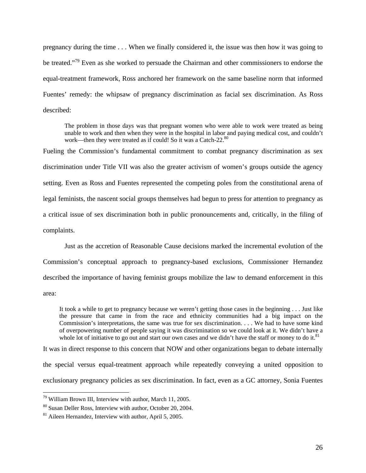pregnancy during the time . . . When we finally considered it, the issue was then how it was going to be treated."79 Even as she worked to persuade the Chairman and other commissioners to endorse the equal-treatment framework, Ross anchored her framework on the same baseline norm that informed Fuentes' remedy: the whipsaw of pregnancy discrimination as facial sex discrimination. As Ross described:

The problem in those days was that pregnant women who were able to work were treated as being unable to work and then when they were in the hospital in labor and paying medical cost, and couldn't work—then they were treated as if could! So it was a Catch-22.<sup>80</sup>

Fueling the Commission's fundamental commitment to combat pregnancy discrimination as sex discrimination under Title VII was also the greater activism of women's groups outside the agency setting. Even as Ross and Fuentes represented the competing poles from the constitutional arena of legal feminists, the nascent social groups themselves had begun to press for attention to pregnancy as a critical issue of sex discrimination both in public pronouncements and, critically, in the filing of complaints.

Just as the accretion of Reasonable Cause decisions marked the incremental evolution of the Commission's conceptual approach to pregnancy-based exclusions, Commissioner Hernandez described the importance of having feminist groups mobilize the law to demand enforcement in this area:

It took a while to get to pregnancy because we weren't getting those cases in the beginning . . . Just like the pressure that came in from the race and ethnicity communities had a big impact on the Commission's interpretations, the same was true for sex discrimination. . . . We had to have some kind of overpowering number of people saying it was discrimination so we could look at it. We didn't have a whole lot of initiative to go out and start our own cases and we didn't have the staff or money to do it. $81$ 

It was in direct response to this concern that NOW and other organizations began to debate internally the special versus equal-treatment approach while repeatedly conveying a united opposition to exclusionary pregnancy policies as sex discrimination. In fact, even as a GC attorney, Sonia Fuentes

<sup>79</sup> William Brown III, Interview with author, March 11, 2005.

<sup>80</sup> Susan Deller Ross, Interview with author, October 20, 2004.

 $81$  Aileen Hernandez, Interview with author, April 5, 2005.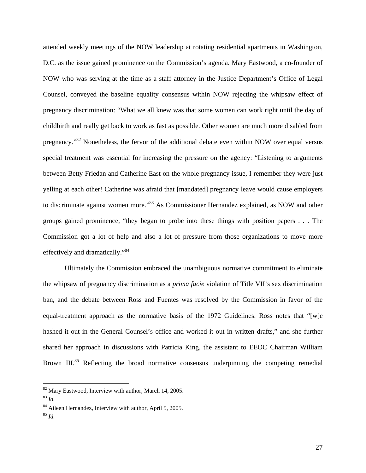attended weekly meetings of the NOW leadership at rotating residential apartments in Washington, D.C. as the issue gained prominence on the Commission's agenda. Mary Eastwood, a co-founder of NOW who was serving at the time as a staff attorney in the Justice Department's Office of Legal Counsel, conveyed the baseline equality consensus within NOW rejecting the whipsaw effect of pregnancy discrimination: "What we all knew was that some women can work right until the day of childbirth and really get back to work as fast as possible. Other women are much more disabled from pregnancy."82 Nonetheless, the fervor of the additional debate even within NOW over equal versus special treatment was essential for increasing the pressure on the agency: "Listening to arguments between Betty Friedan and Catherine East on the whole pregnancy issue, I remember they were just yelling at each other! Catherine was afraid that [mandated] pregnancy leave would cause employers to discriminate against women more."83 As Commissioner Hernandez explained, as NOW and other groups gained prominence, "they began to probe into these things with position papers . . . The Commission got a lot of help and also a lot of pressure from those organizations to move more effectively and dramatically."84

Ultimately the Commission embraced the unambiguous normative commitment to eliminate the whipsaw of pregnancy discrimination as a *prima facie* violation of Title VII's sex discrimination ban, and the debate between Ross and Fuentes was resolved by the Commission in favor of the equal-treatment approach as the normative basis of the 1972 Guidelines. Ross notes that "[w]e hashed it out in the General Counsel's office and worked it out in written drafts," and she further shared her approach in discussions with Patricia King, the assistant to EEOC Chairman William Brown III.<sup>85</sup> Reflecting the broad normative consensus underpinning the competing remedial

<sup>82</sup> Mary Eastwood, Interview with author, March 14, 2005. 83 *Id.*

<sup>84</sup> Aileen Hernandez, Interview with author, April 5, 2005.

<sup>85</sup> *Id.*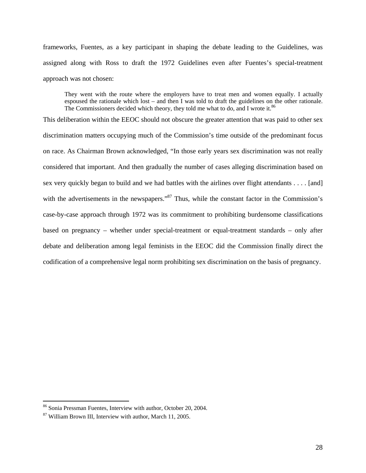frameworks, Fuentes, as a key participant in shaping the debate leading to the Guidelines, was assigned along with Ross to draft the 1972 Guidelines even after Fuentes's special-treatment approach was not chosen:

They went with the route where the employers have to treat men and women equally. I actually espoused the rationale which lost – and then I was told to draft the guidelines on the other rationale. The Commissioners decided which theory, they told me what to do, and I wrote it. $86$ 

This deliberation within the EEOC should not obscure the greater attention that was paid to other sex discrimination matters occupying much of the Commission's time outside of the predominant focus on race. As Chairman Brown acknowledged, "In those early years sex discrimination was not really considered that important. And then gradually the number of cases alleging discrimination based on sex very quickly began to build and we had battles with the airlines over flight attendants . . . . [and] with the advertisements in the newspapers."<sup>87</sup> Thus, while the constant factor in the Commission's case-by-case approach through 1972 was its commitment to prohibiting burdensome classifications based on pregnancy – whether under special-treatment or equal-treatment standards – only after debate and deliberation among legal feminists in the EEOC did the Commission finally direct the codification of a comprehensive legal norm prohibiting sex discrimination on the basis of pregnancy.

<sup>&</sup>lt;sup>86</sup> Sonia Pressman Fuentes, Interview with author, October 20, 2004.

<sup>87</sup> William Brown III, Interview with author, March 11, 2005.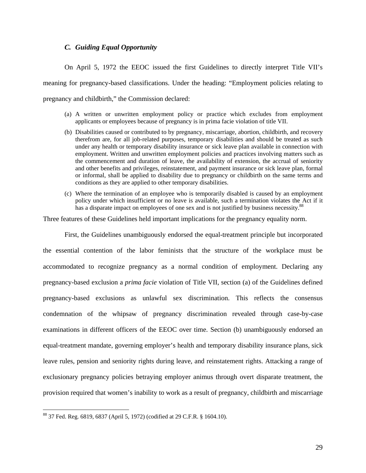#### *C. Guiding Equal Opportunity*

 On April 5, 1972 the EEOC issued the first Guidelines to directly interpret Title VII's meaning for pregnancy-based classifications. Under the heading: "Employment policies relating to pregnancy and childbirth," the Commission declared:

- (a) A written or unwritten employment policy or practice which excludes from employment applicants or employees because of pregnancy is in prima facie violation of title VII.
- (b) Disabilities caused or contributed to by pregnancy, miscarriage, abortion, childbirth, and recovery therefrom are, for all job-related purposes, temporary disabilities and should be treated as such under any health or temporary disability insurance or sick leave plan available in connection with employment. Written and unwritten employment policies and practices involving matters such as the commencement and duration of leave, the availability of extension, the accrual of seniority and other benefits and privileges, reinstatement, and payment insurance or sick leave plan, formal or informal, shall be applied to disability due to pregnancy or childbirth on the same terms and conditions as they are applied to other temporary disabilities.
- (c) Where the termination of an employee who is temporarily disabled is caused by an employment policy under which insufficient or no leave is available, such a termination violates the Act if it has a disparate impact on employees of one sex and is not justified by business necessity.<sup>88</sup>

Three features of these Guidelines held important implications for the pregnancy equality norm.

 First, the Guidelines unambiguously endorsed the equal-treatment principle but incorporated the essential contention of the labor feminists that the structure of the workplace must be accommodated to recognize pregnancy as a normal condition of employment. Declaring any pregnancy-based exclusion a *prima facie* violation of Title VII, section (a) of the Guidelines defined pregnancy-based exclusions as unlawful sex discrimination. This reflects the consensus condemnation of the whipsaw of pregnancy discrimination revealed through case-by-case examinations in different officers of the EEOC over time. Section (b) unambiguously endorsed an equal-treatment mandate, governing employer's health and temporary disability insurance plans, sick leave rules, pension and seniority rights during leave, and reinstatement rights. Attacking a range of exclusionary pregnancy policies betraying employer animus through overt disparate treatment, the provision required that women's inability to work as a result of pregnancy, childbirth and miscarriage

<sup>88 37</sup> Fed. Reg. 6819, 6837 (April 5, 1972) (codified at 29 C.F.R. § 1604.10).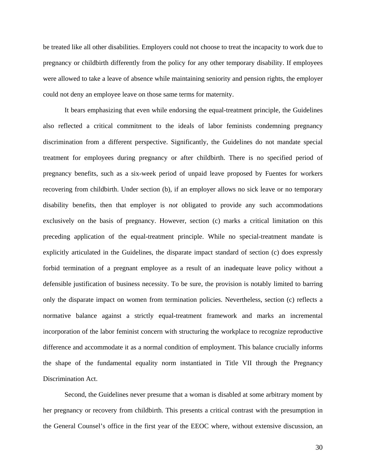be treated like all other disabilities. Employers could not choose to treat the incapacity to work due to pregnancy or childbirth differently from the policy for any other temporary disability. If employees were allowed to take a leave of absence while maintaining seniority and pension rights, the employer could not deny an employee leave on those same terms for maternity.

It bears emphasizing that even while endorsing the equal-treatment principle, the Guidelines also reflected a critical commitment to the ideals of labor feminists condemning pregnancy discrimination from a different perspective. Significantly, the Guidelines do not mandate special treatment for employees during pregnancy or after childbirth. There is no specified period of pregnancy benefits, such as a six-week period of unpaid leave proposed by Fuentes for workers recovering from childbirth. Under section (b), if an employer allows no sick leave or no temporary disability benefits, then that employer is *not* obligated to provide any such accommodations exclusively on the basis of pregnancy. However, section (c) marks a critical limitation on this preceding application of the equal-treatment principle. While no special-treatment mandate is explicitly articulated in the Guidelines, the disparate impact standard of section (c) does expressly forbid termination of a pregnant employee as a result of an inadequate leave policy without a defensible justification of business necessity. To be sure, the provision is notably limited to barring only the disparate impact on women from termination policies. Nevertheless, section (c) reflects a normative balance against a strictly equal-treatment framework and marks an incremental incorporation of the labor feminist concern with structuring the workplace to recognize reproductive difference and accommodate it as a normal condition of employment. This balance crucially informs the shape of the fundamental equality norm instantiated in Title VII through the Pregnancy Discrimination Act.

 Second, the Guidelines never presume that a woman is disabled at some arbitrary moment by her pregnancy or recovery from childbirth. This presents a critical contrast with the presumption in the General Counsel's office in the first year of the EEOC where, without extensive discussion, an

30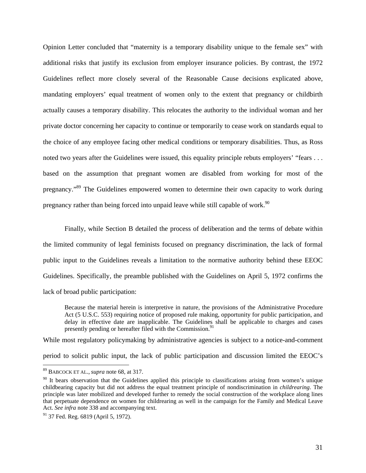Opinion Letter concluded that "maternity is a temporary disability unique to the female sex" with additional risks that justify its exclusion from employer insurance policies. By contrast, the 1972 Guidelines reflect more closely several of the Reasonable Cause decisions explicated above, mandating employers' equal treatment of women only to the extent that pregnancy or childbirth actually causes a temporary disability. This relocates the authority to the individual woman and her private doctor concerning her capacity to continue or temporarily to cease work on standards equal to the choice of any employee facing other medical conditions or temporary disabilities. Thus, as Ross noted two years after the Guidelines were issued, this equality principle rebuts employers' "fears . . . based on the assumption that pregnant women are disabled from working for most of the pregnancy."89 The Guidelines empowered women to determine their own capacity to work during pregnancy rather than being forced into unpaid leave while still capable of work.<sup>90</sup>

 Finally, while Section B detailed the process of deliberation and the terms of debate within the limited community of legal feminists focused on pregnancy discrimination, the lack of formal public input to the Guidelines reveals a limitation to the normative authority behind these EEOC Guidelines. Specifically, the preamble published with the Guidelines on April 5, 1972 confirms the lack of broad public participation:

Because the material herein is interpretive in nature, the provisions of the Administrative Procedure Act (5 U.S.C. 553) requiring notice of proposed rule making, opportunity for public participation, and delay in effective date are inapplicable. The Guidelines shall be applicable to charges and cases presently pending or hereafter filed with the Commission.<sup>9</sup>

While most regulatory policymaking by administrative agencies is subject to a notice-and-comment

period to solicit public input, the lack of public participation and discussion limited the EEOC's

<sup>89</sup> BABCOCK ET AL., *supra* note 68, at 317.

<sup>&</sup>lt;sup>90</sup> It bears observation that the Guidelines applied this principle to classifications arising from women's unique childbearing capacity but did not address the equal treatment principle of nondiscrimination in *childrearing*. The principle was later mobilized and developed further to remedy the social construction of the workplace along lines that perpetuate dependence on women for childrearing as well in the campaign for the Family and Medical Leave Act. *See infra* note 338 and accompanying text.

<sup>&</sup>lt;sup>91</sup> 37 Fed. Reg. 6819 (April 5, 1972).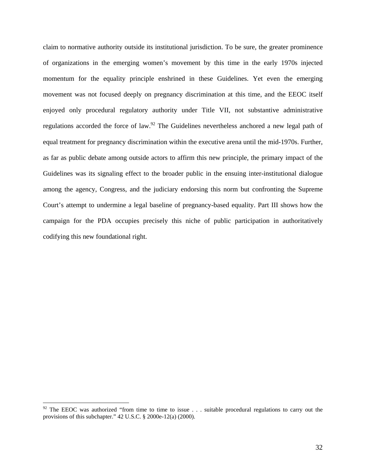claim to normative authority outside its institutional jurisdiction. To be sure, the greater prominence of organizations in the emerging women's movement by this time in the early 1970s injected momentum for the equality principle enshrined in these Guidelines. Yet even the emerging movement was not focused deeply on pregnancy discrimination at this time, and the EEOC itself enjoyed only procedural regulatory authority under Title VII, not substantive administrative regulations accorded the force of law.<sup>92</sup> The Guidelines nevertheless anchored a new legal path of equal treatment for pregnancy discrimination within the executive arena until the mid-1970s. Further, as far as public debate among outside actors to affirm this new principle, the primary impact of the Guidelines was its signaling effect to the broader public in the ensuing inter-institutional dialogue among the agency, Congress, and the judiciary endorsing this norm but confronting the Supreme Court's attempt to undermine a legal baseline of pregnancy-based equality. Part III shows how the campaign for the PDA occupies precisely this niche of public participation in authoritatively codifying this new foundational right.

<sup>&</sup>lt;sup>92</sup> The EEOC was authorized "from time to time to issue  $\ldots$  suitable procedural regulations to carry out the provisions of this subchapter." 42 U.S.C. § 2000e-12(a) (2000).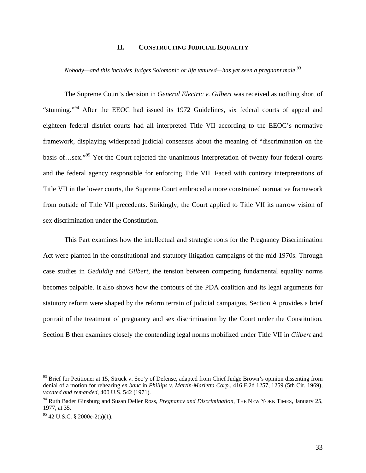### **II. CONSTRUCTING JUDICIAL EQUALITY**

*Nobody—and this includes Judges Solomonic or life tenured—has yet seen a pregnant male*. 93

The Supreme Court's decision in *General Electric v. Gilbert* was received as nothing short of "stunning."94 After the EEOC had issued its 1972 Guidelines, six federal courts of appeal and eighteen federal district courts had all interpreted Title VII according to the EEOC's normative framework, displaying widespread judicial consensus about the meaning of "discrimination on the basis of…sex."95 Yet the Court rejected the unanimous interpretation of twenty-four federal courts and the federal agency responsible for enforcing Title VII. Faced with contrary interpretations of Title VII in the lower courts, the Supreme Court embraced a more constrained normative framework from outside of Title VII precedents. Strikingly, the Court applied to Title VII its narrow vision of sex discrimination under the Constitution.

This Part examines how the intellectual and strategic roots for the Pregnancy Discrimination Act were planted in the constitutional and statutory litigation campaigns of the mid-1970s. Through case studies in *Geduldig* and *Gilbert*, the tension between competing fundamental equality norms becomes palpable. It also shows how the contours of the PDA coalition and its legal arguments for statutory reform were shaped by the reform terrain of judicial campaigns. Section A provides a brief portrait of the treatment of pregnancy and sex discrimination by the Court under the Constitution. Section B then examines closely the contending legal norms mobilized under Title VII in *Gilbert* and

<sup>&</sup>lt;sup>93</sup> Brief for Petitioner at 15, Struck v. Sec'y of Defense, adapted from Chief Judge Brown's opinion dissenting from denial of a motion for rehearing *en banc* in *Phillips v. Martin-Marietta Corp*., 416 F.2d 1257, 1259 (5th Cir. 1969), *vacated and remanded*, 400 U.S. 542 (1971).

<sup>94</sup> Ruth Bader Ginsburg and Susan Deller Ross, *Pregnancy and Discrimination*, THE NEW YORK TIMES, January 25, 1977, at 35.

 $95$  42 U.S.C. § 2000e-2(a)(1).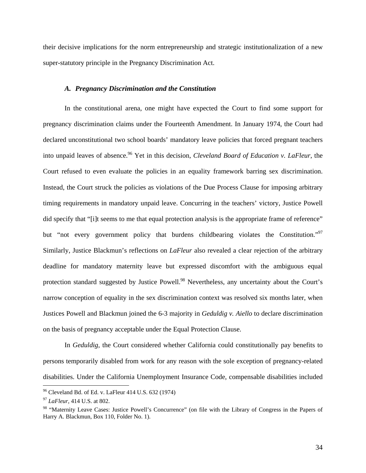their decisive implications for the norm entrepreneurship and strategic institutionalization of a new super-statutory principle in the Pregnancy Discrimination Act.

#### *A. Pregnancy Discrimination and the Constitution*

In the constitutional arena, one might have expected the Court to find some support for pregnancy discrimination claims under the Fourteenth Amendment. In January 1974, the Court had declared unconstitutional two school boards' mandatory leave policies that forced pregnant teachers into unpaid leaves of absence.<sup>96</sup> Yet in this decision, *Cleveland Board of Education v. LaFleur*, the Court refused to even evaluate the policies in an equality framework barring sex discrimination. Instead, the Court struck the policies as violations of the Due Process Clause for imposing arbitrary timing requirements in mandatory unpaid leave. Concurring in the teachers' victory, Justice Powell did specify that "[i]t seems to me that equal protection analysis is the appropriate frame of reference" but "not every government policy that burdens childbearing violates the Constitution."<sup>97</sup> Similarly, Justice Blackmun's reflections on *LaFleur* also revealed a clear rejection of the arbitrary deadline for mandatory maternity leave but expressed discomfort with the ambiguous equal protection standard suggested by Justice Powell.<sup>98</sup> Nevertheless, any uncertainty about the Court's narrow conception of equality in the sex discrimination context was resolved six months later, when Justices Powell and Blackmun joined the 6-3 majority in *Geduldig v. Aiello* to declare discrimination on the basis of pregnancy acceptable under the Equal Protection Clause.

In *Geduldig*, the Court considered whether California could constitutionally pay benefits to persons temporarily disabled from work for any reason with the sole exception of pregnancy-related disabilities. Under the California Unemployment Insurance Code, compensable disabilities included

 $96$  Cleveland Bd. of Ed. v. LaFleur 414 U.S. 632 (1974)

<sup>97</sup> *LaFleur*, 414 U.S. at 802.

<sup>&</sup>lt;sup>98</sup> "Maternity Leave Cases: Justice Powell's Concurrence" (on file with the Library of Congress in the Papers of Harry A. Blackmun, Box 110, Folder No. 1).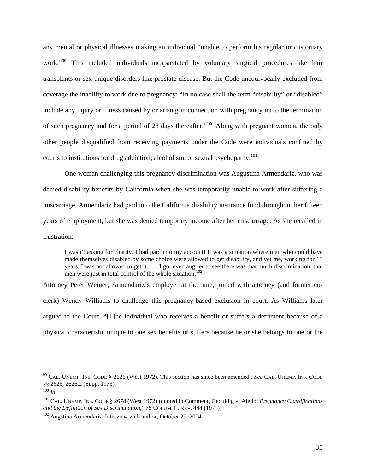any mental or physical illnesses making an individual "unable to perform his regular or customary work."<sup>99</sup> This included individuals incapacitated by voluntary surgical procedures like hair transplants or sex-unique disorders like prostate disease. But the Code unequivocally excluded from coverage the inability to work due to pregnancy: "In no case shall the term "disability" or "disabled" include any injury or illness caused by or arising in connection with pregnancy up to the termination of such pregnancy and for a period of 28 days thereafter."100 Along with pregnant women, the only other people disqualified from receiving payments under the Code were individuals confined by courts to institutions for drug addiction, alcoholism, or sexual psychopathy.<sup>101</sup>

One woman challenging this pregnancy discrimination was Augustina Armendariz, who was denied disability benefits by California when she was temporarily unable to work after suffering a miscarriage. Armendariz had paid into the California disability insurance fund throughout her fifteen years of employment, but she was denied temporary income after her miscarriage. As she recalled in frustration:

I wasn't asking for charity. I had paid into my account! It was a situation where men who could have made themselves disabled by some choice were allowed to get disability, and yet me, working for 15 years, I was not allowed to get it. . . . I got even angrier to see there was that much discrimination, that men were just in total control of the whole situation.<sup>102</sup>

Attorney Peter Weiner, Armendariz's employer at the time, joined with attorney (and former coclerk) Wendy Williams to challenge this pregnancy-based exclusion in court. As Williams later argued to the Court, "[T]he individual who receives a benefit or suffers a detriment because of a physical characteristic unique to one sex benefits or suffers because he or she belongs to one or the

<sup>99</sup> CAL. UNEMP. INS. CODE § 2626 (West 1972). This section has since been amended . *See* CAL. UNEMP. INS. CODE §§ 2626, 2626.2 (Supp. 1973).

<sup>100</sup> *Id.*

<sup>&</sup>lt;sup>101</sup> CAL. UNEMP. INS. CODE § 2678 (West 1972) (quoted in Comment, Geduldig v. Aiello: *Pregnancy Classifications* and the Definition of Sex Discrimination," 75 COLUM. L. REV. 444 (1975))

<sup>&</sup>lt;sup>102</sup> Augstina Armendariz, Interview with author, October 29, 2004.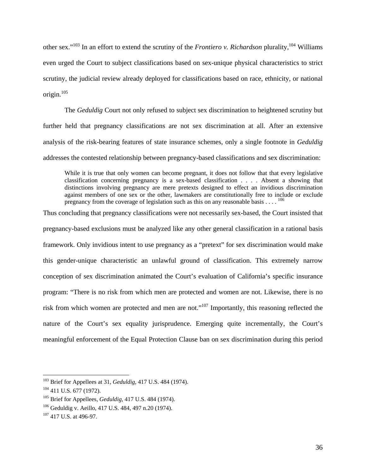other sex."103 In an effort to extend the scrutiny of the *Frontiero v. Richardson* plurality*,* <sup>104</sup> Williams even urged the Court to subject classifications based on sex-unique physical characteristics to strict scrutiny, the judicial review already deployed for classifications based on race, ethnicity, or national origin.<sup>105</sup>

 The *Geduldig* Court not only refused to subject sex discrimination to heightened scrutiny but further held that pregnancy classifications are not sex discrimination at all. After an extensive analysis of the risk-bearing features of state insurance schemes, only a single footnote in *Geduldig*  addresses the contested relationship between pregnancy-based classifications and sex discrimination:

While it is true that only women can become pregnant, it does not follow that that every legislative classification concerning pregnancy is a sex-based classification . . . . Absent a showing that distinctions involving pregnancy are mere pretexts designed to effect an invidious discrimination against members of one sex or the other, lawmakers are constitutionally free to include or exclude pregnancy from the coverage of legislation such as this on any reasonable basis  $\ldots$ .

Thus concluding that pregnancy classifications were not necessarily sex-based, the Court insisted that pregnancy-based exclusions must be analyzed like any other general classification in a rational basis framework. Only invidious intent to use pregnancy as a "pretext" for sex discrimination would make this gender-unique characteristic an unlawful ground of classification. This extremely narrow conception of sex discrimination animated the Court's evaluation of California's specific insurance program: "There is no risk from which men are protected and women are not. Likewise, there is no risk from which women are protected and men are not."107 Importantly, this reasoning reflected the nature of the Court's sex equality jurisprudence. Emerging quite incrementally, the Court's meaningful enforcement of the Equal Protection Clause ban on sex discrimination during this period

<sup>&</sup>lt;sup>103</sup> Brief for Appellees at 31, *Geduldig*, 417 U.S. 484 (1974).<br><sup>104</sup> 411 U.S. 677 (1972).

<sup>105</sup> Brief for Appellees, *Geduldig*, 417 U.S. 484 (1974).

<sup>106</sup> Geduldig v. Aeillo, 417 U.S. 484, 497 n.20 (1974).

 $107$  417 U.S. at 496-97.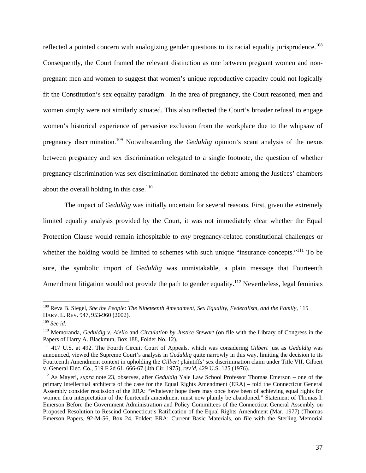reflected a pointed concern with analogizing gender questions to its racial equality jurisprudence.<sup>108</sup> Consequently, the Court framed the relevant distinction as one between pregnant women and nonpregnant men and women to suggest that women's unique reproductive capacity could not logically fit the Constitution's sex equality paradigm. In the area of pregnancy, the Court reasoned, men and women simply were not similarly situated. This also reflected the Court's broader refusal to engage women's historical experience of pervasive exclusion from the workplace due to the whipsaw of pregnancy discrimination.109 Notwithstanding the *Geduldig* opinion's scant analysis of the nexus between pregnancy and sex discrimination relegated to a single footnote, the question of whether pregnancy discrimination was sex discrimination dominated the debate among the Justices' chambers about the overall holding in this case.<sup>110</sup>

The impact of *Geduldig* was initially uncertain for several reasons. First, given the extremely limited equality analysis provided by the Court, it was not immediately clear whether the Equal Protection Clause would remain inhospitable to *any* pregnancy-related constitutional challenges or whether the holding would be limited to schemes with such unique "insurance concepts."<sup>111</sup> To be sure, the symbolic import of *Geduldig* was unmistakable, a plain message that Fourteenth Amendment litigation would not provide the path to gender equality.<sup>112</sup> Nevertheless, legal feminists

<sup>&</sup>lt;sup>108</sup> Reva B. Siegel, *She the People: The Nineteenth Amendment, Sex Equality, Federalism, and the Family, 115* HARV. L. REV. 947, 953-960 (2002).

<sup>109</sup> *See id.* 

<sup>&</sup>lt;sup>110</sup> Memoranda, *Geduldig v. Aiello* and *Circulation by Justice Stewart* (on file with the Library of Congress in the Papers of Harry A. Blackmun, Box 188, Folder No. 12).

<sup>111 417</sup> U.S. at 492. The Fourth Circuit Court of Appeals, which was considering *Gilbert* just as *Geduldig* was announced, viewed the Supreme Court's analysis in *Geduldig* quite narrowly in this way, limiting the decision to its Fourteenth Amendment context in upholding the *Gilbert* plaintiffs' sex discrimination claim under Title VII. Gilbert

<sup>&</sup>lt;sup>112</sup> As Mayeri, *supra* note 23, observes, after *Geduldig* Yale Law School Professor Thomas Emerson – one of the primary intellectual architects of the case for the Equal Rights Amendment (ERA) – told the Connecticut General Assembly consider rescission of the ERA: "Whatever hope there may once have been of achieving equal rights for women thru interpretation of the fourteenth amendment must now plainly be abandoned." Statement of Thomas I. Emerson Before the Government Administration and Policy Committees of the Connecticut General Assembly on Proposed Resolution to Rescind Connecticut's Ratification of the Equal Rights Amendment (Mar. 1977) (Thomas Emerson Papers, 92-M-56, Box 24, Folder: ERA: Current Basic Materials, on file with the Sterling Memorial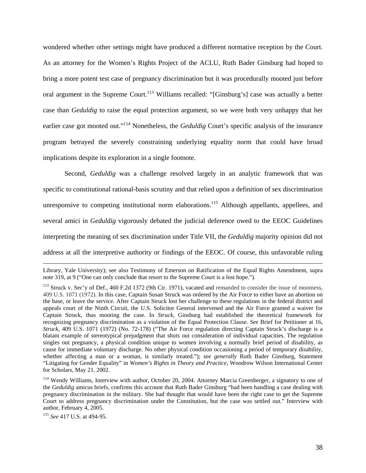wondered whether other settings might have produced a different normative reception by the Court. As an attorney for the Women's Rights Project of the ACLU, Ruth Bader Ginsburg had hoped to bring a more potent test case of pregnancy discrimination but it was procedurally mooted just before oral argument in the Supreme Court.<sup>113</sup> Williams recalled: "[Ginsburg's] case was actually a better case than *Geduldig* to raise the equal protection argument, so we were both very unhappy that her earlier case got mooted out."114 Nonetheless, the *Geduldig* Court's specific analysis of the insurance program betrayed the severely constraining underlying equality norm that could have broad implications despite its exploration in a single footnote.

Second, *Geduldig* was a challenge resolved largely in an analytic framework that was specific to constitutional rational-basis scrutiny and that relied upon a definition of sex discrimination unresponsive to competing institutional norm elaborations.<sup>115</sup> Although appellants, appellees, and several amici in *Geduldig* vigorously debated the judicial deference owed to the EEOC Guidelines interpreting the meaning of sex discrimination under Title VII, the *Geduldig* majority opinion did not address at all the interpretive authority or findings of the EEOC. Of course, this unfavorable ruling

Library, Yale University); see also Testimony of Emerson on Ratification of the Equal Rights Amendment, supra note 319, at 9 ("One can only conclude that resort to the Supreme Court is a lost hope.").

<sup>&</sup>lt;sup>113</sup> Struck v. Sec'y of Def., 460 F.2d 1372 (9th Cir. 1971), vacated and remanded to consider the issue of mootness, 409 U.S. 1071 (1972). In this case, Captain Susan Struck was ordered by the Air Force to either have an abortion on the base, or leave the service. After Captain Struck lost her challenge to these regulations in the federal district and appeals court of the Ninth Circuit, the U.S. Solicitor General intervened and the Air Force granted a waiver for Captain Struck, thus mooting the case. In *Struck*, Ginsburg had established the theoretical framework for recognizing pregnancy discrimination as a violation of the Equal Protection Clause. *See* Brief for Petitioner at 16, *Struck*, 409 U.S. 1071 (1972) (No. 72-178) ("The Air Force regulation directing Captain Struck's discharge is a blatant example of stereotypical prejudgment that shuts out consideration of individual capacities. The regulation singles out pregnancy, a physical condition unique to women involving a normally brief period of disability, as cause for immediate voluntary discharge. No other physical condition occasioning a period of temporary disability, whether affecting a man or a woman, is similarly treated."); *see generally* Ruth Bader Ginsburg, Statement "Litigating for Gender Equality" in *Women's Rights in Theory and Practice*, Woodrow Wilson International Center for Scholars, May 21, 2002.

<sup>&</sup>lt;sup>114</sup> Wendy Williams, Interview with author, October 20, 2004. Attorney Marcia Greenberger, a signatory to one of the *Geduldig* amicus briefs, confirms this account that Ruth Bader Ginsburg "had been handling a case dealing with pregnancy discrimination in the military. She had thought that would have been the right case to get the Supreme Court to address pregnancy discrimination under the Constitution, but the case was settled out." Interview with author, February 4, 2005.

<sup>115</sup> *See* 417 U.S. at 494-95.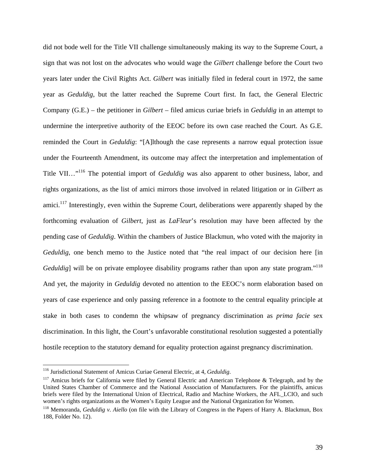did not bode well for the Title VII challenge simultaneously making its way to the Supreme Court, a sign that was not lost on the advocates who would wage the *Gilbert* challenge before the Court two years later under the Civil Rights Act. *Gilbert* was initially filed in federal court in 1972, the same year as *Geduldig*, but the latter reached the Supreme Court first. In fact, the General Electric Company (G.E.) – the petitioner in *Gilbert* – filed amicus curiae briefs in *Geduldig* in an attempt to undermine the interpretive authority of the EEOC before its own case reached the Court. As G.E. reminded the Court in *Geduldig*: "[A]lthough the case represents a narrow equal protection issue under the Fourteenth Amendment, its outcome may affect the interpretation and implementation of Title VII…"116 The potential import of *Geduldig* was also apparent to other business, labor, and rights organizations, as the list of amici mirrors those involved in related litigation or in *Gilbert* as amici.<sup>117</sup> Interestingly, even within the Supreme Court, deliberations were apparently shaped by the forthcoming evaluation of *Gilbert*, just as *LaFleur*'s resolution may have been affected by the pending case of *Geduldig*. Within the chambers of Justice Blackmun, who voted with the majority in *Geduldig*, one bench memo to the Justice noted that "the real impact of our decision here [in *Geduldig*] will be on private employee disability programs rather than upon any state program."<sup>118</sup> And yet, the majority in *Geduldig* devoted no attention to the EEOC's norm elaboration based on years of case experience and only passing reference in a footnote to the central equality principle at stake in both cases to condemn the whipsaw of pregnancy discrimination as *prima facie* sex discrimination. In this light, the Court's unfavorable constitutional resolution suggested a potentially hostile reception to the statutory demand for equality protection against pregnancy discrimination.

<sup>&</sup>lt;sup>116</sup> Jurisdictional Statement of Amicus Curiae General Electric, at 4, Geduldig.

<sup>&</sup>lt;sup>117</sup> Amicus briefs for California were filed by General Electric and American Telephone & Telegraph, and by the United States Chamber of Commerce and the National Association of Manufacturers. For the plaintiffs, amicus briefs were filed by the International Union of Electrical, Radio and Machine Workers, the AFL\_LCIO, and such women's rights organizations as the Women's Equity League and the National Organization for Women.

<sup>118</sup> Memoranda, *Geduldig v. Aiello* (on file with the Library of Congress in the Papers of Harry A. Blackmun, Box 188, Folder No. 12).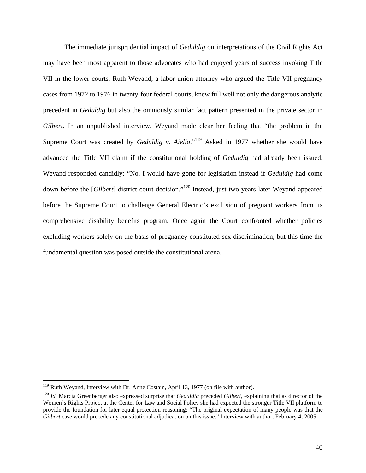The immediate jurisprudential impact of *Geduldig* on interpretations of the Civil Rights Act may have been most apparent to those advocates who had enjoyed years of success invoking Title VII in the lower courts. Ruth Weyand, a labor union attorney who argued the Title VII pregnancy cases from 1972 to 1976 in twenty-four federal courts, knew full well not only the dangerous analytic precedent in *Geduldig* but also the ominously similar fact pattern presented in the private sector in *Gilbert*. In an unpublished interview, Weyand made clear her feeling that "the problem in the Supreme Court was created by *Geduldig v. Aiello*."<sup>119</sup> Asked in 1977 whether she would have advanced the Title VII claim if the constitutional holding of *Geduldig* had already been issued, Weyand responded candidly: "No. I would have gone for legislation instead if *Geduldig* had come down before the [*Gilbert*] district court decision."120 Instead, just two years later Weyand appeared before the Supreme Court to challenge General Electric's exclusion of pregnant workers from its comprehensive disability benefits program. Once again the Court confronted whether policies excluding workers solely on the basis of pregnancy constituted sex discrimination, but this time the fundamental question was posed outside the constitutional arena.

<sup>&</sup>lt;sup>119</sup> Ruth Weyand, Interview with Dr. Anne Costain, April 13, 1977 (on file with author).

<sup>120</sup> *Id.* Marcia Greenberger also expressed surprise that *Geduldig* preceded *Gilbert*, explaining that as director of the Women's Rights Project at the Center for Law and Social Policy she had expected the stronger Title VII platform to provide the foundation for later equal protection reasoning: "The original expectation of many people was that the *Gilbert* case would precede any constitutional adjudication on this issue." Interview with author, February 4, 2005.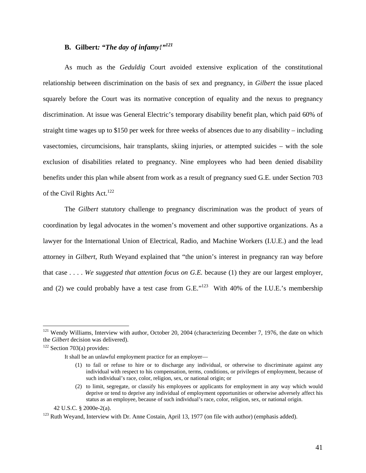# **B. Gilbert***: "The day of infamy!"<sup>121</sup>*

As much as the *Geduldig* Court avoided extensive explication of the constitutional relationship between discrimination on the basis of sex and pregnancy, in *Gilbert* the issue placed squarely before the Court was its normative conception of equality and the nexus to pregnancy discrimination. At issue was General Electric's temporary disability benefit plan, which paid 60% of straight time wages up to \$150 per week for three weeks of absences due to any disability – including vasectomies, circumcisions, hair transplants, skiing injuries, or attempted suicides – with the sole exclusion of disabilities related to pregnancy. Nine employees who had been denied disability benefits under this plan while absent from work as a result of pregnancy sued G.E. under Section 703 of the Civil Rights Act.<sup>122</sup>

The *Gilbert* statutory challenge to pregnancy discrimination was the product of years of coordination by legal advocates in the women's movement and other supportive organizations. As a lawyer for the International Union of Electrical, Radio, and Machine Workers (I.U.E.) and the lead attorney in *Gilbert*, Ruth Weyand explained that "the union's interest in pregnancy ran way before that case . . . . *We suggested that attention focus on G.E.* because (1) they are our largest employer, and (2) we could probably have a test case from  $G.E.^{123}$  With 40% of the I.U.E.'s membership

 $121$  Wendy Williams, Interview with author, October 20, 2004 (characterizing December 7, 1976, the date on which the *Gilbert* decision was delivered).

 $122$  Section 703(a) provides:

It shall be an unlawful employment practice for an employer—

<sup>(1)</sup> to fail or refuse to hire or to discharge any individual, or otherwise to discriminate against any individual with respect to his compensation, terms, conditions, or privileges of employment, because of such individual's race, color, religion, sex, or national origin; or

<sup>(2)</sup> to limit, segregate, or classify his employees or applicants for employment in any way which would deprive or tend to deprive any individual of employment opportunities or otherwise adversely affect his status as an employee, because of such individual's race, color, religion, sex, or national origin.

 <sup>42</sup> U.S.C. § 2000e-2(a).

<sup>&</sup>lt;sup>123</sup> Ruth Wevand, Interview with Dr. Anne Costain, April 13, 1977 (on file with author) (emphasis added).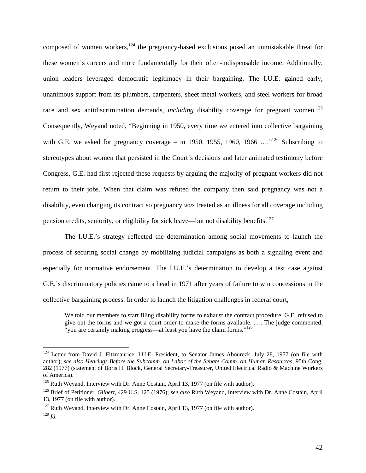composed of women workers, $124$  the pregnancy-based exclusions posed an unmistakable threat for these women's careers and more fundamentally for their often-indispensable income. Additionally, union leaders leveraged democratic legitimacy in their bargaining. The I.U.E. gained early, unanimous support from its plumbers, carpenters, sheet metal workers, and steel workers for broad race and sex antidiscrimination demands, *including* disability coverage for pregnant women.<sup>125</sup> Consequently, Weyand noted, "Beginning in 1950, every time we entered into collective bargaining with G.E. we asked for pregnancy coverage – in 1950, 1955, 1960, 1966  $\ldots$ <sup>126</sup> Subscribing to stereotypes about women that persisted in the Court's decisions and later animated testimony before Congress, G.E. had first rejected these requests by arguing the majority of pregnant workers did not return to their jobs. When that claim was refuted the company then said pregnancy was not a disability, even changing its contract so pregnancy *was* treated as an illness for all coverage including pension credits, seniority, or eligibility for sick leave—but not disability benefits.127

The I.U.E.'s strategy reflected the determination among social movements to launch the process of securing social change by mobilizing judicial campaigns as both a signaling event and especially for normative endorsement. The I.U.E.'s determination to develop a test case against G.E.'s discriminatory policies came to a head in 1971 after years of failure to win concessions in the collective bargaining process. In order to launch the litigation challenges in federal court,

We told our members to start filing disability forms to exhaust the contract procedure. G.E. refused to give out the forms and we got a court order to make the forms available. . . . The judge commented, "you are certainly making progress—at least you have the claim forms."<sup>128</sup>

<sup>&</sup>lt;sup>124</sup> Letter from David J. Fitzmaurice, I.U.E. President, to Senator James Abourezk, July 28, 1977 (on file with author); *see also Hearings Before the Subcomm. on Labor of the Senate Comm. on Human Resources*, 95th Cong. 282 (1977) (statement of Boris H. Block, General Secretary-Treasurer, United Electrical Radio & Machine Workers of America).

 $125$  Ruth Weyand, Interview with Dr. Anne Costain, April 13, 1977 (on file with author).

<sup>126</sup> Brief of Petitioner, *Gilbert*, 429 U.S. 125 (1976); *see also* Ruth Weyand, Interview with Dr. Anne Costain, April 13, 1977 (on file with author).

 $127$  Ruth Weyand, Interview with Dr. Anne Costain, April 13, 1977 (on file with author). <sup>128</sup> *Id.*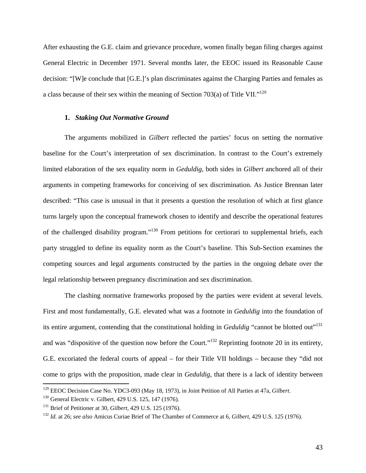After exhausting the G.E. claim and grievance procedure, women finally began filing charges against General Electric in December 1971. Several months later, the EEOC issued its Reasonable Cause decision: "[W]e conclude that [G.E.]'s plan discriminates against the Charging Parties and females as a class because of their sex within the meaning of Section 703(a) of Title VII."<sup>129</sup>

### **1.** *Staking Out Normative Ground*

The arguments mobilized in *Gilbert* reflected the parties' focus on setting the normative baseline for the Court's interpretation of sex discrimination. In contrast to the Court's extremely limited elaboration of the sex equality norm in *Geduldig*, both sides in *Gilbert* anchored all of their arguments in competing frameworks for conceiving of sex discrimination. As Justice Brennan later described: "This case is unusual in that it presents a question the resolution of which at first glance turns largely upon the conceptual framework chosen to identify and describe the operational features of the challenged disability program."130 From petitions for certiorari to supplemental briefs, each party struggled to define its equality norm as the Court's baseline. This Sub-Section examines the competing sources and legal arguments constructed by the parties in the ongoing debate over the legal relationship between pregnancy discrimination and sex discrimination.

The clashing normative frameworks proposed by the parties were evident at several levels. First and most fundamentally, G.E. elevated what was a footnote in *Geduldig* into the foundation of its entire argument, contending that the constitutional holding in *Geduldig* "cannot be blotted out"<sup>131</sup> and was "dispositive of the question now before the Court."132 Reprinting footnote 20 in its entirety, G.E. excoriated the federal courts of appeal – for their Title VII holdings – because they "did not come to grips with the proposition, made clear in *Geduldig*, that there is a lack of identity between  $\overline{a}$ 

<sup>129</sup> EEOC Decision Case No. YDC3-093 (May 18, 1973), in Joint Petition of All Parties at 47a, *Gilbert*. 130 General Electric v. Gilbert, 429 U.S. 125, 147 (1976).

<sup>&</sup>lt;sup>131</sup> Brief of Petitioner at 30, *Gilbert*, 429 U.S. 125 (1976).<br><sup>132</sup> *Id.* at 26; *see also* Amicus Curiae Brief of The Chamber of Commerce at 6, *Gilbert*, 429 U.S. 125 (1976).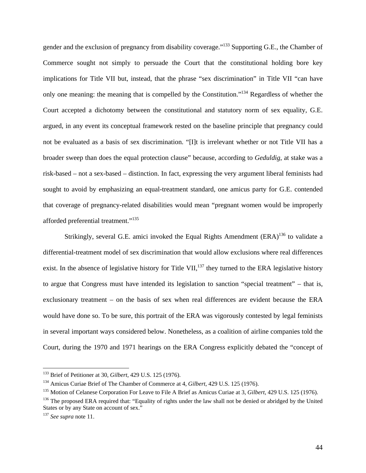gender and the exclusion of pregnancy from disability coverage."133 Supporting G.E., the Chamber of Commerce sought not simply to persuade the Court that the constitutional holding bore key implications for Title VII but, instead, that the phrase "sex discrimination" in Title VII "can have only one meaning: the meaning that is compelled by the Constitution."134 Regardless of whether the Court accepted a dichotomy between the constitutional and statutory norm of sex equality, G.E. argued, in any event its conceptual framework rested on the baseline principle that pregnancy could not be evaluated as a basis of sex discrimination. "[I]t is irrelevant whether or not Title VII has a broader sweep than does the equal protection clause" because, according to *Geduldig*, at stake was a risk-based – not a sex-based – distinction. In fact, expressing the very argument liberal feminists had sought to avoid by emphasizing an equal-treatment standard, one amicus party for G.E. contended that coverage of pregnancy-related disabilities would mean "pregnant women would be improperly afforded preferential treatment."<sup>135</sup>

Strikingly, several G.E. amici invoked the Equal Rights Amendment (ERA)<sup>136</sup> to validate a differential-treatment model of sex discrimination that would allow exclusions where real differences exist. In the absence of legislative history for Title VII, $^{137}$  they turned to the ERA legislative history to argue that Congress must have intended its legislation to sanction "special treatment" – that is, exclusionary treatment – on the basis of sex when real differences are evident because the ERA would have done so. To be sure, this portrait of the ERA was vigorously contested by legal feminists in several important ways considered below. Nonetheless, as a coalition of airline companies told the Court, during the 1970 and 1971 hearings on the ERA Congress explicitly debated the "concept of

<sup>133</sup> Brief of Petitioner at 30, *Gilbert*, 429 U.S. 125 (1976).

<sup>&</sup>lt;sup>134</sup> Amicus Curiae Brief of The Chamber of Commerce at 4, *Gilbert*, 429 U.S. 125 (1976).<br><sup>135</sup> Motion of Celanese Corporation For Leave to File A Brief as Amicus Curiae at 3, *Gilbert*, 429 U.S. 125 (1976).<br><sup>136</sup> The pro States or by any State on account of sex." 137 *See supra* note 11.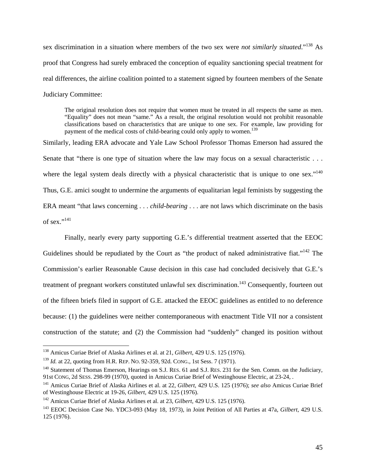sex discrimination in a situation where members of the two sex were *not similarly situated*."138 As proof that Congress had surely embraced the conception of equality sanctioning special treatment for real differences, the airline coalition pointed to a statement signed by fourteen members of the Senate Judiciary Committee:

The original resolution does not require that women must be treated in all respects the same as men. "Equality" does not mean "same." As a result, the original resolution would not prohibit reasonable classifications based on characteristics that are unique to one sex. For example, law providing for payment of the medical costs of child-bearing could only apply to women.<sup>139</sup>

Similarly, leading ERA advocate and Yale Law School Professor Thomas Emerson had assured the Senate that "there is one type of situation where the law may focus on a sexual characteristic ... where the legal system deals directly with a physical characteristic that is unique to one sex."<sup>140</sup> Thus, G.E. amici sought to undermine the arguments of equalitarian legal feminists by suggesting the ERA meant "that laws concerning . . . *child-bearing* . . . are not laws which discriminate on the basis of sex." $^{141}$ 

 Finally, nearly every party supporting G.E.'s differential treatment asserted that the EEOC Guidelines should be repudiated by the Court as "the product of naked administrative fiat."<sup>142</sup> The Commission's earlier Reasonable Cause decision in this case had concluded decisively that G.E.'s treatment of pregnant workers constituted unlawful sex discrimination.<sup>143</sup> Consequently, fourteen out of the fifteen briefs filed in support of G.E. attacked the EEOC guidelines as entitled to no deference because: (1) the guidelines were neither contemporaneous with enactment Title VII nor a consistent construction of the statute; and (2) the Commission had "suddenly" changed its position without

<sup>138</sup> Amicus Curiae Brief of Alaska Airlines et al. at 21, *Gilbert*, 429 U.S. 125 (1976).

<sup>&</sup>lt;sup>139</sup> *Id.* at 22, quoting from H.R. REP. NO. 92-359, 92d. CONG., 1st Sess. 7 (1971).<br><sup>140</sup> Statement of Thomas Emerson, Hearings on S.J. RES. 61 and S.J. RES. 231 for the Sen. Comm. on the Judiciary, 91st CONG, 2d SESS. 298-99 (1970), quoted in Amicus Curiae Brief of Westinghouse Electric, at 23-24, .

<sup>141</sup> Amicus Curiae Brief of Alaska Airlines et al. at 22, *Gilbert*, 429 U.S. 125 (1976); *see also* Amicus Curiae Brief of Westinghouse Electric at 19-26, *Gilbert*, 429 U.S. 125 (1976).

<sup>142</sup> Amicus Curiae Brief of Alaska Airlines et al. at 23, *Gilbert*, 429 U.S. 125 (1976).

<sup>143</sup> EEOC Decision Case No. YDC3-093 (May 18, 1973), in Joint Petition of All Parties at 47a, *Gilbert*, 429 U.S. 125 (1976).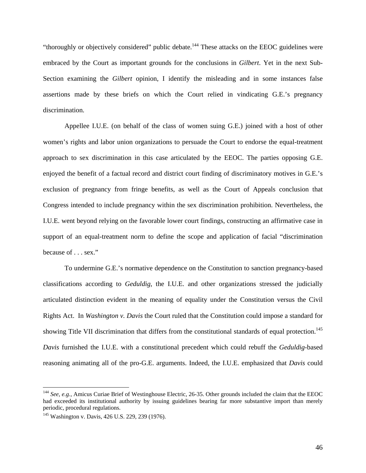"thoroughly or objectively considered" public debate.<sup>144</sup> These attacks on the EEOC guidelines were embraced by the Court as important grounds for the conclusions in *Gilbert*. Yet in the next Sub-Section examining the *Gilbert* opinion, I identify the misleading and in some instances false assertions made by these briefs on which the Court relied in vindicating G.E.'s pregnancy discrimination.

 Appellee I.U.E. (on behalf of the class of women suing G.E.) joined with a host of other women's rights and labor union organizations to persuade the Court to endorse the equal-treatment approach to sex discrimination in this case articulated by the EEOC. The parties opposing G.E. enjoyed the benefit of a factual record and district court finding of discriminatory motives in G.E.'s exclusion of pregnancy from fringe benefits, as well as the Court of Appeals conclusion that Congress intended to include pregnancy within the sex discrimination prohibition. Nevertheless, the I.U.E. went beyond relying on the favorable lower court findings, constructing an affirmative case in support of an equal-treatment norm to define the scope and application of facial "discrimination because of . . . sex."

To undermine G.E.'s normative dependence on the Constitution to sanction pregnancy-based classifications according to *Geduldig*, the I.U.E. and other organizations stressed the judicially articulated distinction evident in the meaning of equality under the Constitution versus the Civil Rights Act. In *Washington v. Davis* the Court ruled that the Constitution could impose a standard for showing Title VII discrimination that differs from the constitutional standards of equal protection.<sup>145</sup> *Davis* furnished the I.U.E. with a constitutional precedent which could rebuff the *Geduldig*-based reasoning animating all of the pro-G.E. arguments. Indeed, the I.U.E. emphasized that *Davis* could

<sup>&</sup>lt;sup>144</sup> See, e.g., Amicus Curiae Brief of Westinghouse Electric, 26-35. Other grounds included the claim that the EEOC had exceeded its institutional authority by issuing guidelines bearing far more substantive import than merely periodic, procedural regulations.

<sup>145</sup> Washington v. Davis, 426 U.S. 229, 239 (1976).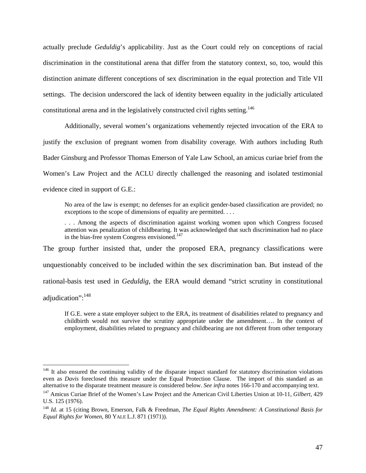actually preclude *Geduldig*'s applicability. Just as the Court could rely on conceptions of racial discrimination in the constitutional arena that differ from the statutory context, so, too, would this distinction animate different conceptions of sex discrimination in the equal protection and Title VII settings. The decision underscored the lack of identity between equality in the judicially articulated constitutional arena and in the legislatively constructed civil rights setting.<sup>146</sup>

 Additionally, several women's organizations vehemently rejected invocation of the ERA to justify the exclusion of pregnant women from disability coverage. With authors including Ruth Bader Ginsburg and Professor Thomas Emerson of Yale Law School, an amicus curiae brief from the Women's Law Project and the ACLU directly challenged the reasoning and isolated testimonial evidence cited in support of G.E.:

No area of the law is exempt; no defenses for an explicit gender-based classification are provided; no exceptions to the scope of dimensions of equality are permitted. . . .

. . . Among the aspects of discrimination against working women upon which Congress focused attention was penalization of childbearing. It was acknowledged that such discrimination had no place in the bias-free system Congress envisioned.<sup>147</sup>

The group further insisted that, under the proposed ERA, pregnancy classifications were unquestionably conceived to be included within the sex discrimination ban. But instead of the rational-basis test used in *Geduldig*, the ERA would demand "strict scrutiny in constitutional adjudication":<sup>148</sup>

If G.E. were a state employer subject to the ERA, its treatment of disabilities related to pregnancy and childbirth would not survive the scrutiny appropriate under the amendment…. In the context of employment, disabilities related to pregnancy and childbearing are not different from other temporary

<sup>&</sup>lt;sup>146</sup> It also ensured the continuing validity of the disparate impact standard for statutory discrimination violations even as *Davis* foreclosed this measure under the Equal Protection Clause. The import of this standard as an alternative to the disparate treatment measure is considered below. See infra notes 166-170 and accompanying text

<sup>&</sup>lt;sup>147</sup> Amicus Curiae Brief of the Women's Law Project and the American Civil Liberties Union at 10-11, Gilbert, 429 U.S. 125 (1976).

<sup>148</sup> *Id.* at 15 (citing Brown, Emerson, Falk & Freedman, *The Equal Rights Amendment: A Constitutional Basis for Equal Rights for Women*, 80 YALE L.J. 871 (1971)).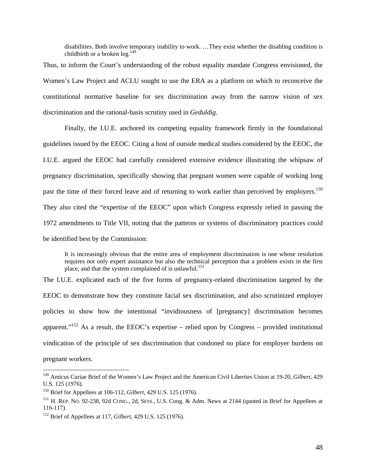disabilities. Both involve temporary inability to work. …They exist whether the disabling condition is childbirth or a broken leg. $^{149}$ 

Thus, to inform the Court's understanding of the robust equality mandate Congress envisioned, the Women's Law Project and ACLU sought to use the ERA as a platform on which to reconceive the constitutional normative baseline for sex discrimination away from the narrow vision of sex discrimination and the rational-basis scrutiny used in *Geduldig*.

 Finally, the I.U.E. anchored its competing equality framework firmly in the foundational guidelines issued by the EEOC. Citing a host of outside medical studies considered by the EEOC, the I.U.E. argued the EEOC had carefully considered extensive evidence illustrating the whipsaw of pregnancy discrimination, specifically showing that pregnant women were capable of working long past the time of their forced leave and of returning to work earlier than perceived by employers.<sup>150</sup> They also cited the "expertise of the EEOC" upon which Congress expressly relied in passing the 1972 amendments to Title VII, noting that the patterns or systems of discriminatory practices could be identified best by the Commission:

It is increasingly obvious that the entire area of employment discrimination is one whose resolution requires not only expert assistance but also the technical perception that a problem exists in the first place, and that the system complained of is unlawful.<sup>151</sup>

The I.U.E. explicated each of the five forms of pregnancy-related discrimination targeted by the EEOC to demonstrate how they constitute facial sex discrimination, and also scrutinized employer policies to show how the intentional "invidiousness of [pregnancy] discrimination becomes apparent."<sup>152</sup> As a result, the EEOC's expertise – relied upon by Congress – provided institutional vindication of the principle of sex discrimination that condoned no place for employer burdens on pregnant workers.

<sup>149</sup> Amicus Curiae Brief of the Women's Law Project and the American Civil Liberties Union at 19-20, *Gilbert*, 429 U.S. 125 (1976).

<sup>&</sup>lt;sup>150</sup> Brief for Appellees at 106-112, *Gilbert*, 429 U.S. 125 (1976).<br><sup>151</sup> H. REP. No. 92-238, 92d CONG., 2d, SESS., U.S. Cong. & Adm. News at 2144 (quoted in Brief for Appellees at 116-117).

<sup>152</sup> Brief of Appellees at 117, *Gilbert*, 429 U.S. 125 (1976).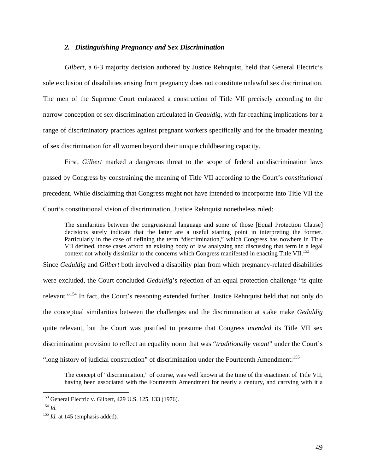## *2. Distinguishing Pregnancy and Sex Discrimination*

*Gilbert*, a 6-3 majority decision authored by Justice Rehnquist, held that General Electric's sole exclusion of disabilities arising from pregnancy does not constitute unlawful sex discrimination. The men of the Supreme Court embraced a construction of Title VII precisely according to the narrow conception of sex discrimination articulated in *Geduldig*, with far-reaching implications for a range of discriminatory practices against pregnant workers specifically and for the broader meaning of sex discrimination for all women beyond their unique childbearing capacity.

First, *Gilbert* marked a dangerous threat to the scope of federal antidiscrimination laws passed by Congress by constraining the meaning of Title VII according to the Court's *constitutional*  precedent. While disclaiming that Congress might not have intended to incorporate into Title VII the Court's constitutional vision of discrimination, Justice Rehnquist nonetheless ruled:

The similarities between the congressional language and some of those [Equal Protection Clause] decisions surely indicate that the latter are a useful starting point in interpreting the former. Particularly in the case of defining the term "discrimination," which Congress has nowhere in Title VII defined, those cases afford an existing body of law analyzing and discussing that term in a legal context not wholly dissimilar to the concerns which Congress manifested in enacting Title VII.<sup>153</sup>

Since *Geduldig* and *Gilbert* both involved a disability plan from which pregnancy-related disabilities were excluded, the Court concluded *Geduldig*'s rejection of an equal protection challenge "is quite relevant."154 In fact, the Court's reasoning extended further. Justice Rehnquist held that not only do the conceptual similarities between the challenges and the discrimination at stake make *Geduldig* quite relevant, but the Court was justified to presume that Congress *intended* its Title VII sex discrimination provision to reflect an equality norm that was "*traditionally meant*" under the Court's "long history of judicial construction" of discrimination under the Fourteenth Amendment:<sup>155</sup>

The concept of "discrimination," of course, was well known at the time of the enactment of Title VII, having been associated with the Fourteenth Amendment for nearly a century, and carrying with it a

<sup>153</sup> General Electric v. Gilbert, 429 U.S. 125, 133 (1976).

<sup>154</sup> *Id.*

<sup>&</sup>lt;sup>155</sup> *Id.* at 145 (emphasis added).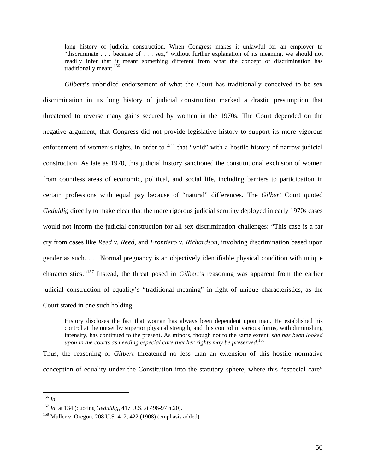long history of judicial construction. When Congress makes it unlawful for an employer to "discriminate . . . because of . . . sex," without further explanation of its meaning, we should not readily infer that it meant something different from what the concept of discrimination has traditionally meant.<sup>156</sup>

*Gilbert*'s unbridled endorsement of what the Court has traditionally conceived to be sex discrimination in its long history of judicial construction marked a drastic presumption that threatened to reverse many gains secured by women in the 1970s. The Court depended on the negative argument, that Congress did not provide legislative history to support its more vigorous enforcement of women's rights, in order to fill that "void" with a hostile history of narrow judicial construction. As late as 1970, this judicial history sanctioned the constitutional exclusion of women from countless areas of economic, political, and social life, including barriers to participation in certain professions with equal pay because of "natural" differences. The *Gilbert* Court quoted *Geduldig* directly to make clear that the more rigorous judicial scrutiny deployed in early 1970s cases would not inform the judicial construction for all sex discrimination challenges: "This case is a far cry from cases like *Reed v. Reed,* and *Frontiero v. Richardson*, involving discrimination based upon gender as such. . . . Normal pregnancy is an objectively identifiable physical condition with unique characteristics."157 Instead, the threat posed in *Gilbert*'s reasoning was apparent from the earlier judicial construction of equality's "traditional meaning" in light of unique characteristics, as the Court stated in one such holding:

History discloses the fact that woman has always been dependent upon man. He established his control at the outset by superior physical strength, and this control in various forms, with diminishing intensity, has continued to the present. As minors, though not to the same extent, *she has been looked upon in the courts as needing especial care that her rights may be preserved.*<sup>158</sup>

Thus, the reasoning of *Gilbert* threatened no less than an extension of this hostile normative conception of equality under the Constitution into the statutory sphere, where this "especial care"

<sup>156</sup> *Id*.

<sup>&</sup>lt;sup>157</sup> *Id.* at 134 (quoting *Geduldig*, 417 U.S. at 496-97 n.20).<br><sup>158</sup> Muller v. Oregon, 208 U.S. 412, 422 (1908) (emphasis added).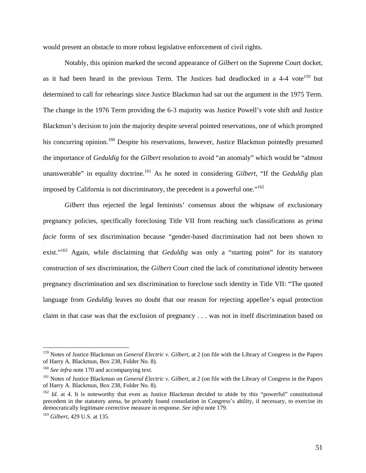would present an obstacle to more robust legislative enforcement of civil rights.

 Notably, this opinion marked the second appearance of *Gilbert* on the Supreme Court docket, as it had been heard in the previous Term. The Justices had deadlocked in a 4-4 vote<sup>159</sup> but determined to call for rehearings since Justice Blackmun had sat out the argument in the 1975 Term. The change in the 1976 Term providing the 6-3 majority was Justice Powell's vote shift and Justice Blackmun's decision to join the majority despite several pointed reservations, one of which prompted his concurring opinion.<sup>160</sup> Despite his reservations, however, Justice Blackmun pointedly presumed the importance of *Geduldig* for the *Gilbert* resolution to avoid "an anomaly" which would be "almost unanswerable" in equality doctrine.<sup>161</sup> As he noted in considering *Gilbert*, "If the *Geduldig* plan imposed by California is not discriminatory, the precedent is a powerful one."162

*Gilbert* thus rejected the legal feminists' consensus about the whipsaw of exclusionary pregnancy policies, specifically foreclosing Title VII from reaching such classifications as *prima facie* forms of sex discrimination because "gender-based discrimination had not been shown to exist."<sup>163</sup> Again, while disclaiming that *Geduldig* was only a "starting point" for its statutory construction of sex discrimination, the *Gilbert* Court cited the lack of *constitutional* identity between pregnancy discrimination and sex discrimination to foreclose such identity in Title VII: "The quoted language from *Geduldig* leaves no doubt that our reason for rejecting appellee's equal protection claim in that case was that the exclusion of pregnancy . . . was not in itself discrimination based on

<sup>159</sup> Notes of Justice Blackmun on *General Electric v. Gilbert*, at 2 (on file with the Library of Congress in the Papers of Harry A. Blackmun, Box 238, Folder No. 8).

<sup>&</sup>lt;sup>160</sup> *See infra* note 170 and accompanying text.<br><sup>161</sup> Notes of Justice Blackmun on *General Electric v. Gilbert*, at 2 (on file with the Library of Congress in the Papers of Harry A. Blackmun, Box 238, Folder No. 8).

<sup>&</sup>lt;sup>162</sup> *Id.* at 4. It is noteworthy that even as Justice Blackmun decided to abide by this "powerful" constitutional precedent in the statutory arena, he privately found consolation in Congress's ability, if necessary, to exercise its democratically legitimate corrective measure in response. *See infra* note 179. 163 *Gilbert*, 429 U.S. at 135.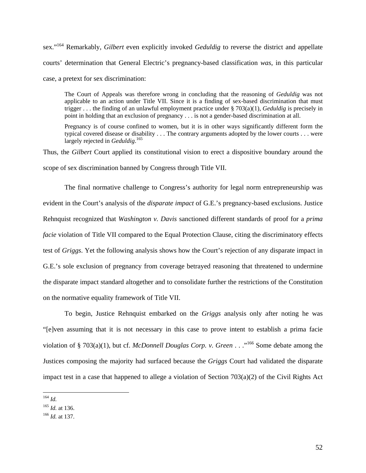sex."164 Remarkably, *Gilbert* even explicitly invoked *Geduldig* to reverse the district and appellate courts' determination that General Electric's pregnancy-based classification *was*, in this particular case, a pretext for sex discrimination:

The Court of Appeals was therefore wrong in concluding that the reasoning of *Geduldig* was not applicable to an action under Title VII. Since it is a finding of sex-based discrimination that must trigger . . . the finding of an unlawful employment practice under § 703(a)(1), *Geduldig* is precisely in point in holding that an exclusion of pregnancy . . . is not a gender-based discrimination at all.

Pregnancy is of course confined to women, but it is in other ways significantly different form the typical covered disease or disability . . . The contrary arguments adopted by the lower courts . . . were largely rejected in *Geduldig*. 165

Thus, the *Gilbert* Court applied its constitutional vision to erect a dispositive boundary around the scope of sex discrimination banned by Congress through Title VII.

The final normative challenge to Congress's authority for legal norm entrepreneurship was evident in the Court's analysis of the *disparate impact* of G.E.'s pregnancy-based exclusions. Justice Rehnquist recognized that *Washington v. Davis* sanctioned different standards of proof for a *prima facie* violation of Title VII compared to the Equal Protection Clause, citing the discriminatory effects test of *Griggs*. Yet the following analysis shows how the Court's rejection of any disparate impact in G.E.'s sole exclusion of pregnancy from coverage betrayed reasoning that threatened to undermine the disparate impact standard altogether and to consolidate further the restrictions of the Constitution on the normative equality framework of Title VII.

To begin, Justice Rehnquist embarked on the *Griggs* analysis only after noting he was "[e]ven assuming that it is not necessary in this case to prove intent to establish a prima facie violation of § 703(a)(1), but cf. *McDonnell Douglas Corp. v. Green* . . ."166 Some debate among the Justices composing the majority had surfaced because the *Griggs* Court had validated the disparate impact test in a case that happened to allege a violation of Section 703(a)(2) of the Civil Rights Act

 $\overline{a}$ <sup>164</sup> *Id.*

<sup>165</sup> *Id.* at 136. 166 *Id.* at 137.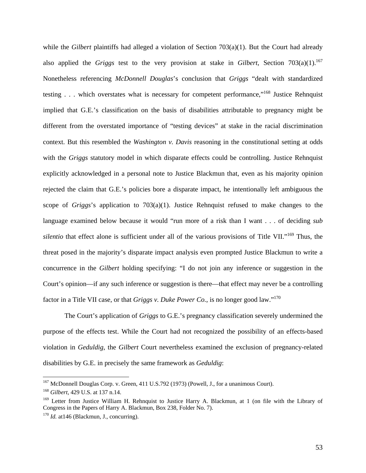while the *Gilbert* plaintiffs had alleged a violation of Section 703(a)(1). But the Court had already also applied the *Griggs* test to the very provision at stake in *Gilbert*, Section 703(a)(1).<sup>167</sup> Nonetheless referencing *McDonnell Douglas*'s conclusion that *Griggs* "dealt with standardized testing . . . which overstates what is necessary for competent performance,"168 Justice Rehnquist implied that G.E.'s classification on the basis of disabilities attributable to pregnancy might be different from the overstated importance of "testing devices" at stake in the racial discrimination context. But this resembled the *Washington v. Davis* reasoning in the constitutional setting at odds with the *Griggs* statutory model in which disparate effects could be controlling. Justice Rehnquist explicitly acknowledged in a personal note to Justice Blackmun that, even as his majority opinion rejected the claim that G.E.'s policies bore a disparate impact, he intentionally left ambiguous the scope of *Griggs*'s application to 703(a)(1). Justice Rehnquist refused to make changes to the language examined below because it would "run more of a risk than I want . . . of deciding *sub silentio* that effect alone is sufficient under all of the various provisions of Title VII."<sup>169</sup> Thus, the threat posed in the majority's disparate impact analysis even prompted Justice Blackmun to write a concurrence in the *Gilbert* holding specifying: "I do not join any inference or suggestion in the Court's opinion—if any such inference or suggestion is there—that effect may never be a controlling factor in a Title VII case, or that *Griggs v. Duke Power Co.*, is no longer good law."170

The Court's application of *Griggs* to G.E.'s pregnancy classification severely undermined the purpose of the effects test. While the Court had not recognized the possibility of an effects-based violation in *Geduldig*, the *Gilbert* Court nevertheless examined the exclusion of pregnancy-related disabilities by G.E. in precisely the same framework as *Geduldig*:

<sup>&</sup>lt;sup>167</sup> McDonnell Douglas Corp. v. Green, 411 U.S.792 (1973) (Powell, J., for a unanimous Court).

<sup>168</sup> *Gilbert*, 429 U.S. at 137 n.14.

<sup>&</sup>lt;sup>169</sup> Letter from Justice William H. Rehnquist to Justice Harry A. Blackmun, at 1 (on file with the Library of Congress in the Papers of Harry A. Blackmun, Box 238, Folder No. 7). 170 *Id.* at146 (Blackmun, J., concurring).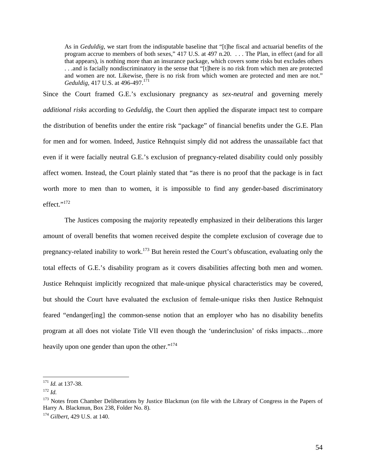As in *Geduldig*, we start from the indisputable baseline that "[t]he fiscal and actuarial benefits of the program accrue to members of both sexes," 417 U.S. at 497 n.20. . . . The Plan, in effect (and for all that appears), is nothing more than an insurance package, which covers some risks but excludes others . . .and is facially nondiscriminatory in the sense that "[t]here is no risk from which men are protected and women are not. Likewise, there is no risk from which women are protected and men are not." *Geduldig*, 417 U.S. at 496-497.<sup>171</sup>

Since the Court framed G.E.'s exclusionary pregnancy as *sex-neutral* and governing merely *additional risks* according to *Geduldig*, the Court then applied the disparate impact test to compare the distribution of benefits under the entire risk "package" of financial benefits under the G.E. Plan for men and for women. Indeed, Justice Rehnquist simply did not address the unassailable fact that even if it were facially neutral G.E.'s exclusion of pregnancy-related disability could only possibly affect women. Instead, the Court plainly stated that "as there is no proof that the package is in fact worth more to men than to women, it is impossible to find any gender-based discriminatory effect."<sup>172</sup>

The Justices composing the majority repeatedly emphasized in their deliberations this larger amount of overall benefits that women received despite the complete exclusion of coverage due to pregnancy-related inability to work.<sup>173</sup> But herein rested the Court's obfuscation, evaluating only the total effects of G.E.'s disability program as it covers disabilities affecting both men and women. Justice Rehnquist implicitly recognized that male-unique physical characteristics may be covered, but should the Court have evaluated the exclusion of female-unique risks then Justice Rehnquist feared "endanger[ing] the common-sense notion that an employer who has no disability benefits program at all does not violate Title VII even though the 'underinclusion' of risks impacts…more heavily upon one gender than upon the other."<sup>174</sup>

<sup>&</sup>lt;sup>171</sup> *Id.* at 137-38.<br><sup>172</sup> *Id.* 

<sup>&</sup>lt;sup>173</sup> Notes from Chamber Deliberations by Justice Blackmun (on file with the Library of Congress in the Papers of Harry A. Blackmun, Box 238, Folder No. 8).

<sup>174</sup> *Gilbert*, 429 U.S. at 140.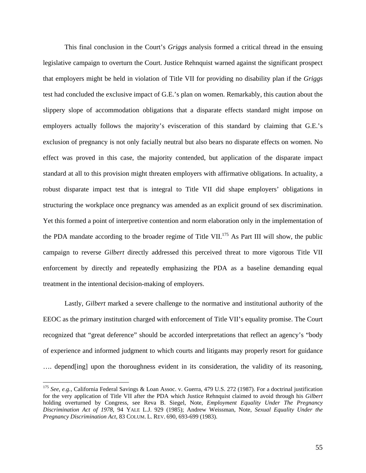This final conclusion in the Court's *Griggs* analysis formed a critical thread in the ensuing legislative campaign to overturn the Court. Justice Rehnquist warned against the significant prospect that employers might be held in violation of Title VII for providing no disability plan if the *Griggs* test had concluded the exclusive impact of G.E.'s plan on women. Remarkably, this caution about the slippery slope of accommodation obligations that a disparate effects standard might impose on employers actually follows the majority's evisceration of this standard by claiming that G.E.'s exclusion of pregnancy is not only facially neutral but also bears no disparate effects on women. No effect was proved in this case, the majority contended, but application of the disparate impact standard at all to this provision might threaten employers with affirmative obligations. In actuality, a robust disparate impact test that is integral to Title VII did shape employers' obligations in structuring the workplace once pregnancy was amended as an explicit ground of sex discrimination. Yet this formed a point of interpretive contention and norm elaboration only in the implementation of the PDA mandate according to the broader regime of Title VII.<sup>175</sup> As Part III will show, the public campaign to reverse *Gilbert* directly addressed this perceived threat to more vigorous Title VII enforcement by directly and repeatedly emphasizing the PDA as a baseline demanding equal treatment in the intentional decision-making of employers.

 Lastly, *Gilbert* marked a severe challenge to the normative and institutional authority of the EEOC as the primary institution charged with enforcement of Title VII's equality promise. The Court recognized that "great deference" should be accorded interpretations that reflect an agency's "body of experience and informed judgment to which courts and litigants may properly resort for guidance …. depend[ing] upon the thoroughness evident in its consideration, the validity of its reasoning,

<sup>175</sup> *See, e.g.*, California Federal Savings & Loan Assoc. v. Guerra, 479 U.S. 272 (1987). For a doctrinal justification for the very application of Title VII after the PDA which Justice Rehnquist claimed to avoid through his *Gilbert*  holding overturned by Congress, see Reva B. Siegel, Note, *Employment Equality Under The Pregnancy Discrimination Act of 1978*, 94 YALE L.J. 929 (1985); Andrew Weissman, Note, *Sexual Equality Under the Pregnancy Discrimination Act,* 83 COLUM. L. REV. 690, 693-699 (1983).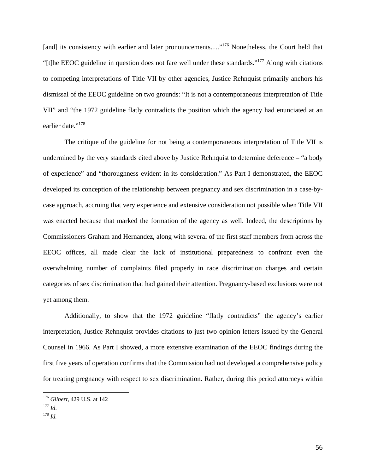[and] its consistency with earlier and later pronouncements...."<sup>176</sup> Nonetheless, the Court held that "[t]he EEOC guideline in question does not fare well under these standards."177 Along with citations to competing interpretations of Title VII by other agencies, Justice Rehnquist primarily anchors his dismissal of the EEOC guideline on two grounds: "It is not a contemporaneous interpretation of Title VII" and "the 1972 guideline flatly contradicts the position which the agency had enunciated at an earlier date."<sup>178</sup>

The critique of the guideline for not being a contemporaneous interpretation of Title VII is undermined by the very standards cited above by Justice Rehnquist to determine deference – "a body of experience" and "thoroughness evident in its consideration." As Part I demonstrated, the EEOC developed its conception of the relationship between pregnancy and sex discrimination in a case-bycase approach, accruing that very experience and extensive consideration not possible when Title VII was enacted because that marked the formation of the agency as well. Indeed, the descriptions by Commissioners Graham and Hernandez, along with several of the first staff members from across the EEOC offices, all made clear the lack of institutional preparedness to confront even the overwhelming number of complaints filed properly in race discrimination charges and certain categories of sex discrimination that had gained their attention. Pregnancy-based exclusions were not yet among them.

Additionally, to show that the 1972 guideline "flatly contradicts" the agency's earlier interpretation, Justice Rehnquist provides citations to just two opinion letters issued by the General Counsel in 1966. As Part I showed, a more extensive examination of the EEOC findings during the first five years of operation confirms that the Commission had not developed a comprehensive policy for treating pregnancy with respect to sex discrimination. Rather, during this period attorneys within

<sup>176</sup> *Gilbert*, 429 U.S. at 142

<sup>177</sup> *Id*. 178 *Id.*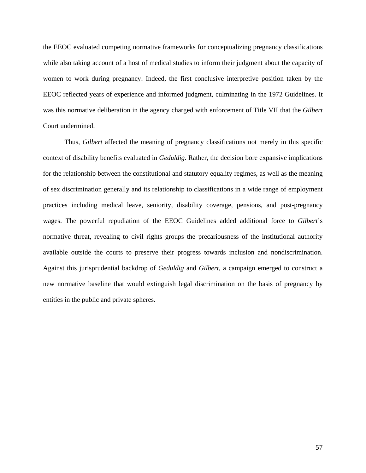the EEOC evaluated competing normative frameworks for conceptualizing pregnancy classifications while also taking account of a host of medical studies to inform their judgment about the capacity of women to work during pregnancy. Indeed, the first conclusive interpretive position taken by the EEOC reflected years of experience and informed judgment, culminating in the 1972 Guidelines. It was this normative deliberation in the agency charged with enforcement of Title VII that the *Gilbert*  Court undermined.

 Thus, *Gilbert* affected the meaning of pregnancy classifications not merely in this specific context of disability benefits evaluated in *Geduldig*. Rather, the decision bore expansive implications for the relationship between the constitutional and statutory equality regimes, as well as the meaning of sex discrimination generally and its relationship to classifications in a wide range of employment practices including medical leave, seniority, disability coverage, pensions, and post-pregnancy wages. The powerful repudiation of the EEOC Guidelines added additional force to *Gilbert*'s normative threat, revealing to civil rights groups the precariousness of the institutional authority available outside the courts to preserve their progress towards inclusion and nondiscrimination. Against this jurisprudential backdrop of *Geduldig* and *Gilbert*, a campaign emerged to construct a new normative baseline that would extinguish legal discrimination on the basis of pregnancy by entities in the public and private spheres.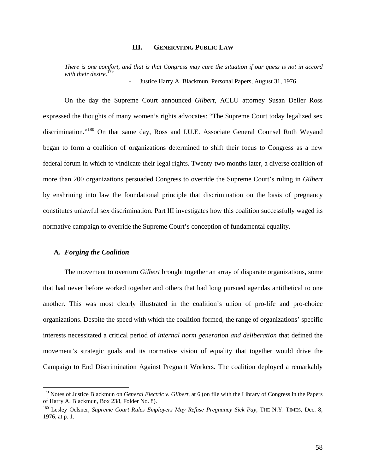## **III. GENERATING PUBLIC LAW**

*There is one comfort, and that is that Congress may cure the situation if our guess is not in accord with their desire.*<sup>1</sup> Justice Harry A. Blackmun, Personal Papers, August 31, 1976

On the day the Supreme Court announced *Gilbert*, ACLU attorney Susan Deller Ross expressed the thoughts of many women's rights advocates: "The Supreme Court today legalized sex discrimination."180 On that same day, Ross and I.U.E. Associate General Counsel Ruth Weyand began to form a coalition of organizations determined to shift their focus to Congress as a new federal forum in which to vindicate their legal rights. Twenty-two months later, a diverse coalition of more than 200 organizations persuaded Congress to override the Supreme Court's ruling in *Gilbert*  by enshrining into law the foundational principle that discrimination on the basis of pregnancy constitutes unlawful sex discrimination. Part III investigates how this coalition successfully waged its normative campaign to override the Supreme Court's conception of fundamental equality.

#### **A.** *Forging the Coalition*

 $\overline{a}$ 

The movement to overturn *Gilbert* brought together an array of disparate organizations, some that had never before worked together and others that had long pursued agendas antithetical to one another. This was most clearly illustrated in the coalition's union of pro-life and pro-choice organizations. Despite the speed with which the coalition formed, the range of organizations' specific interests necessitated a critical period of *internal norm generation and deliberation* that defined the movement's strategic goals and its normative vision of equality that together would drive the Campaign to End Discrimination Against Pregnant Workers. The coalition deployed a remarkably

<sup>179</sup> Notes of Justice Blackmun on *General Electric v. Gilbert*, at 6 (on file with the Library of Congress in the Papers of Harry A. Blackmun, Box 238, Folder No. 8).

<sup>&</sup>lt;sup>180</sup> Lesley Oelsner, *Supreme Court Rules Employers May Refuse Pregnancy Sick Pay*, THE N.Y. TIMES, Dec. 8, 1976, at p. 1.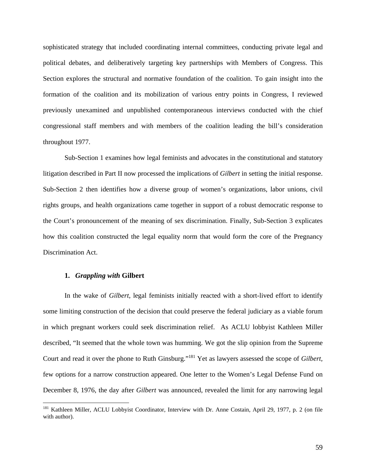sophisticated strategy that included coordinating internal committees, conducting private legal and political debates, and deliberatively targeting key partnerships with Members of Congress. This Section explores the structural and normative foundation of the coalition. To gain insight into the formation of the coalition and its mobilization of various entry points in Congress, I reviewed previously unexamined and unpublished contemporaneous interviews conducted with the chief congressional staff members and with members of the coalition leading the bill's consideration throughout 1977.

Sub-Section 1 examines how legal feminists and advocates in the constitutional and statutory litigation described in Part II now processed the implications of *Gilbert* in setting the initial response. Sub-Section 2 then identifies how a diverse group of women's organizations, labor unions, civil rights groups, and health organizations came together in support of a robust democratic response to the Court's pronouncement of the meaning of sex discrimination. Finally, Sub-Section 3 explicates how this coalition constructed the legal equality norm that would form the core of the Pregnancy Discrimination Act.

## **1.** *Grappling with* **Gilbert**

 $\overline{a}$ 

In the wake of *Gilbert*, legal feminists initially reacted with a short-lived effort to identify some limiting construction of the decision that could preserve the federal judiciary as a viable forum in which pregnant workers could seek discrimination relief. As ACLU lobbyist Kathleen Miller described, "It seemed that the whole town was humming. We got the slip opinion from the Supreme Court and read it over the phone to Ruth Ginsburg."181 Yet as lawyers assessed the scope of *Gilbert,* few options for a narrow construction appeared. One letter to the Women's Legal Defense Fund on December 8, 1976, the day after *Gilbert* was announced, revealed the limit for any narrowing legal

<sup>&</sup>lt;sup>181</sup> Kathleen Miller, ACLU Lobbyist Coordinator, Interview with Dr. Anne Costain, April 29, 1977, p. 2 (on file with author).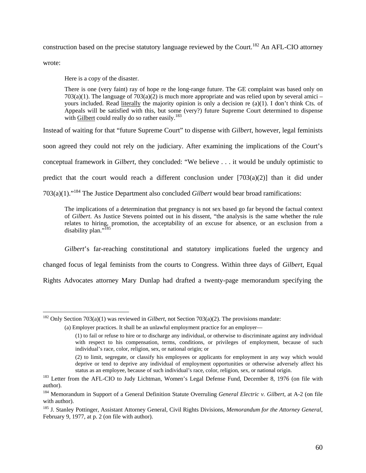construction based on the precise statutory language reviewed by the Court.<sup>182</sup> An AFL-CIO attorney

wrote:

 $\overline{a}$ 

Here is a copy of the disaster.

There is one (very faint) ray of hope re the long-range future. The GE complaint was based only on  $703(a)(1)$ . The language of  $703(a)(2)$  is much more appropriate and was relied upon by several amici – yours included. Read literally the majority opinion is only a decision re (a)(1). I don't think Cts. of Appeals will be satisfied with this, but some (very?) future Supreme Court determined to dispense with Gilbert could really do so rather easily.<sup>183</sup>

Instead of waiting for that "future Supreme Court" to dispense with *Gilbert*, however, legal feminists

soon agreed they could not rely on the judiciary. After examining the implications of the Court's

conceptual framework in *Gilbert*, they concluded: "We believe . . . it would be unduly optimistic to

predict that the court would reach a different conclusion under  $[703(a)(2)]$  than it did under

703(a)(1)."184 The Justice Department also concluded *Gilbert* would bear broad ramifications:

The implications of a determination that pregnancy is not sex based go far beyond the factual context of *Gilbert*. As Justice Stevens pointed out in his dissent, "the analysis is the same whether the rule relates to hiring, promotion, the acceptability of an excuse for absence, or an exclusion from a disability plan."<sup>185</sup>

*Gilbert*'s far-reaching constitutional and statutory implications fueled the urgency and

changed focus of legal feminists from the courts to Congress. Within three days of *Gilbert*, Equal

Rights Advocates attorney Mary Dunlap had drafted a twenty-page memorandum specifying the

<sup>&</sup>lt;sup>182</sup> Only Section 703(a)(1) was reviewed in *Gilbert*, not Section 703(a)(2). The provisions mandate:

<sup>(</sup>a) Employer practices. It shall be an unlawful employment practice for an employer—

<sup>(1)</sup> to fail or refuse to hire or to discharge any individual, or otherwise to discriminate against any individual with respect to his compensation, terms, conditions, or privileges of employment, because of such individual's race, color, religion, sex, or national origin; or

<sup>(2)</sup> to limit, segregate, or classify his employees or applicants for employment in any way which would deprive or tend to deprive any individual of employment opportunities or otherwise adversely affect his status as an employee, because of such individual's race, color, religion, sex, or national origin.

<sup>&</sup>lt;sup>183</sup> Letter from the AFL-CIO to Judy Lichtman, Women's Legal Defense Fund, December 8, 1976 (on file with author).

<sup>184</sup> Memorandum in Support of a General Definition Statute Overruling *General Electric v. Gilbert*, at A-2 (on file with author).

<sup>185</sup> J. Stanley Pottinger, Assistant Attorney General, Civil Rights Divisions, *Memorandum for the Attorney General*, February 9, 1977, at p. 2 (on file with author).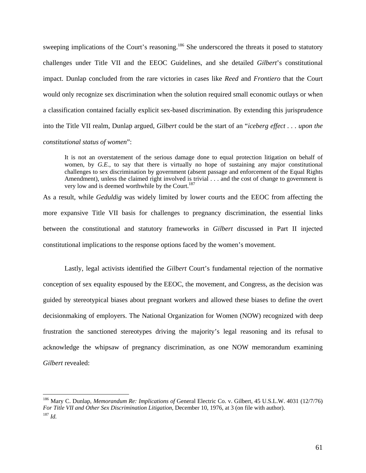sweeping implications of the Court's reasoning.<sup>186</sup> She underscored the threats it posed to statutory challenges under Title VII and the EEOC Guidelines, and she detailed *Gilbert*'s constitutional impact. Dunlap concluded from the rare victories in cases like *Reed* and *Frontiero* that the Court would only recognize sex discrimination when the solution required small economic outlays or when a classification contained facially explicit sex-based discrimination. By extending this jurisprudence into the Title VII realm, Dunlap argued, *Gilbert* could be the start of an "*iceberg effect . . . upon the constitutional status of women*":

It is not an overstatement of the serious damage done to equal protection litigation on behalf of women, by *G.E.*, to say that there is virtually no hope of sustaining any major constitutional challenges to sex discrimination by government (absent passage and enforcement of the Equal Rights Amendment), unless the claimed right involved is trivial . . . and the cost of change to government is very low and is deemed worthwhile by the Court.<sup>187</sup>

As a result, while *Geduldig* was widely limited by lower courts and the EEOC from affecting the more expansive Title VII basis for challenges to pregnancy discrimination, the essential links between the constitutional and statutory frameworks in *Gilbert* discussed in Part II injected constitutional implications to the response options faced by the women's movement.

Lastly, legal activists identified the *Gilbert* Court's fundamental rejection of the normative conception of sex equality espoused by the EEOC, the movement, and Congress, as the decision was guided by stereotypical biases about pregnant workers and allowed these biases to define the overt decisionmaking of employers. The National Organization for Women (NOW) recognized with deep frustration the sanctioned stereotypes driving the majority's legal reasoning and its refusal to acknowledge the whipsaw of pregnancy discrimination, as one NOW memorandum examining *Gilbert* revealed:

<sup>186</sup> Mary C. Dunlap, *Memorandum Re: Implications of* General Electric Co. v. Gilbert, 45 U.S.L.W. 4031 (12/7/76) *For Title VII and Other Sex Discrimination Litigation*, December 10, 1976, at 3 (on file with author). 187 *Id.*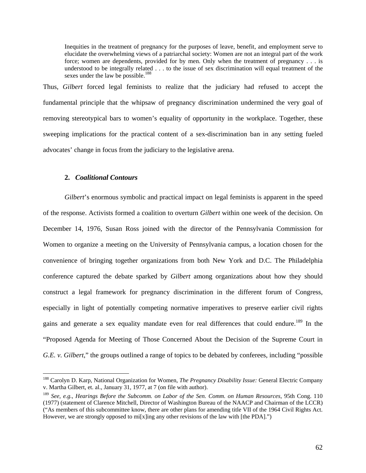Inequities in the treatment of pregnancy for the purposes of leave, benefit, and employment serve to elucidate the overwhelming views of a patriarchal society: Women are not an integral part of the work force; women are dependents, provided for by men. Only when the treatment of pregnancy . . . is understood to be integrally related . . . to the issue of sex discrimination will equal treatment of the sexes under the law be possible.<sup>188</sup>

Thus, *Gilbert* forced legal feminists to realize that the judiciary had refused to accept the fundamental principle that the whipsaw of pregnancy discrimination undermined the very goal of removing stereotypical bars to women's equality of opportunity in the workplace. Together, these sweeping implications for the practical content of a sex-discrimination ban in any setting fueled advocates' change in focus from the judiciary to the legislative arena.

# **2.** *Coalitional Contours*

 $\overline{a}$ 

*Gilbert*'s enormous symbolic and practical impact on legal feminists is apparent in the speed of the response. Activists formed a coalition to overturn *Gilbert* within one week of the decision. On December 14, 1976, Susan Ross joined with the director of the Pennsylvania Commission for Women to organize a meeting on the University of Pennsylvania campus, a location chosen for the convenience of bringing together organizations from both New York and D.C. The Philadelphia conference captured the debate sparked by *Gilbert* among organizations about how they should construct a legal framework for pregnancy discrimination in the different forum of Congress, especially in light of potentially competing normative imperatives to preserve earlier civil rights gains and generate a sex equality mandate even for real differences that could endure.<sup>189</sup> In the "Proposed Agenda for Meeting of Those Concerned About the Decision of the Supreme Court in *G.E. v. Gilbert*," the groups outlined a range of topics to be debated by conferees, including "possible"

<sup>188</sup> Carolyn D. Karp, National Organization for Women, *The Pregnancy Disability Issue:* General Electric Company v. Martha Gilbert, et. al., January 31, 1977, at 7 (on file with author).

<sup>189</sup> *See, e.g.*, *Hearings Before the Subcomm. on Labor of the Sen. Comm. on Human Resources*, 95th Cong. 110 (1977) (statement of Clarence Mitchell, Director of Washington Bureau of the NAACP and Chairman of the LCCR) ("As members of this subcommittee know, there are other plans for amending title VII of the 1964 Civil Rights Act. However, we are strongly opposed to mi[x]ing any other revisions of the law with [the PDA].")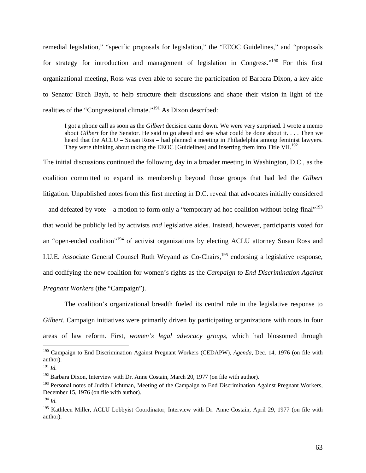remedial legislation," "specific proposals for legislation," the "EEOC Guidelines," and "proposals for strategy for introduction and management of legislation in Congress."<sup>190</sup> For this first organizational meeting, Ross was even able to secure the participation of Barbara Dixon, a key aide to Senator Birch Bayh, to help structure their discussions and shape their vision in light of the realities of the "Congressional climate."191 As Dixon described:

I got a phone call as soon as the *Gilbert* decision came down. We were very surprised. I wrote a memo about *Gilbert* for the Senator. He said to go ahead and see what could be done about it. . . . Then we heard that the ACLU – Susan Ross – had planned a meeting in Philadelphia among feminist lawyers. They were thinking about taking the EEOC [Guidelines] and inserting them into Title VII.<sup>192</sup>

The initial discussions continued the following day in a broader meeting in Washington, D.C., as the coalition committed to expand its membership beyond those groups that had led the *Gilbert*  litigation. Unpublished notes from this first meeting in D.C. reveal that advocates initially considered – and defeated by vote – a motion to form only a "temporary ad hoc coalition without being final"<sup>193</sup> that would be publicly led by activists *and* legislative aides. Instead, however, participants voted for an "open-ended coalition"<sup>194</sup> of activist organizations by electing ACLU attorney Susan Ross and I.U.E. Associate General Counsel Ruth Weyand as Co-Chairs,<sup>195</sup> endorsing a legislative response, and codifying the new coalition for women's rights as the *Campaign to End Discrimination Against Pregnant Workers* (the "Campaign").

 The coalition's organizational breadth fueled its central role in the legislative response to *Gilbert*. Campaign initiatives were primarily driven by participating organizations with roots in four areas of law reform. First, *women's legal advocacy groups*, which had blossomed through

<sup>190</sup> Campaign to End Discrimination Against Pregnant Workers (CEDAPW), *Agenda*, Dec. 14, 1976 (on file with author).

<sup>191</sup> *Id.*

 $192$  Barbara Dixon, Interview with Dr. Anne Costain, March 20, 1977 (on file with author).

<sup>&</sup>lt;sup>193</sup> Personal notes of Judith Lichtman, Meeting of the Campaign to End Discrimination Against Pregnant Workers, December 15, 1976 (on file with author).

<sup>194</sup> *Id.*

<sup>&</sup>lt;sup>195</sup> Kathleen Miller, ACLU Lobbyist Coordinator, Interview with Dr. Anne Costain, April 29, 1977 (on file with author).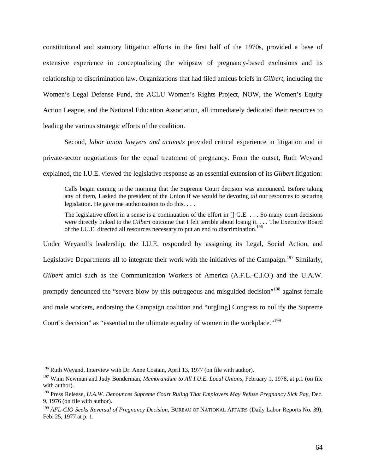constitutional and statutory litigation efforts in the first half of the 1970s, provided a base of extensive experience in conceptualizing the whipsaw of pregnancy-based exclusions and its relationship to discrimination law. Organizations that had filed amicus briefs in *Gilbert*, including the Women's Legal Defense Fund, the ACLU Women's Rights Project, NOW, the Women's Equity Action League, and the National Education Association, all immediately dedicated their resources to leading the various strategic efforts of the coalition.

Second, *labor union lawyers and activists* provided critical experience in litigation and in private-sector negotiations for the equal treatment of pregnancy. From the outset, Ruth Weyand explained, the I.U.E. viewed the legislative response as an essential extension of its *Gilbert* litigation:

Calls began coming in the morning that the Supreme Court decision was announced. Before taking any of them, I asked the president of the Union if we would be devoting *all* our resources to securing legislation. He gave me authorization to do this. . . .

The legislative effort in a sense is a continuation of the effort in [] G.E. . . . So many court decisions were directly linked to the *Gilbert* outcome that I felt terrible about losing it. . . . The Executive Board of the I.U.E. directed all resources necessary to put an end to discrimination.<sup>196</sup>

Under Weyand's leadership, the I.U.E. responded by assigning its Legal, Social Action, and Legislative Departments all to integrate their work with the initiatives of the Campaign.<sup>197</sup> Similarly, *Gilbert* amici such as the Communication Workers of America (A.F.L.-C.I.O.) and the U.A.W. promptly denounced the "severe blow by this outrageous and misguided decision"<sup>198</sup> against female and male workers, endorsing the Campaign coalition and "urg[ing] Congress to nullify the Supreme Court's decision" as "essential to the ultimate equality of women in the workplace."<sup>199</sup>

 $196$  Ruth Weyand, Interview with Dr. Anne Costain, April 13, 1977 (on file with author).

<sup>197</sup> Winn Newman and Judy Bonderman, *Memorandum to All I.U.E. Local Unions*, February 1, 1978, at p.1 (on file with author).

<sup>198</sup> Press Release, *U.A.W. Denounces Supreme Court Ruling That Employers May Refuse Pregnancy Sick Pay*, Dec. 9, 1976 (on file with author).

<sup>199</sup> *AFL-CIO Seeks Reversal of Pregnancy Decision*, BUREAU OF NATIONAL AFFAIRS (Daily Labor Reports No. 39), Feb. 25, 1977 at p. 1.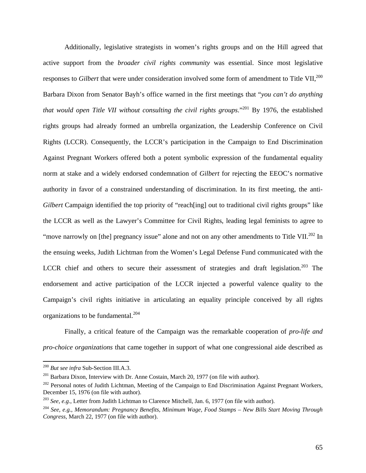Additionally, legislative strategists in women's rights groups and on the Hill agreed that active support from the *broader civil rights community* was essential. Since most legislative responses to *Gilbert* that were under consideration involved some form of amendment to Title VII,<sup>200</sup> Barbara Dixon from Senator Bayh's office warned in the first meetings that "*you can't do anything that would open Title VII without consulting the civil rights groups.*"<sup>201</sup> By 1976, the established rights groups had already formed an umbrella organization, the Leadership Conference on Civil Rights (LCCR). Consequently, the LCCR's participation in the Campaign to End Discrimination Against Pregnant Workers offered both a potent symbolic expression of the fundamental equality norm at stake and a widely endorsed condemnation of *Gilbert* for rejecting the EEOC's normative authority in favor of a constrained understanding of discrimination. In its first meeting, the anti-*Gilbert* Campaign identified the top priority of "reach[ing] out to traditional civil rights groups" like the LCCR as well as the Lawyer's Committee for Civil Rights, leading legal feminists to agree to "move narrowly on [the] pregnancy issue" alone and not on any other amendments to Title VII.<sup>202</sup> In the ensuing weeks, Judith Lichtman from the Women's Legal Defense Fund communicated with the LCCR chief and others to secure their assessment of strategies and draft legislation.<sup>203</sup> The endorsement and active participation of the LCCR injected a powerful valence quality to the Campaign's civil rights initiative in articulating an equality principle conceived by all rights organizations to be fundamental.<sup>204</sup>

 Finally, a critical feature of the Campaign was the remarkable cooperation of *pro-life and pro-choice organizations* that came together in support of what one congressional aide described as

<sup>&</sup>lt;sup>200</sup> *But see infra* Sub-Section III.A.3.<br><sup>201</sup> Barbara Dixon, Interview with Dr. Anne Costain, March 20, 1977 (on file with author).

<sup>&</sup>lt;sup>202</sup> Personal notes of Judith Lichtman, Meeting of the Campaign to End Discrimination Against Pregnant Workers, December 15, 1976 (on file with author).

<sup>203</sup> *See, e.g.*, Letter from Judith Lichtman to Clarence Mitchell, Jan. 6, 1977 (on file with author).

<sup>204</sup> *See, e.g.*, *Memorandum: Pregnancy Benefits, Minimum Wage, Food Stamps – New Bills Start Moving Through Congress*, March 22, 1977 (on file with author).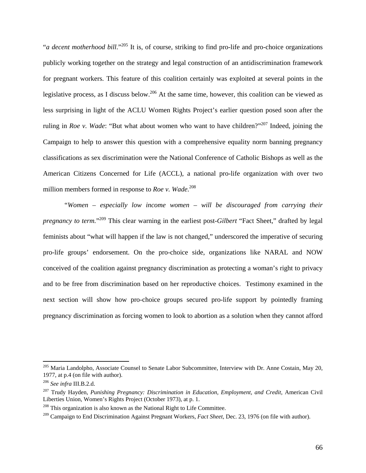"*a decent motherhood bill*."205 It is, of course, striking to find pro-life and pro-choice organizations publicly working together on the strategy and legal construction of an antidiscrimination framework for pregnant workers. This feature of this coalition certainly was exploited at several points in the legislative process, as I discuss below.<sup>206</sup> At the same time, however, this coalition can be viewed as less surprising in light of the ACLU Women Rights Project's earlier question posed soon after the ruling in *Roe v. Wade*: "But what about women who want to have children?"207 Indeed, joining the Campaign to help to answer this question with a comprehensive equality norm banning pregnancy classifications as sex discrimination were the National Conference of Catholic Bishops as well as the American Citizens Concerned for Life (ACCL), a national pro-life organization with over two million members formed in response to *Roe v. Wade*. 208

"*Women – especially low income women – will be discouraged from carrying their pregnancy to term.*"209 This clear warning in the earliest post-*Gilbert* "Fact Sheet," drafted by legal feminists about "what will happen if the law is not changed," underscored the imperative of securing pro-life groups' endorsement. On the pro-choice side, organizations like NARAL and NOW conceived of the coalition against pregnancy discrimination as protecting a woman's right to privacy and to be free from discrimination based on her reproductive choices. Testimony examined in the next section will show how pro-choice groups secured pro-life support by pointedly framing pregnancy discrimination as forcing women to look to abortion as a solution when they cannot afford

<sup>&</sup>lt;sup>205</sup> Maria Landolpho, Associate Counsel to Senate Labor Subcommittee, Interview with Dr. Anne Costain, May 20, 1977, at p.4 (on file with author).

<sup>&</sup>lt;sup>206</sup> See infra III.B.2.d.<br><sup>207</sup> Trudy Hayden, *Punishing Pregnancy: Discrimination in Education, Employment, and Credit, American Civil* Liberties Union, Women's Rights Project (October 1973), at p. 1.

 $208$  This organization is also known as the National Right to Life Committee.

<sup>209</sup> Campaign to End Discrimination Against Pregnant Workers, *Fact Sheet*, Dec. 23, 1976 (on file with author).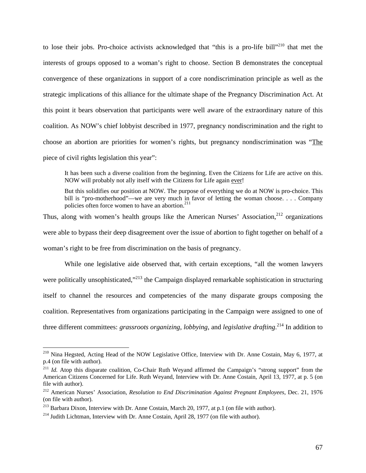to lose their jobs. Pro-choice activists acknowledged that "this is a pro-life bill"<sup>210</sup> that met the interests of groups opposed to a woman's right to choose. Section B demonstrates the conceptual convergence of these organizations in support of a core nondiscrimination principle as well as the strategic implications of this alliance for the ultimate shape of the Pregnancy Discrimination Act. At this point it bears observation that participants were well aware of the extraordinary nature of this coalition. As NOW's chief lobbyist described in 1977, pregnancy nondiscrimination and the right to choose an abortion are priorities for women's rights, but pregnancy nondiscrimination was "The piece of civil rights legislation this year":

It has been such a diverse coalition from the beginning. Even the Citizens for Life are active on this. NOW will probably not ally itself with the Citizens for Life again ever!

But this solidifies our position at NOW. The purpose of everything we do at NOW is pro-choice. This bill is "pro-motherhood"—we are very much in favor of letting the woman choose. . . . Company policies often force women to have an abortion.<sup>211</sup>

Thus, along with women's health groups like the American Nurses' Association, $212$  organizations were able to bypass their deep disagreement over the issue of abortion to fight together on behalf of a woman's right to be free from discrimination on the basis of pregnancy.

 While one legislative aide observed that, with certain exceptions, "all the women lawyers were politically unsophisticated,"<sup>213</sup> the Campaign displayed remarkable sophistication in structuring itself to channel the resources and competencies of the many disparate groups composing the coalition. Representatives from organizations participating in the Campaign were assigned to one of three different committees: *grassroots organizing*, *lobbying*, and *legislative drafting*. 214 In addition to

<sup>&</sup>lt;sup>210</sup> Nina Hegsted, Acting Head of the NOW Legislative Office, Interview with Dr. Anne Costain, May 6, 1977, at p.4 (on file with author).

<sup>&</sup>lt;sup>211</sup> *Id.* Atop this disparate coalition, Co-Chair Ruth Weyand affirmed the Campaign's "strong support" from the American Citizens Concerned for Life. Ruth Weyand, Interview with Dr. Anne Costain, April 13, 1977, at p. 5 (on file with author).

<sup>212</sup> American Nurses' Association, *Resolution to End Discrimination Against Pregnant Employees*, Dec. 21, 1976 (on file with author).

<sup>&</sup>lt;sup>213</sup> Barbara Dixon, Interview with Dr. Anne Costain, March 20, 1977, at p.1 (on file with author).<br><sup>214</sup> Judith Lichtman, Interview with Dr. Anne Costain, April 28, 1977 (on file with author).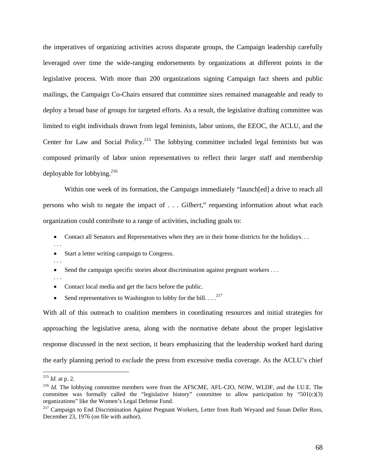the imperatives of organizing activities across disparate groups, the Campaign leadership carefully leveraged over time the wide-ranging endorsements by organizations at different points in the legislative process. With more than 200 organizations signing Campaign fact sheets and public mailings, the Campaign Co-Chairs ensured that committee sizes remained manageable and ready to deploy a broad base of groups for targeted efforts. As a result, the legislative drafting committee was limited to eight individuals drawn from legal feminists, labor unions, the EEOC, the ACLU, and the Center for Law and Social Policy.<sup>215</sup> The lobbying committee included legal feminists but was composed primarily of labor union representatives to reflect their larger staff and membership deployable for lobbying. $216$ 

Within one week of its formation, the Campaign immediately "launch[ed] a drive to reach all persons who wish to negate the impact of . . . *Gilbert*," requesting information about what each organization could contribute to a range of activities, including goals to:

- Contact all Senators and Representatives when they are in their home districts for the holidays. . .
- Start a letter writing campaign to Congress.
- . . .

. . .

- Send the campaign specific stories about discrimination against pregnant workers . . .
- . . .
- Contact local media and get the facts before the public.
- Send representatives to Washington to lobby for the bill.  $\ldots$ <sup>217</sup>

With all of this outreach to coalition members in coordinating resources and initial strategies for approaching the legislative arena, along with the normative debate about the proper legislative response discussed in the next section, it bears emphasizing that the leadership worked hard during the early planning period to *exclude* the press from excessive media coverage. As the ACLU's chief

<sup>215</sup> *Id.* at p. 2.

<sup>&</sup>lt;sup>216</sup> *Id.* The lobbying committee members were from the AFSCME, AFL-CIO, NOW, WLDF, and the I.U.E. The committee was formally called the "legislative history" committee to allow participation by "501(c)(3) organizations" like the Women's Legal Defense Fund.

<sup>&</sup>lt;sup>217</sup> Campaign to End Discrimination Against Pregnant Workers, Letter from Ruth Weyand and Susan Deller Ross, December 23, 1976 (on file with author).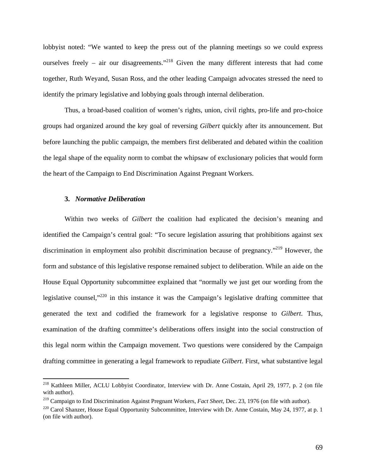lobbyist noted: "We wanted to keep the press out of the planning meetings so we could express ourselves freely – air our disagreements."<sup>218</sup> Given the many different interests that had come together, Ruth Weyand, Susan Ross, and the other leading Campaign advocates stressed the need to identify the primary legislative and lobbying goals through internal deliberation.

Thus, a broad-based coalition of women's rights, union, civil rights, pro-life and pro-choice groups had organized around the key goal of reversing *Gilbert* quickly after its announcement. But before launching the public campaign, the members first deliberated and debated within the coalition the legal shape of the equality norm to combat the whipsaw of exclusionary policies that would form the heart of the Campaign to End Discrimination Against Pregnant Workers.

## **3.** *Normative Deliberation*

 $\overline{a}$ 

Within two weeks of *Gilbert* the coalition had explicated the decision's meaning and identified the Campaign's central goal: "To secure legislation assuring that prohibitions against sex discrimination in employment also prohibit discrimination because of pregnancy."<sup>219</sup> However, the form and substance of this legislative response remained subject to deliberation. While an aide on the House Equal Opportunity subcommittee explained that "normally we just get our wording from the legislative counsel,"<sup>220</sup> in this instance it was the Campaign's legislative drafting committee that generated the text and codified the framework for a legislative response to *Gilbert*. Thus, examination of the drafting committee's deliberations offers insight into the social construction of this legal norm within the Campaign movement. Two questions were considered by the Campaign drafting committee in generating a legal framework to repudiate *Gilbert*. First, what substantive legal

<sup>&</sup>lt;sup>218</sup> Kathleen Miller, ACLU Lobbyist Coordinator, Interview with Dr. Anne Costain, April 29, 1977, p. 2 (on file with author).

<sup>219</sup> Campaign to End Discrimination Against Pregnant Workers, *Fact Sheet*, Dec. 23, 1976 (on file with author).

<sup>&</sup>lt;sup>220</sup> Carol Shanzer, House Equal Opportunity Subcommittee, Interview with Dr. Anne Costain, May 24, 1977, at p. 1 (on file with author).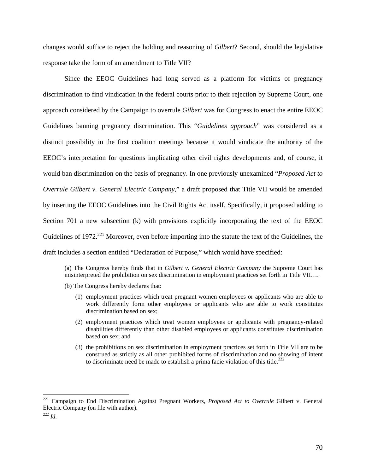changes would suffice to reject the holding and reasoning of *Gilbert*? Second, should the legislative response take the form of an amendment to Title VII?

Since the EEOC Guidelines had long served as a platform for victims of pregnancy discrimination to find vindication in the federal courts prior to their rejection by Supreme Court, one approach considered by the Campaign to overrule *Gilbert* was for Congress to enact the entire EEOC Guidelines banning pregnancy discrimination. This "*Guidelines approach*" was considered as a distinct possibility in the first coalition meetings because it would vindicate the authority of the EEOC's interpretation for questions implicating other civil rights developments and, of course, it would ban discrimination on the basis of pregnancy. In one previously unexamined "*Proposed Act to Overrule Gilbert v. General Electric Company*," a draft proposed that Title VII would be amended by inserting the EEOC Guidelines into the Civil Rights Act itself. Specifically, it proposed adding to Section 701 a new subsection (k) with provisions explicitly incorporating the text of the EEOC Guidelines of 1972.<sup>221</sup> Moreover, even before importing into the statute the text of the Guidelines, the draft includes a section entitled "Declaration of Purpose," which would have specified:

(a) The Congress hereby finds that in *Gilbert v. General Electric Company* the Supreme Court has misinterpreted the prohibition on sex discrimination in employment practices set forth in Title VII….

- (b) The Congress hereby declares that:
	- (1) employment practices which treat pregnant women employees or applicants who are able to work differently form other employees or applicants who are able to work constitutes discrimination based on sex;
	- (2) employment practices which treat women employees or applicants with pregnancy-related disabilities differently than other disabled employees or applicants constitutes discrimination based on sex; and
	- (3) the prohibitions on sex discrimination in employment practices set forth in Title VII are to be construed as strictly as all other prohibited forms of discrimination and no showing of intent to discriminate need be made to establish a prima facie violation of this title.<sup>222</sup>

<sup>221</sup> Campaign to End Discrimination Against Pregnant Workers, *Proposed Act to Overrule* Gilbert v. General Electric Company (on file with author).

 $^{222}$  *Id.*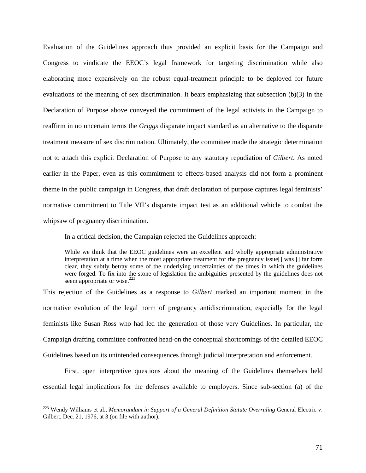Evaluation of the Guidelines approach thus provided an explicit basis for the Campaign and Congress to vindicate the EEOC's legal framework for targeting discrimination while also elaborating more expansively on the robust equal-treatment principle to be deployed for future evaluations of the meaning of sex discrimination. It bears emphasizing that subsection (b)(3) in the Declaration of Purpose above conveyed the commitment of the legal activists in the Campaign to reaffirm in no uncertain terms the *Griggs* disparate impact standard as an alternative to the disparate treatment measure of sex discrimination. Ultimately, the committee made the strategic determination not to attach this explicit Declaration of Purpose to any statutory repudiation of *Gilbert*. As noted earlier in the Paper, even as this commitment to effects-based analysis did not form a prominent theme in the public campaign in Congress, that draft declaration of purpose captures legal feminists' normative commitment to Title VII's disparate impact test as an additional vehicle to combat the whipsaw of pregnancy discrimination.

In a critical decision, the Campaign rejected the Guidelines approach:

While we think that the EEOC guidelines were an excellent and wholly appropriate administrative interpretation at a time when the most appropriate treatment for the pregnancy issue[] was [] far form clear, they subtly betray some of the underlying uncertainties of the times in which the guidelines were forged. To fix into the stone of legislation the ambiguities presented by the guidelines does not seem appropriate or wise.<sup>223</sup>

This rejection of the Guidelines as a response to *Gilbert* marked an important moment in the normative evolution of the legal norm of pregnancy antidiscrimination, especially for the legal feminists like Susan Ross who had led the generation of those very Guidelines. In particular, the Campaign drafting committee confronted head-on the conceptual shortcomings of the detailed EEOC Guidelines based on its unintended consequences through judicial interpretation and enforcement.

First, open interpretive questions about the meaning of the Guidelines themselves held essential legal implications for the defenses available to employers. Since sub-section (a) of the

<sup>&</sup>lt;sup>223</sup> Wendy Williams et al., *Memorandum in Support of a General Definition Statute Overruling General Electric v.* Gilbert, Dec. 21, 1976, at 3 (on file with author).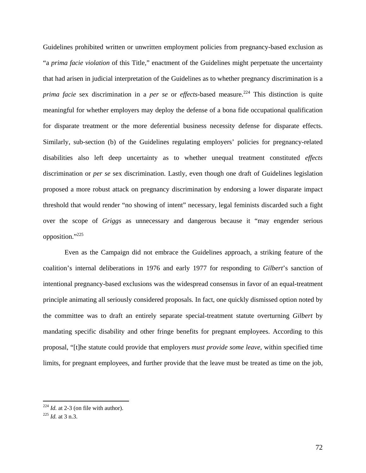Guidelines prohibited written or unwritten employment policies from pregnancy-based exclusion as "a *prima facie violation* of this Title," enactment of the Guidelines might perpetuate the uncertainty that had arisen in judicial interpretation of the Guidelines as to whether pregnancy discrimination is a *prima facie* sex discrimination in a *per se* or *effects*-based measure.<sup>224</sup> This distinction is quite meaningful for whether employers may deploy the defense of a bona fide occupational qualification for disparate treatment or the more deferential business necessity defense for disparate effects. Similarly, sub-section (b) of the Guidelines regulating employers' policies for pregnancy-related disabilities also left deep uncertainty as to whether unequal treatment constituted *effects*  discrimination or *per se* sex discrimination. Lastly, even though one draft of Guidelines legislation proposed a more robust attack on pregnancy discrimination by endorsing a lower disparate impact threshold that would render "no showing of intent" necessary, legal feminists discarded such a fight over the scope of *Griggs* as unnecessary and dangerous because it "may engender serious opposition."225

 Even as the Campaign did not embrace the Guidelines approach, a striking feature of the coalition's internal deliberations in 1976 and early 1977 for responding to *Gilbert*'s sanction of intentional pregnancy-based exclusions was the widespread consensus in favor of an equal-treatment principle animating all seriously considered proposals. In fact, one quickly dismissed option noted by the committee was to draft an entirely separate special-treatment statute overturning *Gilbert* by mandating specific disability and other fringe benefits for pregnant employees. According to this proposal, "[t]he statute could provide that employers *must provide some leave*, within specified time limits, for pregnant employees, and further provide that the leave must be treated as time on the job,

<sup>224</sup> *Id.* at 2-3 (on file with author). 225 *Id.* at 3 n.3.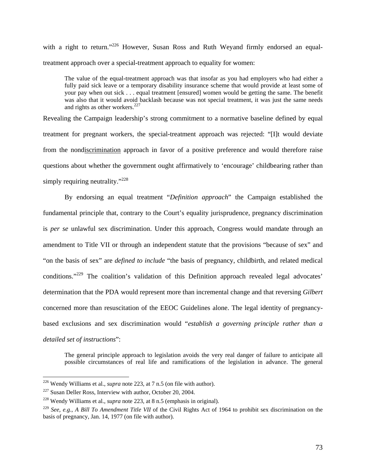with a right to return."<sup>226</sup> However, Susan Ross and Ruth Weyand firmly endorsed an equaltreatment approach over a special-treatment approach to equality for women:

The value of the equal-treatment approach was that insofar as you had employers who had either a fully paid sick leave or a temporary disability insurance scheme that would provide at least some of your pay when out sick . . . equal treatment [ensured] women would be getting the same. The benefit was also that it would avoid backlash because was not special treatment, it was just the same needs and rights as other workers. $227$ 

Revealing the Campaign leadership's strong commitment to a normative baseline defined by equal treatment for pregnant workers, the special-treatment approach was rejected: "[I]t would deviate from the nondiscrimination approach in favor of a positive preference and would therefore raise questions about whether the government ought affirmatively to 'encourage' childbearing rather than simply requiring neutrality."<sup>228</sup>

By endorsing an equal treatment "*Definition approach*" the Campaign established the fundamental principle that, contrary to the Court's equality jurisprudence, pregnancy discrimination is *per se* unlawful sex discrimination. Under this approach, Congress would mandate through an amendment to Title VII or through an independent statute that the provisions "because of sex" and "on the basis of sex" are *defined to include* "the basis of pregnancy, childbirth, and related medical conditions."229 The coalition's validation of this Definition approach revealed legal advocates' determination that the PDA would represent more than incremental change and that reversing *Gilbert*  concerned more than resuscitation of the EEOC Guidelines alone. The legal identity of pregnancybased exclusions and sex discrimination would "*establish a governing principle rather than a detailed set of instructions*":

The general principle approach to legislation avoids the very real danger of failure to anticipate all possible circumstances of real life and ramifications of the legislation in advance. The general

<sup>&</sup>lt;sup>226</sup> Wendy Williams et al., *supra* note 223, at 7 n.5 (on file with author).<br><sup>227</sup> Susan Deller Ross, Interview with author, October 20, 2004.

<sup>228</sup> Wendy Williams et al., *supra* note 223, at 8 n.5 (emphasis in original).

<sup>229</sup> *See, e.g.*, *A Bill To Amendment Title VII* of the Civil Rights Act of 1964 to prohibit sex discrimination on the basis of pregnancy, Jan. 14, 1977 (on file with author).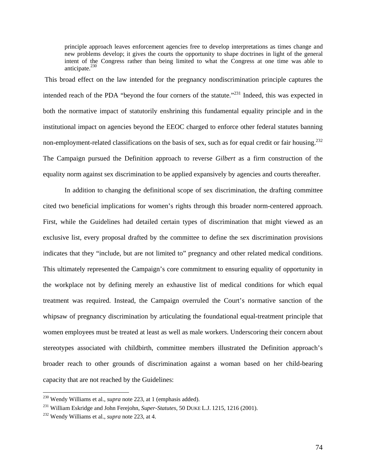principle approach leaves enforcement agencies free to develop interpretations as times change and new problems develop; it gives the courts the opportunity to shape doctrines in light of the general intent of the Congress rather than being limited to what the Congress at one time was able to anticipate. $^{230}$ 

 This broad effect on the law intended for the pregnancy nondiscrimination principle captures the intended reach of the PDA "beyond the four corners of the statute."<sup>231</sup> Indeed, this was expected in both the normative impact of statutorily enshrining this fundamental equality principle and in the institutional impact on agencies beyond the EEOC charged to enforce other federal statutes banning non-employment-related classifications on the basis of sex, such as for equal credit or fair housing.<sup>232</sup> The Campaign pursued the Definition approach to reverse *Gilbert* as a firm construction of the equality norm against sex discrimination to be applied expansively by agencies and courts thereafter.

 In addition to changing the definitional scope of sex discrimination, the drafting committee cited two beneficial implications for women's rights through this broader norm-centered approach. First, while the Guidelines had detailed certain types of discrimination that might viewed as an exclusive list, every proposal drafted by the committee to define the sex discrimination provisions indicates that they "include, but are not limited to" pregnancy and other related medical conditions. This ultimately represented the Campaign's core commitment to ensuring equality of opportunity in the workplace not by defining merely an exhaustive list of medical conditions for which equal treatment was required. Instead, the Campaign overruled the Court's normative sanction of the whipsaw of pregnancy discrimination by articulating the foundational equal-treatment principle that women employees must be treated at least as well as male workers. Underscoring their concern about stereotypes associated with childbirth, committee members illustrated the Definition approach's broader reach to other grounds of discrimination against a woman based on her child-bearing capacity that are not reached by the Guidelines:

<sup>230</sup> Wendy Williams et al., *supra* note 223, at 1 (emphasis added).

<sup>231</sup> William Eskridge and John Ferejohn, *Super-Statutes*, 50 DUKE L.J. 1215, 1216 (2001). 232 Wendy Williams et al., *supra* note 223, at 4.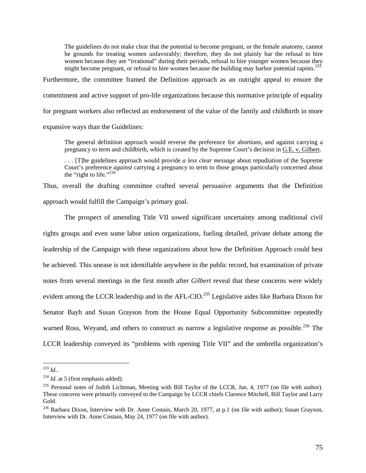The guidelines do not make clear that the potential to become pregnant, or the female anatomy, cannot be grounds for treating women unfavorably; therefore, they do not plainly bar the refusal to hire women because they are "irrational" during their periods, refusal to hire younger women because they might become pregnant, or refusal to hire women because the building may harbor potential rapists. $233$ 

Furthermore, the committee framed the Definition approach as an outright appeal to ensure the commitment and active support of pro-life organizations because this normative principle of equality for pregnant workers also reflected an endorsement of the value of the family and childbirth in more expansive ways than the Guidelines:

The general definition approach would reverse the preference for abortions, and against carrying a pregnancy to term and childbirth, which is created by the Supreme Court's decision in G.E. v. Gilbert.

. . . [T]he guidelines approach would provide *a less clear message* about repudiation of the Supreme Court's preference *against* carrying a pregnancy to term to those groups particularly concerned about the "right to life."<sup>234</sup>

Thus, overall the drafting committee crafted several persuasive arguments that the Definition approach would fulfill the Campaign's primary goal.

The prospect of amending Title VII sowed significant uncertainty among traditional civil rights groups and even some labor union organizations, fueling detailed, private debate among the leadership of the Campaign with these organizations about how the Definition Approach could best be achieved. This unease is not identifiable anywhere in the public record, but examination of private notes from several meetings in the first month after *Gilbert* reveal that these concerns were widely evident among the LCCR leadership and in the AFL-CIO.<sup>235</sup> Legislative aides like Barbara Dixon for Senator Bayh and Susan Grayson from the House Equal Opportunity Subcommittee repeatedly warned Ross, Weyand, and others to construct as narrow a legislative response as possible.<sup>236</sup> The LCCR leadership conveyed its "problems with opening Title VII" and the umbrella organization's

 $^{233}$  *Id..* 

<sup>&</sup>lt;sup>234</sup> *Id.* at 5 (first emphasis added).

<sup>&</sup>lt;sup>235</sup> Personal notes of Judith Lichtman, Meeting with Bill Taylor of the LCCR, Jan. 4, 1977 (on file with author). These concerns were primarily conveyed to the Campaign by LCCR chiefs Clarence Mitchell, Bill Taylor and Larry Gold.

<sup>&</sup>lt;sup>236</sup> Barbara Dixon, Interview with Dr. Anne Costain, March 20, 1977, at p.1 (on file with author); Susan Grayson, Interview with Dr. Anne Costain, May 24, 1977 (on file with author).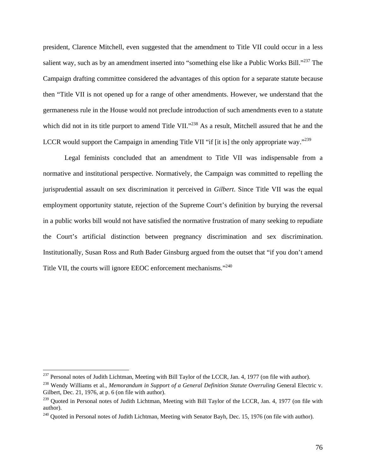president, Clarence Mitchell, even suggested that the amendment to Title VII could occur in a less salient way, such as by an amendment inserted into "something else like a Public Works Bill."<sup>237</sup> The Campaign drafting committee considered the advantages of this option for a separate statute because then "Title VII is not opened up for a range of other amendments. However, we understand that the germaneness rule in the House would not preclude introduction of such amendments even to a statute which did not in its title purport to amend Title VII."<sup>238</sup> As a result, Mitchell assured that he and the LCCR would support the Campaign in amending Title VII "if [it is] the only appropriate way."<sup>239</sup>

Legal feminists concluded that an amendment to Title VII was indispensable from a normative and institutional perspective. Normatively, the Campaign was committed to repelling the jurisprudential assault on sex discrimination it perceived in *Gilbert*. Since Title VII was the equal employment opportunity statute, rejection of the Supreme Court's definition by burying the reversal in a public works bill would not have satisfied the normative frustration of many seeking to repudiate the Court's artificial distinction between pregnancy discrimination and sex discrimination. Institutionally, Susan Ross and Ruth Bader Ginsburg argued from the outset that "if you don't amend Title VII, the courts will ignore EEOC enforcement mechanisms."<sup>240</sup>

 $^{237}$  Personal notes of Judith Lichtman, Meeting with Bill Taylor of the LCCR, Jan. 4, 1977 (on file with author).

<sup>&</sup>lt;sup>238</sup> Wendy Williams et al., *Memorandum in Support of a General Definition Statute Overruling General Electric v.* Gilbert, Dec. 21, 1976, at p. 6 (on file with author).

<sup>&</sup>lt;sup>239</sup> Quoted in Personal notes of Judith Lichtman, Meeting with Bill Taylor of the LCCR, Jan. 4, 1977 (on file with author).

 $^{240}$  Quoted in Personal notes of Judith Lichtman, Meeting with Senator Bayh, Dec. 15, 1976 (on file with author).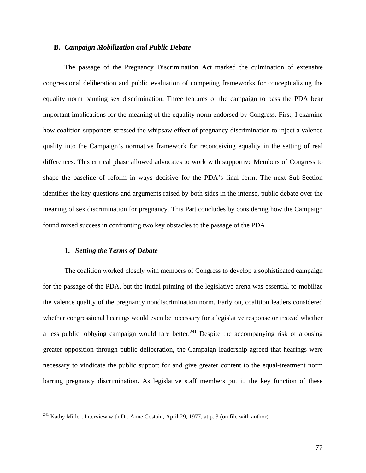## **B.** *Campaign Mobilization and Public Debate*

The passage of the Pregnancy Discrimination Act marked the culmination of extensive congressional deliberation and public evaluation of competing frameworks for conceptualizing the equality norm banning sex discrimination. Three features of the campaign to pass the PDA bear important implications for the meaning of the equality norm endorsed by Congress. First, I examine how coalition supporters stressed the whipsaw effect of pregnancy discrimination to inject a valence quality into the Campaign's normative framework for reconceiving equality in the setting of real differences. This critical phase allowed advocates to work with supportive Members of Congress to shape the baseline of reform in ways decisive for the PDA's final form. The next Sub-Section identifies the key questions and arguments raised by both sides in the intense, public debate over the meaning of sex discrimination for pregnancy. This Part concludes by considering how the Campaign found mixed success in confronting two key obstacles to the passage of the PDA.

#### **1.** *Setting the Terms of Debate*

 $\overline{a}$ 

The coalition worked closely with members of Congress to develop a sophisticated campaign for the passage of the PDA, but the initial priming of the legislative arena was essential to mobilize the valence quality of the pregnancy nondiscrimination norm. Early on, coalition leaders considered whether congressional hearings would even be necessary for a legislative response or instead whether a less public lobbying campaign would fare better.<sup>241</sup> Despite the accompanying risk of arousing greater opposition through public deliberation, the Campaign leadership agreed that hearings were necessary to vindicate the public support for and give greater content to the equal-treatment norm barring pregnancy discrimination. As legislative staff members put it, the key function of these

 $^{241}$  Kathy Miller, Interview with Dr. Anne Costain, April 29, 1977, at p. 3 (on file with author).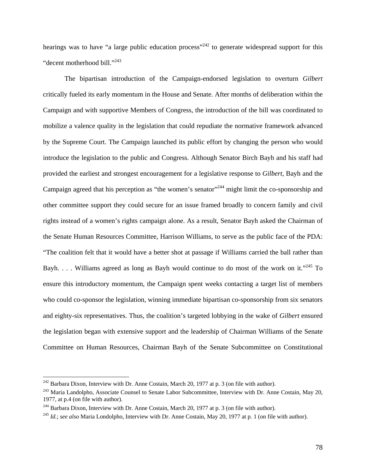hearings was to have "a large public education process"<sup>242</sup> to generate widespread support for this "decent motherhood bill."<sup>243</sup>

The bipartisan introduction of the Campaign-endorsed legislation to overturn *Gilbert* critically fueled its early momentum in the House and Senate. After months of deliberation within the Campaign and with supportive Members of Congress, the introduction of the bill was coordinated to mobilize a valence quality in the legislation that could repudiate the normative framework advanced by the Supreme Court. The Campaign launched its public effort by changing the person who would introduce the legislation to the public and Congress. Although Senator Birch Bayh and his staff had provided the earliest and strongest encouragement for a legislative response to *Gilbert*, Bayh and the Campaign agreed that his perception as "the women's senator"<sup>244</sup> might limit the co-sponsorship and other committee support they could secure for an issue framed broadly to concern family and civil rights instead of a women's rights campaign alone. As a result, Senator Bayh asked the Chairman of the Senate Human Resources Committee, Harrison Williams, to serve as the public face of the PDA: "The coalition felt that it would have a better shot at passage if Williams carried the ball rather than Bayh. . . . Williams agreed as long as Bayh would continue to do most of the work on it."<sup>245</sup> To ensure this introductory momentum, the Campaign spent weeks contacting a target list of members who could co-sponsor the legislation, winning immediate bipartisan co-sponsorship from six senators and eighty-six representatives. Thus, the coalition's targeted lobbying in the wake of *Gilbert* ensured the legislation began with extensive support and the leadership of Chairman Williams of the Senate Committee on Human Resources, Chairman Bayh of the Senate Subcommittee on Constitutional

 $^{242}$  Barbara Dixon, Interview with Dr. Anne Costain, March 20, 1977 at p. 3 (on file with author).

<sup>&</sup>lt;sup>243</sup> Maria Landolpho, Associate Counsel to Senate Labor Subcommittee, Interview with Dr. Anne Costain, May 20, 1977, at p.4 (on file with author).

<sup>&</sup>lt;sup>244</sup> Barbara Dixon, Interview with Dr. Anne Costain, March 20, 1977 at p. 3 (on file with author).<br><sup>245</sup> *Id.*; *see also* Maria Londolpho, Interview with Dr. Anne Costain, May 20, 1977 at p. 1 (on file with author).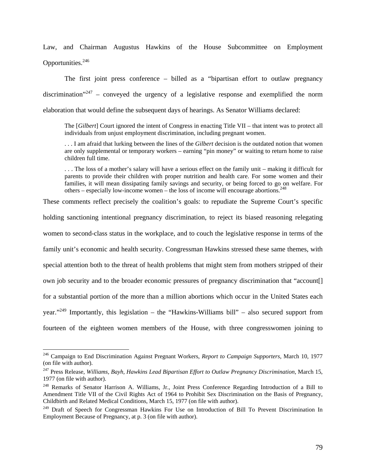Law, and Chairman Augustus Hawkins of the House Subcommittee on Employment Opportunities.<sup>246</sup>

The first joint press conference – billed as a "bipartisan effort to outlaw pregnancy discrimination<sup>"247</sup> – conveyed the urgency of a legislative response and exemplified the norm elaboration that would define the subsequent days of hearings. As Senator Williams declared:

The [*Gilbert*] Court ignored the intent of Congress in enacting Title VII – that intent was to protect all individuals from unjust employment discrimination, including pregnant women.

. . . I am afraid that lurking between the lines of the *Gilbert* decision is the outdated notion that women are only supplemental or temporary workers – earning "pin money" or waiting to return home to raise children full time.

. . . The loss of a mother's salary will have a serious effect on the family unit – making it difficult for parents to provide their children with proper nutrition and health care. For some women and their families, it will mean dissipating family savings and security, or being forced to go on welfare. For others – especially low-income women – the loss of income will encourage abortions.<sup>248</sup>

These comments reflect precisely the coalition's goals: to repudiate the Supreme Court's specific

holding sanctioning intentional pregnancy discrimination, to reject its biased reasoning relegating

women to second-class status in the workplace, and to couch the legislative response in terms of the

family unit's economic and health security. Congressman Hawkins stressed these same themes, with

special attention both to the threat of health problems that might stem from mothers stripped of their

own job security and to the broader economic pressures of pregnancy discrimination that "account[]

for a substantial portion of the more than a million abortions which occur in the United States each

year."<sup>249</sup> Importantly, this legislation – the "Hawkins-Williams bill" – also secured support from

fourteen of the eighteen women members of the House, with three congresswomen joining to

<sup>246</sup> Campaign to End Discrimination Against Pregnant Workers, *Report to Campaign Supporters*, March 10, 1977 (on file with author).

<sup>&</sup>lt;sup>247</sup> Press Release, *Williams, Bayh, Hawkins Lead Bipartisan Effort to Outlaw Pregnancy Discrimination*, March 15, 1977 (on file with author).

<sup>&</sup>lt;sup>248</sup> Remarks of Senator Harrison A. Williams, Jr., Joint Press Conference Regarding Introduction of a Bill to Amendment Title VII of the Civil Rights Act of 1964 to Prohibit Sex Discrimination on the Basis of Pregnancy, Childbirth and Related Medical Conditions, March 15, 1977 (on file with author).

<sup>&</sup>lt;sup>249</sup> Draft of Speech for Congressman Hawkins For Use on Introduction of Bill To Prevent Discrimination In Employment Because of Pregnancy, at p. 3 (on file with author).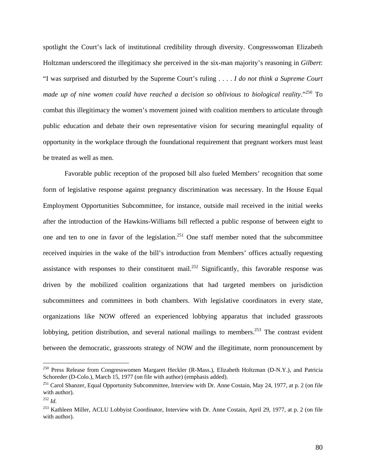spotlight the Court's lack of institutional credibility through diversity. Congresswoman Elizabeth Holtzman underscored the illegitimacy she perceived in the six-man majority's reasoning in *Gilbert*: "I was surprised and disturbed by the Supreme Court's ruling . . . . *I do not think a Supreme Court made up of nine women could have reached a decision so oblivious to biological reality*."250 To combat this illegitimacy the women's movement joined with coalition members to articulate through public education and debate their own representative vision for securing meaningful equality of opportunity in the workplace through the foundational requirement that pregnant workers must least be treated as well as men.

 Favorable public reception of the proposed bill also fueled Members' recognition that some form of legislative response against pregnancy discrimination was necessary. In the House Equal Employment Opportunities Subcommittee, for instance, outside mail received in the initial weeks after the introduction of the Hawkins-Williams bill reflected a public response of between eight to one and ten to one in favor of the legislation.<sup>251</sup> One staff member noted that the subcommittee received inquiries in the wake of the bill's introduction from Members' offices actually requesting assistance with responses to their constituent mail.<sup>252</sup> Significantly, this favorable response was driven by the mobilized coalition organizations that had targeted members on jurisdiction subcommittees and committees in both chambers. With legislative coordinators in every state, organizations like NOW offered an experienced lobbying apparatus that included grassroots lobbying, petition distribution, and several national mailings to members.<sup>253</sup> The contrast evident between the democratic, grassroots strategy of NOW and the illegitimate, norm pronouncement by

<sup>&</sup>lt;sup>250</sup> Press Release from Congresswomen Margaret Heckler (R-Mass.), Elizabeth Holtzman (D-N.Y.), and Patricia Schoreder (D-Colo.), March 15, 1977 (on file with author) (emphasis added).

<sup>&</sup>lt;sup>251</sup> Carol Shanzer, Equal Opportunity Subcommittee, Interview with Dr. Anne Costain, May 24, 1977, at p. 2 (on file with author).

<sup>252</sup> *Id.*

<sup>&</sup>lt;sup>253</sup> Kathleen Miller, ACLU Lobbyist Coordinator, Interview with Dr. Anne Costain, April 29, 1977, at p. 2 (on file with author).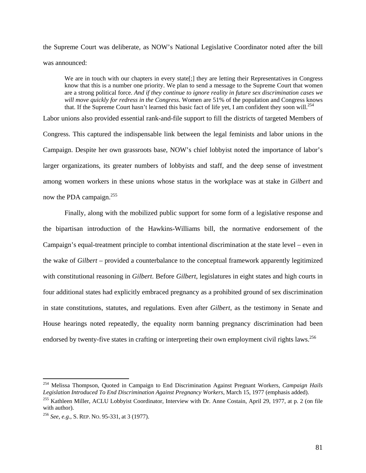the Supreme Court was deliberate, as NOW's National Legislative Coordinator noted after the bill was announced:

We are in touch with our chapters in every state<sup>[;]</sup> they are letting their Representatives in Congress know that this is a number one priority. We plan to send a message to the Supreme Court that women are a strong political force. *And if they continue to ignore reality in future sex discrimination cases we will move quickly for redress in the Congress*. Women are 51% of the population and Congress knows that. If the Supreme Court hasn't learned this basic fact of life yet, I am confident they soon will.<sup>254</sup>

Labor unions also provided essential rank-and-file support to fill the districts of targeted Members of Congress. This captured the indispensable link between the legal feminists and labor unions in the Campaign. Despite her own grassroots base, NOW's chief lobbyist noted the importance of labor's larger organizations, its greater numbers of lobbyists and staff, and the deep sense of investment among women workers in these unions whose status in the workplace was at stake in *Gilbert* and now the PDA campaign.<sup>255</sup>

 Finally, along with the mobilized public support for some form of a legislative response and the bipartisan introduction of the Hawkins-Williams bill, the normative endorsement of the Campaign's equal-treatment principle to combat intentional discrimination at the state level – even in the wake of *Gilbert* – provided a counterbalance to the conceptual framework apparently legitimized with constitutional reasoning in *Gilbert*. Before *Gilbert*, legislatures in eight states and high courts in four additional states had explicitly embraced pregnancy as a prohibited ground of sex discrimination in state constitutions, statutes, and regulations. Even after *Gilbert*, as the testimony in Senate and House hearings noted repeatedly, the equality norm banning pregnancy discrimination had been endorsed by twenty-five states in crafting or interpreting their own employment civil rights laws.<sup>256</sup>

<sup>254</sup> Melissa Thompson, Quoted in Campaign to End Discrimination Against Pregnant Workers, *Campaign Hails Legislation Introduced To End Discrimination Against Pregnancy Workers*, March 15, 1977 (emphasis added).

<sup>&</sup>lt;sup>255</sup> Kathleen Miller, ACLU Lobbyist Coordinator, Interview with Dr. Anne Costain, April 29, 1977, at p. 2 (on file with author).

<sup>256</sup> *See, e.g.*, S. REP. NO. 95-331, at 3 (1977).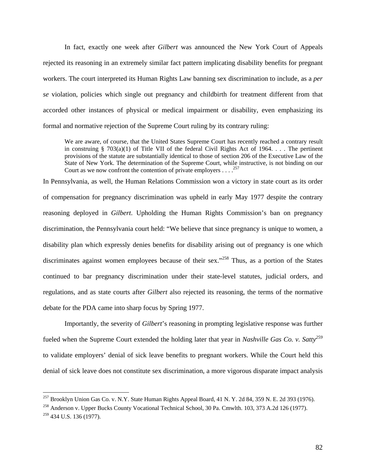In fact, exactly one week after *Gilbert* was announced the New York Court of Appeals rejected its reasoning in an extremely similar fact pattern implicating disability benefits for pregnant workers. The court interpreted its Human Rights Law banning sex discrimination to include, as a *per se* violation, policies which single out pregnancy and childbirth for treatment different from that accorded other instances of physical or medical impairment or disability, even emphasizing its formal and normative rejection of the Supreme Court ruling by its contrary ruling:

We are aware, of course, that the United States Supreme Court has recently reached a contrary result in construing § 703(a)(1) of Title VII of the federal Civil Rights Act of 1964. . . . The pertinent provisions of the statute are substantially identical to those of section 206 of the Executive Law of the State of New York. The determination of the Supreme Court, while instructive, is not binding on our Court as we now confront the contention of private employers . . . .  $257$ 

In Pennsylvania, as well, the Human Relations Commission won a victory in state court as its order of compensation for pregnancy discrimination was upheld in early May 1977 despite the contrary reasoning deployed in *Gilbert*. Upholding the Human Rights Commission's ban on pregnancy discrimination, the Pennsylvania court held: "We believe that since pregnancy is unique to women, a disability plan which expressly denies benefits for disability arising out of pregnancy is one which discriminates against women employees because of their sex."<sup>258</sup> Thus, as a portion of the States continued to bar pregnancy discrimination under their state-level statutes, judicial orders, and regulations, and as state courts after *Gilbert* also rejected its reasoning, the terms of the normative debate for the PDA came into sharp focus by Spring 1977.

 Importantly, the severity of *Gilbert*'s reasoning in prompting legislative response was further fueled when the Supreme Court extended the holding later that year in *Nashville Gas Co. v. Satty*<sup>259</sup> to validate employers' denial of sick leave benefits to pregnant workers. While the Court held this denial of sick leave does not constitute sex discrimination, a more vigorous disparate impact analysis

 $^{257}$  Brooklyn Union Gas Co. v. N.Y. State Human Rights Appeal Board, 41 N.Y. 2d 84, 359 N.E. 2d 393 (1976).

<sup>&</sup>lt;sup>258</sup> Anderson v. Upper Bucks County Vocational Technical School, 30 Pa. Cmwlth. 103, 373 A.2d 126 (1977).

 $259$  434 U.S. 136 (1977).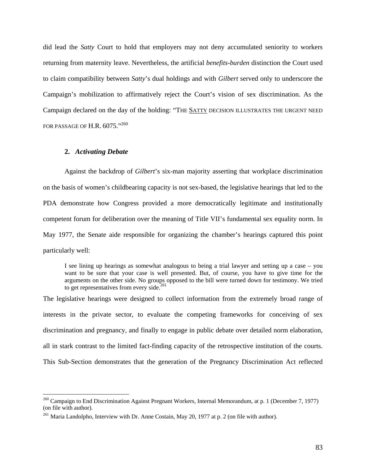did lead the *Satty* Court to hold that employers may not deny accumulated seniority to workers returning from maternity leave. Nevertheless, the artificial *benefits-burden* distinction the Court used to claim compatibility between *Satty*'s dual holdings and with *Gilbert* served only to underscore the Campaign's mobilization to affirmatively reject the Court's vision of sex discrimination. As the Campaign declared on the day of the holding: "THE SATTY DECISION ILLUSTRATES THE URGENT NEED FOR PASSAGE OF H.R.  $6075.^{\cdot,260}$ 

### **2.** *Activating Debate*

 $\overline{a}$ 

Against the backdrop of *Gilbert*'s six-man majority asserting that workplace discrimination on the basis of women's childbearing capacity is not sex-based, the legislative hearings that led to the PDA demonstrate how Congress provided a more democratically legitimate and institutionally competent forum for deliberation over the meaning of Title VII's fundamental sex equality norm. In May 1977, the Senate aide responsible for organizing the chamber's hearings captured this point particularly well:

I see lining up hearings as somewhat analogous to being a trial lawyer and setting up a case – you want to be sure that your case is well presented. But, of course, you have to give time for the arguments on the other side. No groups opposed to the bill were turned down for testimony. We tried to get representatives from every side. $261$ 

The legislative hearings were designed to collect information from the extremely broad range of interests in the private sector, to evaluate the competing frameworks for conceiving of sex discrimination and pregnancy, and finally to engage in public debate over detailed norm elaboration, all in stark contrast to the limited fact-finding capacity of the retrospective institution of the courts. This Sub-Section demonstrates that the generation of the Pregnancy Discrimination Act reflected

 $^{260}$  Campaign to End Discrimination Against Pregnant Workers, Internal Memorandum, at p. 1 (December 7, 1977) (on file with author).

<sup>&</sup>lt;sup>261</sup> Maria Landolpho, Interview with Dr. Anne Costain, May 20, 1977 at p. 2 (on file with author).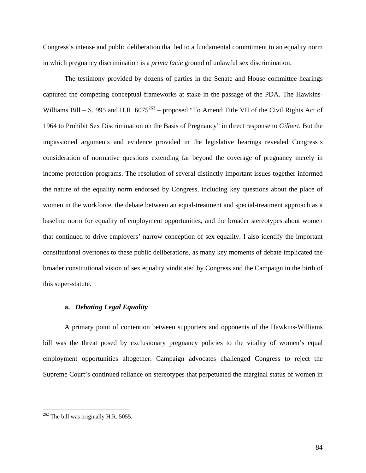Congress's intense and public deliberation that led to a fundamental commitment to an equality norm in which pregnancy discrimination is a *prima facie* ground of unlawful sex discrimination.

 The testimony provided by dozens of parties in the Senate and House committee hearings captured the competing conceptual frameworks at stake in the passage of the PDA. The Hawkins-Williams Bill – S. 995 and H.R.  $6075^{262}$  – proposed "To Amend Title VII of the Civil Rights Act of 1964 to Prohibit Sex Discrimination on the Basis of Pregnancy" in direct response to *Gilbert*. But the impassioned arguments and evidence provided in the legislative hearings revealed Congress's consideration of normative questions extending far beyond the coverage of pregnancy merely in income protection programs. The resolution of several distinctly important issues together informed the nature of the equality norm endorsed by Congress, including key questions about the place of women in the workforce, the debate between an equal-treatment and special-treatment approach as a baseline norm for equality of employment opportunities, and the broader stereotypes about women that continued to drive employers' narrow conception of sex equality. I also identify the important constitutional overtones to these public deliberations, as many key moments of debate implicated the broader constitutional vision of sex equality vindicated by Congress and the Campaign in the birth of this super-statute.

# **a.** *Debating Legal Equality*

 A primary point of contention between supporters and opponents of the Hawkins-Williams bill was the threat posed by exclusionary pregnancy policies to the vitality of women's equal employment opportunities altogether. Campaign advocates challenged Congress to reject the Supreme Court's continued reliance on stereotypes that perpetuated the marginal status of women in

 $262$  The bill was originally H.R. 5055.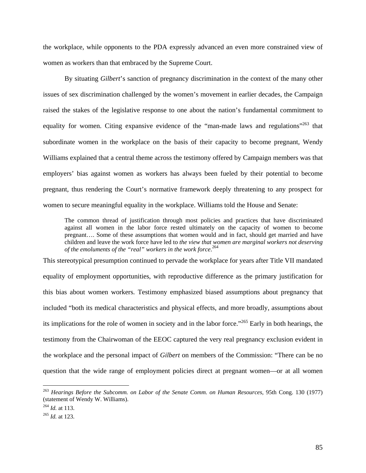the workplace, while opponents to the PDA expressly advanced an even more constrained view of women as workers than that embraced by the Supreme Court.

 By situating *Gilbert*'s sanction of pregnancy discrimination in the context of the many other issues of sex discrimination challenged by the women's movement in earlier decades, the Campaign raised the stakes of the legislative response to one about the nation's fundamental commitment to equality for women. Citing expansive evidence of the "man-made laws and regulations"<sup>263</sup> that subordinate women in the workplace on the basis of their capacity to become pregnant, Wendy Williams explained that a central theme across the testimony offered by Campaign members was that employers' bias against women as workers has always been fueled by their potential to become pregnant, thus rendering the Court's normative framework deeply threatening to any prospect for women to secure meaningful equality in the workplace. Williams told the House and Senate:

The common thread of justification through most policies and practices that have discriminated against all women in the labor force rested ultimately on the capacity of women to become pregnant…. Some of these assumptions that women would and in fact, should get married and have children and leave the work force have led to *the view that women are marginal workers not deserving of the emoluments of the "real" workers in the work force*. 264

This stereotypical presumption continued to pervade the workplace for years after Title VII mandated equality of employment opportunities, with reproductive difference as the primary justification for this bias about women workers. Testimony emphasized biased assumptions about pregnancy that included "both its medical characteristics and physical effects, and more broadly, assumptions about its implications for the role of women in society and in the labor force."265 Early in both hearings, the testimony from the Chairwoman of the EEOC captured the very real pregnancy exclusion evident in the workplace and the personal impact of *Gilbert* on members of the Commission: "There can be no question that the wide range of employment policies direct at pregnant women—or at all women

<sup>263</sup> *Hearings Before the Subcomm. on Labor of the Senate Comm. on Human Resources*, 95th Cong. 130 (1977) (statement of Wendy W. Williams).

<sup>264</sup> *Id.* at 113. 265 *Id.* at 123.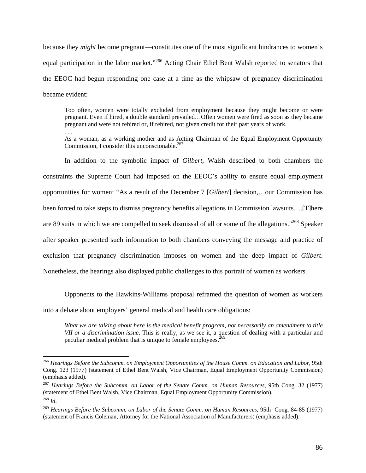because they *might* become pregnant—constitutes one of the most significant hindrances to women's equal participation in the labor market."<sup>266</sup> Acting Chair Ethel Bent Walsh reported to senators that the EEOC had begun responding one case at a time as the whipsaw of pregnancy discrimination became evident:

Too often, women were totally excluded from employment because they might become or were pregnant. Even if hired, a double standard prevailed…Often women were fired as soon as they became pregnant and were not rehired or, if rehired, not given credit for their past years of work. . . .

As a woman, as a working mother and as Acting Chairman of the Equal Employment Opportunity Commission, I consider this unconscionable. $267$ 

In addition to the symbolic impact of *Gilbert,* Walsh described to both chambers the constraints the Supreme Court had imposed on the EEOC's ability to ensure equal employment opportunities for women: "As a result of the December 7 [*Gilbert*] decision,…our Commission has been forced to take steps to dismiss pregnancy benefits allegations in Commission lawsuits….[T]here are 89 suits in which we are compelled to seek dismissal of all or some of the allegations."268 Speaker after speaker presented such information to both chambers conveying the message and practice of exclusion that pregnancy discrimination imposes on women and the deep impact of *Gilbert*. Nonetheless, the hearings also displayed public challenges to this portrait of women as workers.

 Opponents to the Hawkins-Williams proposal reframed the question of women as workers into a debate about employers' general medical and health care obligations:

*What we are talking about here is the medical benefit program, not necessarily an amendment to title VII or a discrimination issue*. This is really, as we see it, a question of dealing with a particular and peculiar medical problem that is unique to female employees.<sup> $269$ </sup>

<sup>266</sup> *Hearings Before the Subcomm. on Employment Opportunities of the House Comm. on Education and Labor*, 95th Cong. 123 (1977) (statement of Ethel Bent Walsh, Vice Chairman, Equal Employment Opportunity Commission) (emphasis added).

<sup>267</sup> *Hearings Before the Subcomm. on Labor of the Senate Comm. on Human Resources*, 95th Cong. 32 (1977) (statement of Ethel Bent Walsh, Vice Chairman, Equal Employment Opportunity Commission). <sup>268</sup> *Id*.

<sup>269</sup> *Hearings Before the Subcomm. on Labor of the Senate Comm. on Human Resources*, 95th Cong. 84-85 (1977) (statement of Francis Coleman, Attorney for the National Association of Manufacturers) (emphasis added).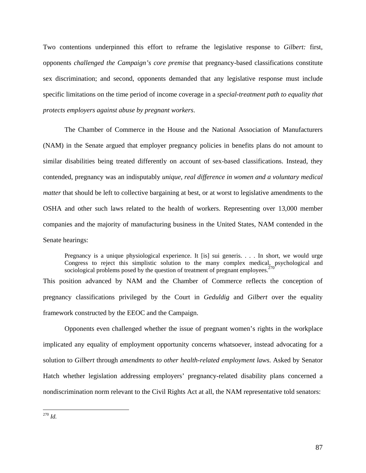Two contentions underpinned this effort to reframe the legislative response to *Gilbert:* first, opponents *challenged the Campaign's core premise* that pregnancy-based classifications constitute sex discrimination; and second, opponents demanded that any legislative response must include specific limitations on the time period of income coverage in a *special*-*treatment path to equality that protects employers against abuse by pregnant workers*.

The Chamber of Commerce in the House and the National Association of Manufacturers (NAM) in the Senate argued that employer pregnancy policies in benefits plans do not amount to similar disabilities being treated differently on account of sex-based classifications. Instead, they contended, pregnancy was an indisputably *unique, real difference in women and a voluntary medical matter* that should be left to collective bargaining at best, or at worst to legislative amendments to the OSHA and other such laws related to the health of workers. Representing over 13,000 member companies and the majority of manufacturing business in the United States, NAM contended in the Senate hearings:

Pregnancy is a unique physiological experience. It [is] sui generis. . . . In short, we would urge Congress to reject this simplistic solution to the many complex medical, psychological and sociological problems posed by the question of treatment of pregnant employees.<sup>2</sup>

This position advanced by NAM and the Chamber of Commerce reflects the conception of pregnancy classifications privileged by the Court in *Geduldig* and *Gilbert* over the equality framework constructed by the EEOC and the Campaign.

Opponents even challenged whether the issue of pregnant women's rights in the workplace implicated any equality of employment opportunity concerns whatsoever, instead advocating for a solution to *Gilbert* through *amendments to other health-related employment laws*. Asked by Senator Hatch whether legislation addressing employers' pregnancy-related disability plans concerned a nondiscrimination norm relevant to the Civil Rights Act at all, the NAM representative told senators:

 $\overline{a}$ <sup>270</sup> *Id.*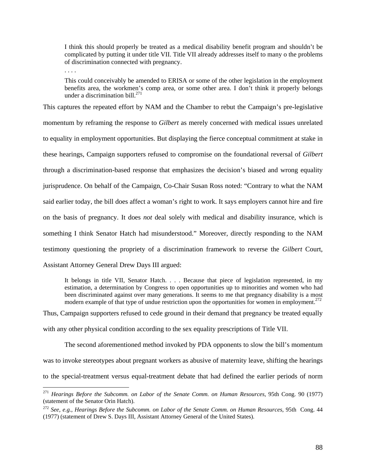I think this should properly be treated as a medical disability benefit program and shouldn't be complicated by putting it under title VII. Title VII already addresses itself to many o the problems of discrimination connected with pregnancy.

. . . .

 $\overline{a}$ 

This could conceivably be amended to ERISA or some of the other legislation in the employment benefits area, the workmen's comp area, or some other area. I don't think it properly belongs under a discrimination bill. $^{271}$ 

This captures the repeated effort by NAM and the Chamber to rebut the Campaign's pre-legislative momentum by reframing the response to *Gilbert* as merely concerned with medical issues unrelated to equality in employment opportunities. But displaying the fierce conceptual commitment at stake in these hearings, Campaign supporters refused to compromise on the foundational reversal of *Gilbert*  through a discrimination-based response that emphasizes the decision's biased and wrong equality jurisprudence. On behalf of the Campaign, Co-Chair Susan Ross noted: "Contrary to what the NAM said earlier today, the bill does affect a woman's right to work. It says employers cannot hire and fire on the basis of pregnancy. It does *not* deal solely with medical and disability insurance, which is something I think Senator Hatch had misunderstood." Moreover, directly responding to the NAM testimony questioning the propriety of a discrimination framework to reverse the *Gilbert* Court, Assistant Attorney General Drew Days III argued:

It belongs in title VII, Senator Hatch. . . . Because that piece of legislation represented, in my estimation, a determination by Congress to open opportunities up to minorities and women who had been discriminated against over many generations. It seems to me that pregnancy disability is a most modern example of that type of undue restriction upon the opportunities for women in employment.<sup>272</sup>

Thus, Campaign supporters refused to cede ground in their demand that pregnancy be treated equally with any other physical condition according to the sex equality prescriptions of Title VII.

The second aforementioned method invoked by PDA opponents to slow the bill's momentum was to invoke stereotypes about pregnant workers as abusive of maternity leave, shifting the hearings to the special-treatment versus equal-treatment debate that had defined the earlier periods of norm

<sup>271</sup> *Hearings Before the Subcomm. on Labor of the Senate Comm. on Human Resources*, 95th Cong. 90 (1977) (statement of the Senator Orin Hatch).

<sup>272</sup> *See, e.g.*, *Hearings Before the Subcomm. on Labor of the Senate Comm. on Human Resources*, 95th Cong. 44 (1977) (statement of Drew S. Days III, Assistant Attorney General of the United States).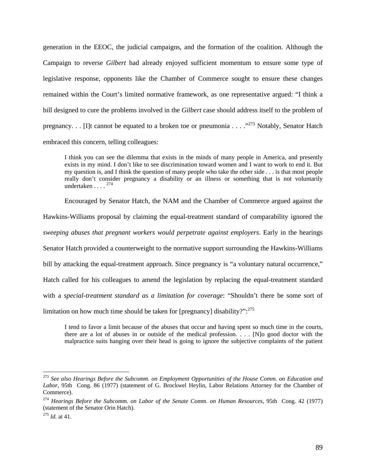generation in the EEOC, the judicial campaigns, and the formation of the coalition. Although the Campaign to reverse *Gilbert* had already enjoyed sufficient momentum to ensure some type of legislative response, opponents like the Chamber of Commerce sought to ensure these changes remained within the Court's limited normative framework, as one representative argued: "I think a bill designed to cure the problems involved in the *Gilbert* case should address itself to the problem of pregnancy. . . [I]t cannot be equated to a broken toe or pneumonia . . . ."273 Notably, Senator Hatch embraced this concern, telling colleagues:

I think you can see the dilemma that exists in the minds of many people in America, and presently exists in my mind. I don't like to see discrimination toward women and I want to work to end it. But my question is, and I think the question of many people who take the other side . . . is that most people really don't consider pregnancy a disability or an illness or something that is not voluntarily undertaken  $\ldots$ <sup>274</sup>

Encouraged by Senator Hatch, the NAM and the Chamber of Commerce argued against the

Hawkins-Williams proposal by claiming the equal-treatment standard of comparability ignored the

*sweeping abuses that pregnant workers would perpetrate against employers*. Early in the hearings

Senator Hatch provided a counterweight to the normative support surrounding the Hawkins-Williams

bill by attacking the equal-treatment approach. Since pregnancy is "a voluntary natural occurrence,"

Hatch called for his colleagues to amend the legislation by replacing the equal-treatment standard

with a *special*-*treatment standard as a limitation for coverage*: "Shouldn't there be some sort of

limitation on how much time should be taken for [pregnancy] disability?":<sup>275</sup>

I tend to favor a limit because of the abuses that occur and having spent so much time in the courts, there are a lot of abuses in or outside of the medical profession. . . . [N]o good doctor with the malpractice suits hanging over their head is going to ignore the subjective complaints of the patient

<sup>273</sup> *See also Hearings Before the Subcomm. on Employment Opportunities of the House Comm. on Education and*  Labor, 95th Cong. 86 (1977) (statement of G. Brockwel Heylin, Labor Relations Attorney for the Chamber of Commerce).

<sup>274</sup> *Hearings Before the Subcomm. on Labor of the Senate Comm. on Human Resources*, 95th Cong. 42 (1977) (statement of the Senator Orin Hatch).

<sup>275</sup> *Id.* at 41.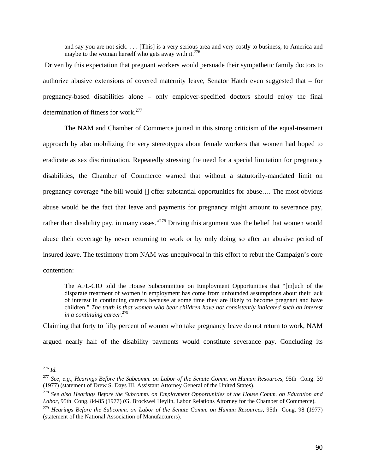and say you are not sick. . . . [This] is a very serious area and very costly to business, to America and maybe to the woman herself who gets away with it.<sup>276</sup>

 Driven by this expectation that pregnant workers would persuade their sympathetic family doctors to authorize abusive extensions of covered maternity leave, Senator Hatch even suggested that – for pregnancy-based disabilities alone – only employer-specified doctors should enjoy the final determination of fitness for work.<sup>277</sup>

The NAM and Chamber of Commerce joined in this strong criticism of the equal-treatment approach by also mobilizing the very stereotypes about female workers that women had hoped to eradicate as sex discrimination. Repeatedly stressing the need for a special limitation for pregnancy disabilities, the Chamber of Commerce warned that without a statutorily-mandated limit on pregnancy coverage "the bill would [] offer substantial opportunities for abuse…. The most obvious abuse would be the fact that leave and payments for pregnancy might amount to severance pay, rather than disability pay, in many cases."<sup>278</sup> Driving this argument was the belief that women would abuse their coverage by never returning to work or by only doing so after an abusive period of insured leave. The testimony from NAM was unequivocal in this effort to rebut the Campaign's core contention:

The AFL-CIO told the House Subcommittee on Employment Opportunities that "[m]uch of the disparate treatment of women in employment has come from unfounded assumptions about their lack of interest in continuing careers because at some time they are likely to become pregnant and have children." *The truth is that women who bear children have not consistently indicated such an interest in a continuing career*. 279

Claiming that forty to fifty percent of women who take pregnancy leave do not return to work, NAM argued nearly half of the disability payments would constitute severance pay. Concluding its

 $\overline{a}$ <sup>276</sup> *Id.*

<sup>&</sup>lt;sup>277</sup> *See, e.g., Hearings Before the Subcomm. on Labor of the Senate Comm. on Human Resources, 95th Cong. 39* (1977) (statement of Drew S. Days III, Assistant Attorney General of the United States).

<sup>&</sup>lt;sup>278</sup> See also Hearings Before the Subcomm. on Employment Opportunities of the House Comm. on Education and *Labor*, 95th Cong. 84-85 (1977) (G. Brockwel Heylin, Labor Relations Attorney for the Chamber of Commerce).

<sup>279</sup> *Hearings Before the Subcomm. on Labor of the Senate Comm. on Human Resources*, 95th Cong. 98 (1977) (statement of the National Association of Manufacturers).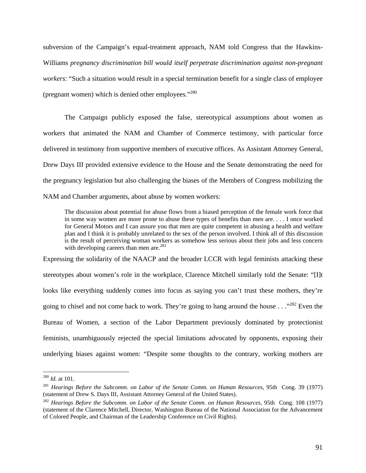subversion of the Campaign's equal-treatment approach, NAM told Congress that the Hawkins-Williams *pregnancy discrimination bill would itself perpetrate discrimination against non-pregnant workers*: "Such a situation would result in a special termination benefit for a single class of employee (pregnant women) which is denied other employees."280

 The Campaign publicly exposed the false, stereotypical assumptions about women as workers that animated the NAM and Chamber of Commerce testimony, with particular force delivered in testimony from supportive members of executive offices. As Assistant Attorney General, Drew Days III provided extensive evidence to the House and the Senate demonstrating the need for the pregnancy legislation but also challenging the biases of the Members of Congress mobilizing the NAM and Chamber arguments, about abuse by women workers:

The discussion about potential for abuse flows from a biased perception of the female work force that in some way women are more prone to abuse these types of benefits than men are. . . . I once worked for General Motors and I can assure you that men are quite competent in abusing a health and welfare plan and I think it is probably unrelated to the sex of the person involved. I think all of this discussion is the result of perceiving woman workers as somehow less serious about their jobs and less concern with developing careers than men are.<sup>281</sup>

Expressing the solidarity of the NAACP and the broader LCCR with legal feminists attacking these stereotypes about women's role in the workplace, Clarence Mitchell similarly told the Senate: "[I]t looks like everything suddenly comes into focus as saying you can't trust these mothers, they're going to chisel and not come back to work. They're going to hang around the house  $\ldots$ <sup>282</sup> Even the Bureau of Women, a section of the Labor Department previously dominated by protectionist feminists, unambiguously rejected the special limitations advocated by opponents, exposing their underlying biases against women: "Despite some thoughts to the contrary, working mothers are

<sup>280</sup> *Id.* at 101.

<sup>281</sup> *Hearings Before the Subcomm. on Labor of the Senate Comm. on Human Resources*, 95th Cong. 39 (1977) (statement of Drew S. Days III, Assistant Attorney General of the United States).

<sup>282</sup> *Hearings Before the Subcomm. on Labor of the Senate Comm. on Human Resources*, 95th Cong. 108 (1977) (statement of the Clarence Mitchell, Director, Washington Bureau of the National Association for the Advancement of Colored People, and Chairman of the Leadership Conference on Civil Rights).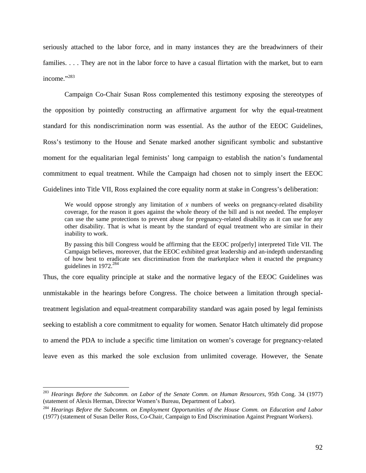seriously attached to the labor force, and in many instances they are the breadwinners of their families. . . . They are not in the labor force to have a casual flirtation with the market, but to earn income."283

 Campaign Co-Chair Susan Ross complemented this testimony exposing the stereotypes of the opposition by pointedly constructing an affirmative argument for why the equal-treatment standard for this nondiscrimination norm was essential. As the author of the EEOC Guidelines, Ross's testimony to the House and Senate marked another significant symbolic and substantive moment for the equalitarian legal feminists' long campaign to establish the nation's fundamental commitment to equal treatment. While the Campaign had chosen not to simply insert the EEOC Guidelines into Title VII, Ross explained the core equality norm at stake in Congress's deliberation:

We would oppose strongly any limitation of x numbers of weeks on pregnancy-related disability coverage, for the reason it goes against the whole theory of the bill and is not needed. The employer can use the same protections to prevent abuse for pregnancy-related disability as it can use for any other disability. That is what is meant by the standard of equal treatment who are similar in their inability to work.

By passing this bill Congress would be affirming that the EEOC pro[perly] interpreted Title VII. The Campaign believes, moreover, that the EEOC exhibited great leadership and an-indepth understanding of how best to eradicate sex discrimination from the marketplace when it enacted the pregnancy guidelines in  $1972.^{284}$ 

Thus, the core equality principle at stake and the normative legacy of the EEOC Guidelines was unmistakable in the hearings before Congress. The choice between a limitation through specialtreatment legislation and equal-treatment comparability standard was again posed by legal feminists seeking to establish a core commitment to equality for women. Senator Hatch ultimately did propose to amend the PDA to include a specific time limitation on women's coverage for pregnancy-related leave even as this marked the sole exclusion from unlimited coverage. However, the Senate

<sup>283</sup> *Hearings Before the Subcomm. on Labor of the Senate Comm. on Human Resources*, 95th Cong. 34 (1977) (statement of Alexis Herman, Director Women's Bureau, Department of Labor).

<sup>284</sup> *Hearings Before the Subcomm. on Employment Opportunities of the House Comm. on Education and Labor* (1977) (statement of Susan Deller Ross, Co-Chair, Campaign to End Discrimination Against Pregnant Workers).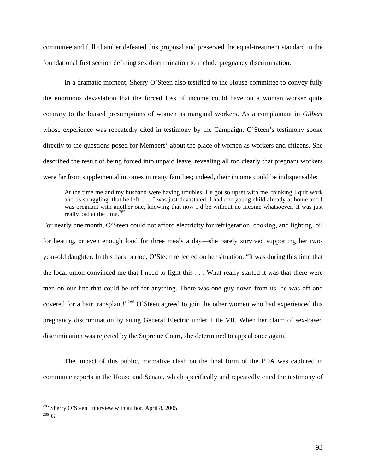committee and full chamber defeated this proposal and preserved the equal-treatment standard in the foundational first section defining sex discrimination to include pregnancy discrimination.

In a dramatic moment, Sherry O'Steen also testified to the House committee to convey fully the enormous devastation that the forced loss of income could have on a woman worker quite contrary to the biased presumptions of women as marginal workers. As a complainant in *Gilbert*  whose experience was repeatedly cited in testimony by the Campaign, O'Steen's testimony spoke directly to the questions posed for Members' about the place of women as workers and citizens. She described the result of being forced into unpaid leave, revealing all too clearly that pregnant workers were far from supplemental incomes in many families; indeed, their income could be indispensable:

At the time me and my husband were having troubles. He got so upset with me, thinking I quit work and us struggling, that he left. . . . I was just devastated. I had one young child already at home and I was pregnant with another one, knowing that now I'd be without no income whatsoever. It was just really bad at the time.<sup>285</sup>

For nearly one month, O'Steen could not afford electricity for refrigeration, cooking, and lighting, oil for heating, or even enough food for three meals a day—she barely survived supporting her twoyear-old daughter. In this dark period, O'Steen reflected on her situation: "It was during this time that the local union convinced me that I need to fight this . . . What really started it was that there were men on our line that could be off for anything. There was one guy down from us, he was off and covered for a hair transplant!"<sup>286</sup> O'Steen agreed to join the other women who had experienced this pregnancy discrimination by suing General Electric under Title VII. When her claim of sex-based discrimination was rejected by the Supreme Court, she determined to appeal once again.

The impact of this public, normative clash on the final form of the PDA was captured in committee reports in the House and Senate, which specifically and repeatedly cited the testimony of

<sup>285</sup> Sherry O'Steen, Interview with author, April 8, 2005. 286 *Id*.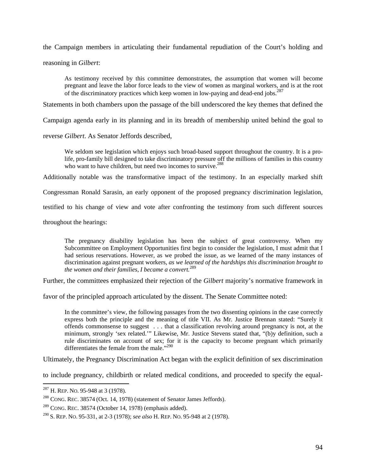the Campaign members in articulating their fundamental repudiation of the Court's holding and

reasoning in *Gilbert*:

As testimony received by this committee demonstrates, the assumption that women will become pregnant and leave the labor force leads to the view of women as marginal workers, and is at the root of the discriminatory practices which keep women in low-paying and dead-end jobs. $287$ 

Statements in both chambers upon the passage of the bill underscored the key themes that defined the

Campaign agenda early in its planning and in its breadth of membership united behind the goal to

reverse *Gilbert*. As Senator Jeffords described,

We seldom see legislation which enjoys such broad-based support throughout the country. It is a prolife, pro-family bill designed to take discriminatory pressure off the millions of families in this country who want to have children, but need two incomes to survive.<sup>288</sup>

Additionally notable was the transformative impact of the testimony. In an especially marked shift

Congressman Ronald Sarasin, an early opponent of the proposed pregnancy discrimination legislation,

testified to his change of view and vote after confronting the testimony from such different sources

throughout the hearings:

The pregnancy disability legislation has been the subject of great controversy. When my Subcommittee on Employment Opportunities first begin to consider the legislation, I must admit that I had serious reservations. However, as we probed the issue, as we learned of the many instances of discrimination against pregnant workers, *as we learned of the hardships this discrimination brought to the women and their families, I became a convert.*<sup>289</sup>

Further, the committees emphasized their rejection of the *Gilbert* majority's normative framework in

favor of the principled approach articulated by the dissent. The Senate Committee noted:

In the committee's view, the following passages from the two dissenting opinions in the case correctly express both the principle and the meaning of title VII. As Mr. Justice Brennan stated: "Surely it offends commonsense to suggest . . . that a classification revolving around pregnancy is not, at the minimum, strongly 'sex related.'" Likewise, Mr. Justice Stevens stated that, "(b)y definition, such a rule discriminates on account of sex; for it is the capacity to become pregnant which primarily differentiates the female from the male."<sup>290</sup>

Ultimately, the Pregnancy Discrimination Act began with the explicit definition of sex discrimination

to include pregnancy, childbirth or related medical conditions, and proceeded to specify the equal-

 $^{287}$  H, REP, No. 95-948 at 3 (1978).

 $288$  CONG. REC. 38574 (Oct. 14, 1978) (statement of Senator James Jeffords).

 $289$  CONG. REC. 38574 (October 14, 1978) (emphasis added).

<sup>290</sup> S. REP. NO. 95-331, at 2-3 (1978); *see also* H. REP. NO. 95-948 at 2 (1978).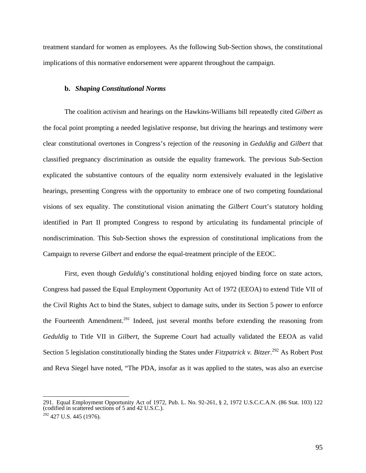treatment standard for women as employees. As the following Sub-Section shows, the constitutional implications of this normative endorsement were apparent throughout the campaign.

#### **b.** *Shaping Constitutional Norms*

The coalition activism and hearings on the Hawkins-Williams bill repeatedly cited *Gilbert* as the focal point prompting a needed legislative response, but driving the hearings and testimony were clear constitutional overtones in Congress's rejection of the *reasoning* in *Geduldig* and *Gilbert* that classified pregnancy discrimination as outside the equality framework. The previous Sub-Section explicated the substantive contours of the equality norm extensively evaluated in the legislative hearings, presenting Congress with the opportunity to embrace one of two competing foundational visions of sex equality. The constitutional vision animating the *Gilbert* Court's statutory holding identified in Part II prompted Congress to respond by articulating its fundamental principle of nondiscrimination. This Sub-Section shows the expression of constitutional implications from the Campaign to reverse *Gilbert* and endorse the equal-treatment principle of the EEOC.

First, even though *Geduldig*'s constitutional holding enjoyed binding force on state actors, Congress had passed the Equal Employment Opportunity Act of 1972 (EEOA) to extend Title VII of the Civil Rights Act to bind the States, subject to damage suits, under its Section 5 power to enforce the Fourteenth Amendment.<sup>291</sup> Indeed, just several months before extending the reasoning from *Geduldig* to Title VII in *Gilbert*, the Supreme Court had actually validated the EEOA as valid Section 5 legislation constitutionally binding the States under *Fitzpatrick v. Bitzer*.<sup>292</sup> As Robert Post and Reva Siegel have noted, "The PDA, insofar as it was applied to the states, was also an exercise

<sup>291.</sup> Equal Employment Opportunity Act of 1972, Pub. L. No. 92-261, § 2, 1972 U.S.C.C.A.N. (86 Stat. 103) 122 (codified in scattered sections of 5 and 42 U.S.C.).

<sup>&</sup>lt;sup>292</sup> 427 U.S. 445 (1976).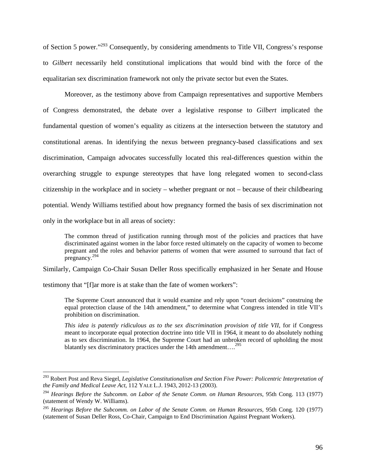of Section 5 power."293 Consequently, by considering amendments to Title VII, Congress's response to *Gilbert* necessarily held constitutional implications that would bind with the force of the equalitarian sex discrimination framework not only the private sector but even the States.

Moreover, as the testimony above from Campaign representatives and supportive Members of Congress demonstrated, the debate over a legislative response to *Gilbert* implicated the fundamental question of women's equality as citizens at the intersection between the statutory and constitutional arenas. In identifying the nexus between pregnancy-based classifications and sex discrimination, Campaign advocates successfully located this real-differences question within the overarching struggle to expunge stereotypes that have long relegated women to second-class citizenship in the workplace and in society – whether pregnant or not – because of their childbearing potential. Wendy Williams testified about how pregnancy formed the basis of sex discrimination not only in the workplace but in all areas of society:

The common thread of justification running through most of the policies and practices that have discriminated against women in the labor force rested ultimately on the capacity of women to become pregnant and the roles and behavior patterns of women that were assumed to surround that fact of pregnancy.<sup>294</sup>

Similarly, Campaign Co-Chair Susan Deller Ross specifically emphasized in her Senate and House

testimony that "[f]ar more is at stake than the fate of women workers":

 $\overline{a}$ 

The Supreme Court announced that it would examine and rely upon "court decisions" construing the equal protection clause of the 14th amendment," to determine what Congress intended in title VII's prohibition on discrimination.

*This idea is patently ridiculous as to the sex discrimination provision of title VII*, for if Congress meant to incorporate equal protection doctrine into title VII in 1964, it meant to do absolutely nothing as to sex discrimination. In 1964, the Supreme Court had an unbroken record of upholding the most blatantly sex discriminatory practices under the 14th amendment...<sup>295</sup>

<sup>293</sup> Robert Post and Reva Siegel, *Legislative Constitutionalism and Section Five Power: Policentric Interpretation of the Family and Medical Leave Act*, 112 YALE L.J. 1943, 2012-13 (2003).

<sup>294</sup> *Hearings Before the Subcomm. on Labor of the Senate Comm. on Human Resources*, 95th Cong. 113 (1977) (statement of Wendy W. Williams).

<sup>295</sup> *Hearings Before the Subcomm. on Labor of the Senate Comm. on Human Resources*, 95th Cong. 120 (1977) (statement of Susan Deller Ross, Co-Chair, Campaign to End Discrimination Against Pregnant Workers).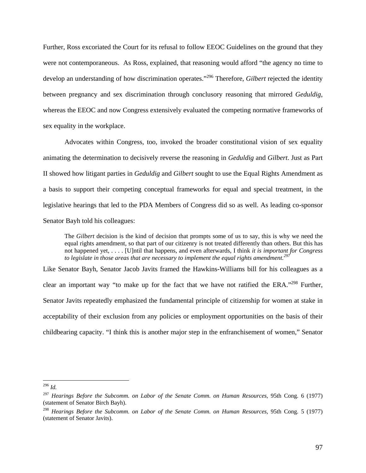Further, Ross excoriated the Court for its refusal to follow EEOC Guidelines on the ground that they were not contemporaneous. As Ross, explained, that reasoning would afford "the agency no time to develop an understanding of how discrimination operates."296 Therefore, *Gilbert* rejected the identity between pregnancy and sex discrimination through conclusory reasoning that mirrored *Geduldig*, whereas the EEOC and now Congress extensively evaluated the competing normative frameworks of sex equality in the workplace.

 Advocates within Congress, too, invoked the broader constitutional vision of sex equality animating the determination to decisively reverse the reasoning in *Geduldig* and *Gilbert*. Just as Part II showed how litigant parties in *Geduldig* and *Gilbert* sought to use the Equal Rights Amendment as a basis to support their competing conceptual frameworks for equal and special treatment, in the legislative hearings that led to the PDA Members of Congress did so as well. As leading co-sponsor Senator Bayh told his colleagues:

The *Gilbert* decision is the kind of decision that prompts some of us to say, this is why we need the equal rights amendment, so that part of our citizenry is not treated differently than others. But this has not happened yet, . . . . [U]ntil that happens, and even afterwards, I think *it is important for Congress*  to legislate in those areas that are necessary to implement the equal rights amendment.<sup>29</sup>

Like Senator Bayh, Senator Jacob Javits framed the Hawkins-Williams bill for his colleagues as a clear an important way "to make up for the fact that we have not ratified the ERA."298 Further, Senator Javits repeatedly emphasized the fundamental principle of citizenship for women at stake in acceptability of their exclusion from any policies or employment opportunities on the basis of their childbearing capacity. "I think this is another major step in the enfranchisement of women," Senator

<sup>296</sup> *Id.*

<sup>297</sup> *Hearings Before the Subcomm. on Labor of the Senate Comm. on Human Resources*, 95th Cong. 6 (1977) (statement of Senator Birch Bayh).

<sup>298</sup> *Hearings Before the Subcomm. on Labor of the Senate Comm. on Human Resources*, 95th Cong. 5 (1977) (statement of Senator Javits).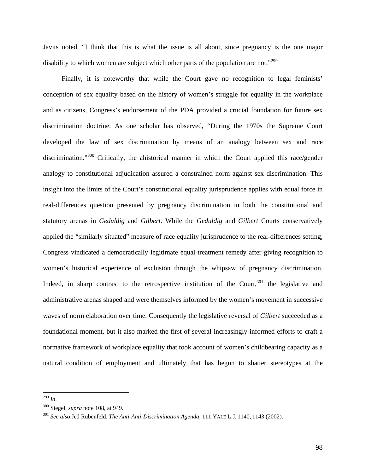Javits noted. "I think that this is what the issue is all about, since pregnancy is the one major disability to which women are subject which other parts of the population are not.<sup>3299</sup>

 Finally, it is noteworthy that while the Court gave no recognition to legal feminists' conception of sex equality based on the history of women's struggle for equality in the workplace and as citizens, Congress's endorsement of the PDA provided a crucial foundation for future sex discrimination doctrine. As one scholar has observed, "During the 1970s the Supreme Court developed the law of sex discrimination by means of an analogy between sex and race discrimination."<sup>300</sup> Critically, the ahistorical manner in which the Court applied this race/gender analogy to constitutional adjudication assured a constrained norm against sex discrimination. This insight into the limits of the Court's constitutional equality jurisprudence applies with equal force in real-differences question presented by pregnancy discrimination in both the constitutional and statutory arenas in *Geduldig* and *Gilbert*. While the *Geduldig* and *Gilbert* Courts conservatively applied the "similarly situated" measure of race equality jurisprudence to the real-differences setting, Congress vindicated a democratically legitimate equal-treatment remedy after giving recognition to women's historical experience of exclusion through the whipsaw of pregnancy discrimination. Indeed, in sharp contrast to the retrospective institution of the Court,  $301$  the legislative and administrative arenas shaped and were themselves informed by the women's movement in successive waves of norm elaboration over time. Consequently the legislative reversal of *Gilbert* succeeded as a foundational moment, but it also marked the first of several increasingly informed efforts to craft a normative framework of workplace equality that took account of women's childbearing capacity as a natural condition of employment and ultimately that has begun to shatter stereotypes at the

<sup>299</sup> *Id*.

<sup>&</sup>lt;sup>300</sup> Siegel, *supra* note 108, at 949.<br><sup>301</sup> *See also Jed Rubenfeld, The Anti-Anti-Discrimination Agenda,* 111 YALE L.J. 1140, 1143 (2002).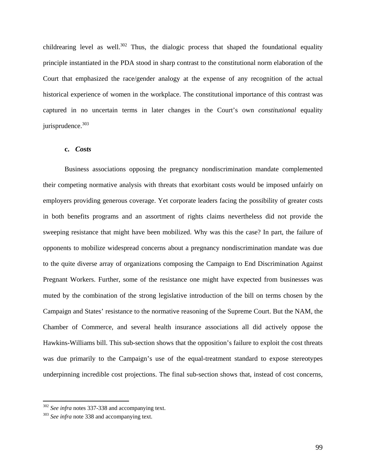childrearing level as well.<sup>302</sup> Thus, the dialogic process that shaped the foundational equality principle instantiated in the PDA stood in sharp contrast to the constitutional norm elaboration of the Court that emphasized the race/gender analogy at the expense of any recognition of the actual historical experience of women in the workplace. The constitutional importance of this contrast was captured in no uncertain terms in later changes in the Court's own *constitutional* equality  $i$ urisprudence. $303$ 

# **c.** *Costs*

Business associations opposing the pregnancy nondiscrimination mandate complemented their competing normative analysis with threats that exorbitant costs would be imposed unfairly on employers providing generous coverage. Yet corporate leaders facing the possibility of greater costs in both benefits programs and an assortment of rights claims nevertheless did not provide the sweeping resistance that might have been mobilized. Why was this the case? In part, the failure of opponents to mobilize widespread concerns about a pregnancy nondiscrimination mandate was due to the quite diverse array of organizations composing the Campaign to End Discrimination Against Pregnant Workers. Further, some of the resistance one might have expected from businesses was muted by the combination of the strong legislative introduction of the bill on terms chosen by the Campaign and States' resistance to the normative reasoning of the Supreme Court. But the NAM, the Chamber of Commerce, and several health insurance associations all did actively oppose the Hawkins-Williams bill. This sub-section shows that the opposition's failure to exploit the cost threats was due primarily to the Campaign's use of the equal-treatment standard to expose stereotypes underpinning incredible cost projections. The final sub-section shows that, instead of cost concerns,

<sup>&</sup>lt;sup>302</sup> *See infra* notes 337-338 and accompanying text.<br><sup>303</sup> *See infra* note 338 and accompanying text.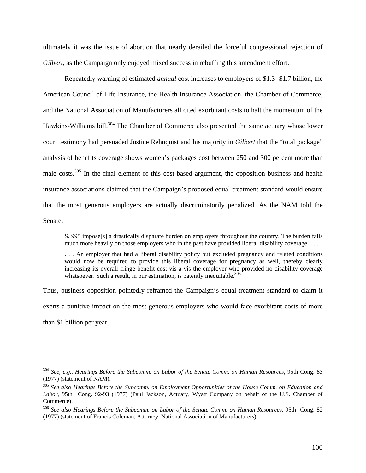ultimately it was the issue of abortion that nearly derailed the forceful congressional rejection of *Gilbert*, as the Campaign only enjoyed mixed success in rebuffing this amendment effort.

Repeatedly warning of estimated *annual* cost increases to employers of \$1.3- \$1.7 billion, the American Council of Life Insurance, the Health Insurance Association, the Chamber of Commerce, and the National Association of Manufacturers all cited exorbitant costs to halt the momentum of the Hawkins-Williams bill.<sup>304</sup> The Chamber of Commerce also presented the same actuary whose lower court testimony had persuaded Justice Rehnquist and his majority in *Gilbert* that the "total package" analysis of benefits coverage shows women's packages cost between 250 and 300 percent more than male costs.<sup>305</sup> In the final element of this cost-based argument, the opposition business and health insurance associations claimed that the Campaign's proposed equal-treatment standard would ensure that the most generous employers are actually discriminatorily penalized. As the NAM told the Senate:

S. 995 impose[s] a drastically disparate burden on employers throughout the country. The burden falls much more heavily on those employers who in the past have provided liberal disability coverage. . . .

. . . An employer that had a liberal disability policy but excluded pregnancy and related conditions would now be required to provide this liberal coverage for pregnancy as well, thereby clearly increasing its overall fringe benefit cost vis a vis the employer who provided no disability coverage whatsoever. Such a result, in our estimation, is patently inequitable.<sup>306</sup>

Thus, business opposition pointedly reframed the Campaign's equal-treatment standard to claim it exerts a punitive impact on the most generous employers who would face exorbitant costs of more than \$1 billion per year.

<sup>304</sup> *See, e.g.*, *Hearings Before the Subcomm. on Labor of the Senate Comm. on Human Resources*, 95th Cong. 83 (1977) (statement of NAM).

<sup>305</sup> *See also Hearings Before the Subcomm. on Employment Opportunities of the House Comm. on Education and Labor*, 95th Cong. 92-93 (1977) (Paul Jackson, Actuary, Wyatt Company on behalf of the U.S. Chamber of Commerce).

<sup>306</sup> *See also Hearings Before the Subcomm. on Labor of the Senate Comm. on Human Resources*, 95th Cong. 82 (1977) (statement of Francis Coleman, Attorney, National Association of Manufacturers).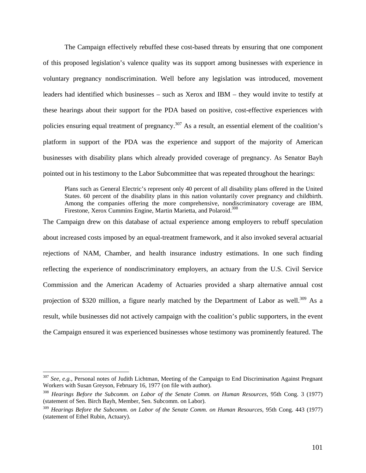The Campaign effectively rebuffed these cost-based threats by ensuring that one component of this proposed legislation's valence quality was its support among businesses with experience in voluntary pregnancy nondiscrimination. Well before any legislation was introduced, movement leaders had identified which businesses – such as Xerox and IBM – they would invite to testify at these hearings about their support for the PDA based on positive, cost-effective experiences with policies ensuring equal treatment of pregnancy.<sup>307</sup> As a result, an essential element of the coalition's platform in support of the PDA was the experience and support of the majority of American businesses with disability plans which already provided coverage of pregnancy. As Senator Bayh pointed out in his testimony to the Labor Subcommittee that was repeated throughout the hearings:

Plans such as General Electric's represent only 40 percent of all disability plans offered in the United States. 60 percent of the disability plans in this nation voluntarily cover pregnancy and childbirth. Among the companies offering the more comprehensive, nondiscriminatory coverage are IBM, Firestone, Xerox Cummins Engine, Martin Marietta, and Polaroid.<sup>308</sup>

The Campaign drew on this database of actual experience among employers to rebuff speculation about increased costs imposed by an equal-treatment framework, and it also invoked several actuarial rejections of NAM, Chamber, and health insurance industry estimations. In one such finding reflecting the experience of nondiscriminatory employers, an actuary from the U.S. Civil Service Commission and the American Academy of Actuaries provided a sharp alternative annual cost projection of \$320 million, a figure nearly matched by the Department of Labor as well.<sup>309</sup> As a result, while businesses did not actively campaign with the coalition's public supporters, in the event the Campaign ensured it was experienced businesses whose testimony was prominently featured. The

<sup>307</sup> *See, e.g.*, Personal notes of Judith Lichtman, Meeting of the Campaign to End Discrimination Against Pregnant Workers with Susan Greyson, February 16, 1977 (on file with author).<br><sup>308</sup> *Hearings Before the Subcomm. on Labor of the Senate Comm. on Human Resources*, 95th Cong. 3 (1977)

<sup>(</sup>statement of Sen. Birch Bayh, Member, Sen. Subcomm. on Labor).

<sup>309</sup> *Hearings Before the Subcomm. on Labor of the Senate Comm. on Human Resources*, 95th Cong. 443 (1977) (statement of Ethel Rubin, Actuary).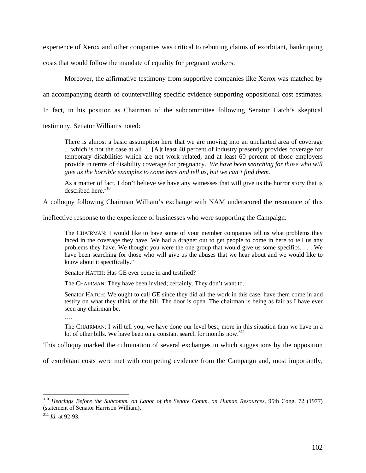experience of Xerox and other companies was critical to rebutting claims of exorbitant, bankrupting

costs that would follow the mandate of equality for pregnant workers.

Moreover, the affirmative testimony from supportive companies like Xerox was matched by an accompanying dearth of countervailing specific evidence supporting oppositional cost estimates. In fact, in his position as Chairman of the subcommittee following Senator Hatch's skeptical testimony, Senator Williams noted:

There is almost a basic assumption here that we are moving into an uncharted area of coverage …which is not the case at all…. [A]t least 40 percent of industry presently provides coverage for temporary disabilities which are not work related, and at least 60 percent of those employers provide in terms of disability coverage for pregnancy. *We have been searching for those who will give us the horrible examples to come here and tell us, but we can't find them.* 

As a matter of fact, I don't believe we have any witnesses that will give us the horror story that is described here $^{310}$ 

A colloquy following Chairman William's exchange with NAM underscored the resonance of this

ineffective response to the experience of businesses who were supporting the Campaign:

The CHAIRMAN: I would like to have some of your member companies tell us what problems they faced in the coverage they have. We had a dragnet out to get people to come in here to tell us any problems they have. We thought you were the one group that would give us some specifics. . . . We have been searching for those who will give us the abuses that we hear about and we would like to know about it specifically."

Senator HATCH: Has GE ever come in and testified?

The CHAIRMAN: They have been invited; certainly. They don't want to.

Senator HATCH: We ought to call GE since they did all the work in this case, have them come in and testify on what they think of the bill. The door is open. The chairman is being as fair as I have ever seen any chairman be.

….

The CHAIRMAN: I will tell you, we have done our level best, more in this situation than we have in a lot of other bills. We have been on a constant search for months now.<sup>311</sup>

This colloquy marked the culmination of several exchanges in which suggestions by the opposition

of exorbitant costs were met with competing evidence from the Campaign and, most importantly,

<sup>310</sup> *Hearings Before the Subcomm. on Labor of the Senate Comm. on Human Resources*, 95th Cong. 72 (1977) (statement of Senator Harrison William).

<sup>311</sup> *Id.* at 92-93.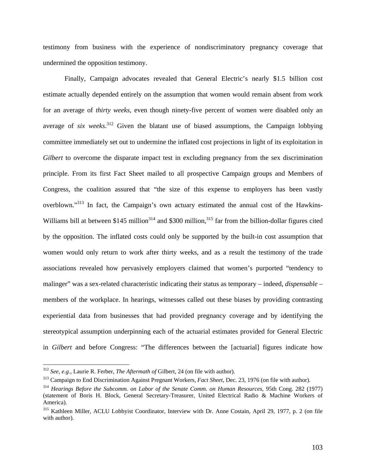testimony from business with the experience of nondiscriminatory pregnancy coverage that undermined the opposition testimony.

 Finally, Campaign advocates revealed that General Electric's nearly \$1.5 billion cost estimate actually depended entirely on the assumption that women would remain absent from work for an average of *thirty weeks*, even though ninety-five percent of women were disabled only an average of *six weeks*. 312 Given the blatant use of biased assumptions, the Campaign lobbying committee immediately set out to undermine the inflated cost projections in light of its exploitation in *Gilbert* to overcome the disparate impact test in excluding pregnancy from the sex discrimination principle. From its first Fact Sheet mailed to all prospective Campaign groups and Members of Congress, the coalition assured that "the size of this expense to employers has been vastly overblown."<sup>313</sup> In fact, the Campaign's own actuary estimated the annual cost of the Hawkins-Williams bill at between \$145 million<sup>314</sup> and \$300 million,<sup>315</sup> far from the billion-dollar figures cited by the opposition. The inflated costs could only be supported by the built-in cost assumption that women would only return to work after thirty weeks, and as a result the testimony of the trade associations revealed how pervasively employers claimed that women's purported "tendency to malinger" was a sex-related characteristic indicating their status as temporary – indeed, *dispensable* – members of the workplace. In hearings, witnesses called out these biases by providing contrasting experiential data from businesses that had provided pregnancy coverage and by identifying the stereotypical assumption underpinning each of the actuarial estimates provided for General Electric in *Gilbert* and before Congress: "The differences between the [actuarial] figures indicate how

<sup>312</sup> *See, e.g.*, Laurie R. Ferber, *The Aftermath of* Gilbert, 24 (on file with author).

<sup>313</sup> Campaign to End Discrimination Against Pregnant Workers, *Fact Sheet*, Dec. 23, 1976 (on file with author).

<sup>314</sup> *Hearings Before the Subcomm. on Labor of the Senate Comm. on Human Resources*, 95th Cong. 282 (1977) (statement of Boris H. Block, General Secretary-Treasurer, United Electrical Radio & Machine Workers of America).

<sup>315</sup> Kathleen Miller, ACLU Lobbyist Coordinator, Interview with Dr. Anne Costain, April 29, 1977, p. 2 (on file with author).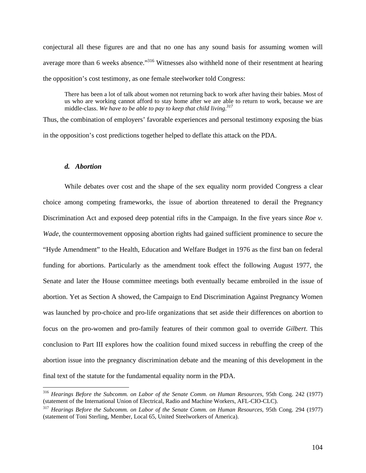conjectural all these figures are and that no one has any sound basis for assuming women will average more than 6 weeks absence."<sup>316</sup> Witnesses also withheld none of their resentment at hearing the opposition's cost testimony, as one female steelworker told Congress:

There has been a lot of talk about women not returning back to work after having their babies. Most of us who are working cannot afford to stay home after we are able to return to work, because we are middle-class. *We have to be able to pay to keep that child living.317*

Thus, the combination of employers' favorable experiences and personal testimony exposing the bias in the opposition's cost predictions together helped to deflate this attack on the PDA.

## *d. Abortion*

 $\overline{a}$ 

While debates over cost and the shape of the sex equality norm provided Congress a clear choice among competing frameworks, the issue of abortion threatened to derail the Pregnancy Discrimination Act and exposed deep potential rifts in the Campaign. In the five years since *Roe v. Wade*, the countermovement opposing abortion rights had gained sufficient prominence to secure the "Hyde Amendment" to the Health, Education and Welfare Budget in 1976 as the first ban on federal funding for abortions. Particularly as the amendment took effect the following August 1977, the Senate and later the House committee meetings both eventually became embroiled in the issue of abortion. Yet as Section A showed, the Campaign to End Discrimination Against Pregnancy Women was launched by pro-choice and pro-life organizations that set aside their differences on abortion to focus on the pro-women and pro-family features of their common goal to override *Gilbert*. This conclusion to Part III explores how the coalition found mixed success in rebuffing the creep of the abortion issue into the pregnancy discrimination debate and the meaning of this development in the final text of the statute for the fundamental equality norm in the PDA.

<sup>316</sup> *Hearings Before the Subcomm. on Labor of the Senate Comm. on Human Resources*, 95th Cong. 242 (1977) (statement of the International Union of Electrical, Radio and Machine Workers, AFL-CIO-CLC).

<sup>317</sup> *Hearings Before the Subcomm. on Labor of the Senate Comm. on Human Resources*, 95th Cong. 294 (1977) (statement of Toni Sterling, Member, Local 65, United Steelworkers of America).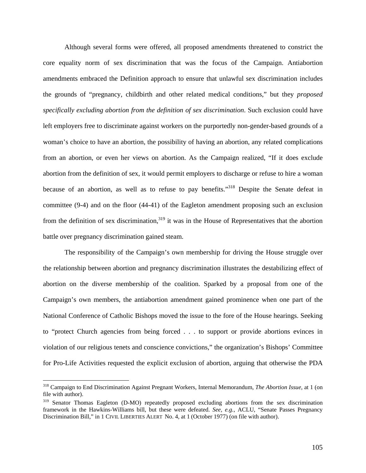Although several forms were offered, all proposed amendments threatened to constrict the core equality norm of sex discrimination that was the focus of the Campaign. Antiabortion amendments embraced the Definition approach to ensure that unlawful sex discrimination includes the grounds of "pregnancy, childbirth and other related medical conditions," but they *proposed specifically excluding abortion from the definition of sex discrimination*. Such exclusion could have left employers free to discriminate against workers on the purportedly non-gender-based grounds of a woman's choice to have an abortion, the possibility of having an abortion, any related complications from an abortion, or even her views on abortion. As the Campaign realized, "If it does exclude abortion from the definition of sex, it would permit employers to discharge or refuse to hire a woman because of an abortion, as well as to refuse to pay benefits."<sup>318</sup> Despite the Senate defeat in committee (9-4) and on the floor (44-41) of the Eagleton amendment proposing such an exclusion from the definition of sex discrimination,<sup>319</sup> it was in the House of Representatives that the abortion battle over pregnancy discrimination gained steam.

 The responsibility of the Campaign's own membership for driving the House struggle over the relationship between abortion and pregnancy discrimination illustrates the destabilizing effect of abortion on the diverse membership of the coalition. Sparked by a proposal from one of the Campaign's own members, the antiabortion amendment gained prominence when one part of the National Conference of Catholic Bishops moved the issue to the fore of the House hearings. Seeking to "protect Church agencies from being forced . . . to support or provide abortions evinces in violation of our religious tenets and conscience convictions," the organization's Bishops' Committee for Pro-Life Activities requested the explicit exclusion of abortion, arguing that otherwise the PDA

<sup>318</sup> Campaign to End Discrimination Against Pregnant Workers, Internal Memorandum, *The Abortion Issue*, at 1 (on file with author).

<sup>&</sup>lt;sup>319</sup> Senator Thomas Eagleton (D-MO) repeatedly proposed excluding abortions from the sex discrimination framework in the Hawkins-Williams bill, but these were defeated. *See, e.g.*, ACLU, "Senate Passes Pregnancy Discrimination Bill," in 1 CIVIL LIBERTIES ALERT No. 4, at 1 (October 1977) (on file with author).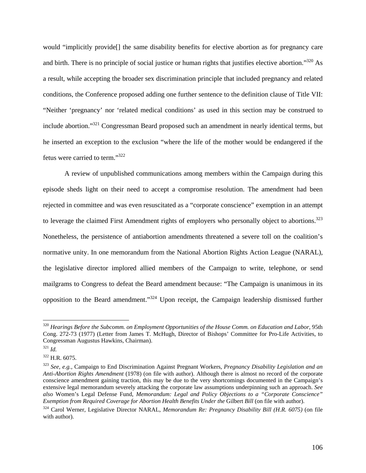would "implicitly provide[] the same disability benefits for elective abortion as for pregnancy care and birth. There is no principle of social justice or human rights that justifies elective abortion."<sup>320</sup> As a result, while accepting the broader sex discrimination principle that included pregnancy and related conditions, the Conference proposed adding one further sentence to the definition clause of Title VII: "Neither 'pregnancy' nor 'related medical conditions' as used in this section may be construed to include abortion."321 Congressman Beard proposed such an amendment in nearly identical terms, but he inserted an exception to the exclusion "where the life of the mother would be endangered if the fetus were carried to term."322

 A review of unpublished communications among members within the Campaign during this episode sheds light on their need to accept a compromise resolution. The amendment had been rejected in committee and was even resuscitated as a "corporate conscience" exemption in an attempt to leverage the claimed First Amendment rights of employers who personally object to abortions.<sup>323</sup> Nonetheless, the persistence of antiabortion amendments threatened a severe toll on the coalition's normative unity. In one memorandum from the National Abortion Rights Action League (NARAL), the legislative director implored allied members of the Campaign to write, telephone, or send mailgrams to Congress to defeat the Beard amendment because: "The Campaign is unanimous in its opposition to the Beard amendment."324 Upon receipt, the Campaign leadership dismissed further

<sup>320</sup> *Hearings Before the Subcomm. on Employment Opportunities of the House Comm. on Education and Labor*, 95th Cong. 272-73 (1977) (Letter from James T. McHugh, Director of Bishops' Committee for Pro-Life Activities, to Congressman Augustus Hawkins, Chairman).

<sup>321</sup> *Id.*

 $322$  H.R. 6075.

<sup>323</sup> *See, e.g.*, Campaign to End Discrimination Against Pregnant Workers, *Pregnancy Disability Legislation and an Anti-Abortion Rights Amendment* (1978) (on file with author). Although there is almost no record of the corporate conscience amendment gaining traction, this may be due to the very shortcomings documented in the Campaign's extensive legal memorandum severely attacking the corporate law assumptions underpinning such an approach. *See also* Women's Legal Defense Fund, *Memorandum: Legal and Policy Objections to a "Corporate Conscience" Exemption from Required Coverage for Abortion Health Benefits Under the Gilbert Bill* (on file with author).

<sup>324</sup> Carol Werner, Legislative Director NARAL, *Memorandum Re: Pregnancy Disability Bill (H.R. 6075)* (on file with author).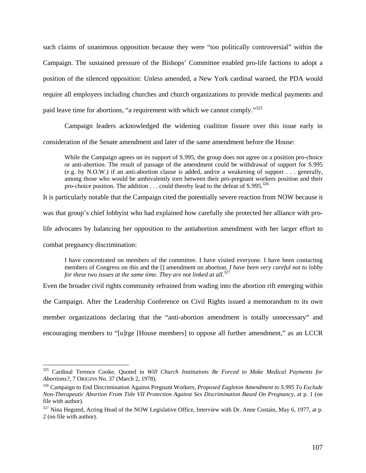such claims of unanimous opposition because they were "too politically controversial" within the Campaign. The sustained pressure of the Bishops' Committee enabled pro-life factions to adopt a position of the silenced opposition: Unless amended, a New York cardinal warned, the PDA would require all employers including churches and church organizations to provide medical payments and paid leave time for abortions, "a requirement with which we cannot comply."<sup>325</sup>

Campaign leaders acknowledged the widening coalition fissure over this issue early in consideration of the Senate amendment and later of the same amendment before the House:

While the Campaign agrees on its support of S.995, the group does not agree on a position pro-choice or anti-abortion. The result of passage of the amendment could be withdrawal of support for S.995 (e.g. by N.O.W.) if an anti-abortion clause is added, and/or a weakening of support . . . generally, among those who would be ambivalently torn between their pro-pregnant workers position and their pro-choice position. The addition  $\dots$  could thereby lead to the defeat of S.995.<sup>326</sup>

It is particularly notable that the Campaign cited the potentially severe reaction from NOW because it

was that group's chief lobbyist who had explained how carefully she protected her alliance with pro-

life advocates by balancing her opposition to the antiabortion amendment with her larger effort to

combat pregnancy discrimination:

 $\overline{a}$ 

I have concentrated on members of the committee. I have visited everyone. I have been contacting members of Congress on this and the [] amendment on abortion. *I have been very careful not to lobby*  for these two issues at the same time. They are not linked at all.<sup>327</sup>

Even the broader civil rights community refrained from wading into the abortion rift emerging within

the Campaign. After the Leadership Conference on Civil Rights issued a memorandum to its own

member organizations declaring that the "anti-abortion amendment is totally unnecessary" and

encouraging members to "[u]rge [House members] to oppose all further amendment," as an LCCR

<sup>325</sup> Cardinal Terence Cooke, Quoted in *Will Church Institutions Be Forced to Make Medical Payments for Abortions?*, 7 ORIGINS No. 37 (March 2, 1978).

<sup>326</sup> Campaign to End Discrimination Against Pregnant Workers, *Proposed Eagleton Amendment to S.995 To Exclude Non-Therapeutic Abortion From Title VII Protection Against Sex Discrimination Based On Pregnancy*, at p. 1 (on file with author).

<sup>&</sup>lt;sup>327</sup> Nina Hegsted, Acting Head of the NOW Legislative Office, Interview with Dr. Anne Costain, May 6, 1977, at p. 2 (on file with author).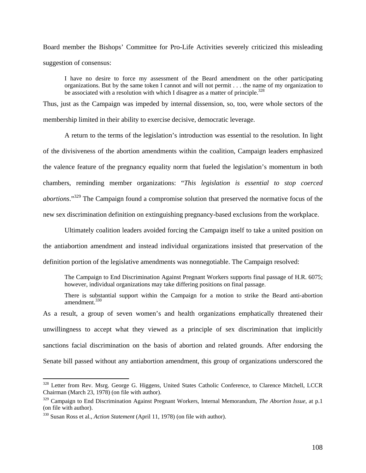Board member the Bishops' Committee for Pro-Life Activities severely criticized this misleading suggestion of consensus:

I have no desire to force my assessment of the Beard amendment on the other participating organizations. But by the same token I cannot and will not permit . . . the name of my organization to be associated with a resolution with which I disagree as a matter of principle.<sup>328</sup>

Thus, just as the Campaign was impeded by internal dissension, so, too, were whole sectors of the membership limited in their ability to exercise decisive, democratic leverage.

A return to the terms of the legislation's introduction was essential to the resolution. In light of the divisiveness of the abortion amendments within the coalition, Campaign leaders emphasized the valence feature of the pregnancy equality norm that fueled the legislation's momentum in both chambers, reminding member organizations: "*This legislation is essential to stop coerced abortions*."329 The Campaign found a compromise solution that preserved the normative focus of the new sex discrimination definition on extinguishing pregnancy-based exclusions from the workplace.

Ultimately coalition leaders avoided forcing the Campaign itself to take a united position on the antiabortion amendment and instead individual organizations insisted that preservation of the definition portion of the legislative amendments was nonnegotiable. The Campaign resolved:

The Campaign to End Discrimination Against Pregnant Workers supports final passage of H.R. 6075; however, individual organizations may take differing positions on final passage.

There is substantial support within the Campaign for a motion to strike the Beard anti-abortion amendment.<sup>330</sup>

As a result, a group of seven women's and health organizations emphatically threatened their unwillingness to accept what they viewed as a principle of sex discrimination that implicitly sanctions facial discrimination on the basis of abortion and related grounds. After endorsing the Senate bill passed without any antiabortion amendment, this group of organizations underscored the

 $\overline{a}$ 

<sup>328</sup> Letter from Rev. Msrg. George G. Higgens, United States Catholic Conference, to Clarence Mitchell, LCCR Chairman (March 23, 1978) (on file with author).

<sup>329</sup> Campaign to End Discrimination Against Pregnant Workers, Internal Memorandum, *The Abortion Issue*, at p.1 (on file with author).

<sup>330</sup> Susan Ross et al., *Action Statement* (April 11, 1978) (on file with author).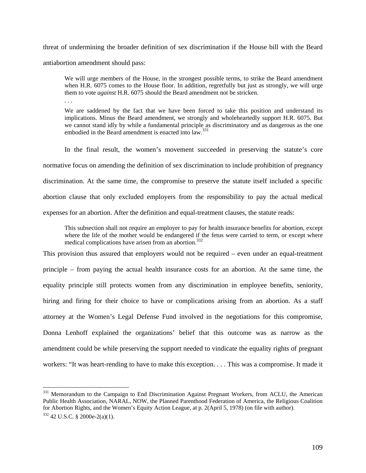threat of undermining the broader definition of sex discrimination if the House bill with the Beard antiabortion amendment should pass:

We will urge members of the House, in the strongest possible terms, to strike the Beard amendment when H.R. 6075 comes to the House floor. In addition, regretfully but just as strongly, we will urge them to vote *against* H.R. 6075 should the Beard amendment not be stricken.

. . .

 $\overline{a}$ 

We are saddened by the fact that we have been forced to take this position and understand its implications. Minus the Beard amendment, we strongly and wholeheartedly support H.R. 6075. But we cannot stand idly by while a fundamental principle as discriminatory and as dangerous as the one embodied in the Beard amendment is enacted into law.<sup>331</sup>

 In the final result, the women's movement succeeded in preserving the statute's core normative focus on amending the definition of sex discrimination to include prohibition of pregnancy discrimination. At the same time, the compromise to preserve the statute itself included a specific abortion clause that only excluded employers from the responsibility to pay the actual medical expenses for an abortion. After the definition and equal-treatment clauses, the statute reads:

This subsection shall not require an employer to pay for health insurance benefits for abortion, except where the life of the mother would be endangered if the fetus were carried to term, or except where medical complications have arisen from an abortion.<sup>332</sup>

This provision thus assured that employers would not be required – even under an equal-treatment principle – from paying the actual health insurance costs for an abortion. At the same time, the equality principle still protects women from any discrimination in employee benefits, seniority, hiring and firing for their choice to have or complications arising from an abortion. As a staff attorney at the Women's Legal Defense Fund involved in the negotiations for this compromise, Donna Lenhoff explained the organizations' belief that this outcome was as narrow as the amendment could be while preserving the support needed to vindicate the equality rights of pregnant workers: "It was heart-rending to have to make this exception. . . . This was a compromise. It made it

<sup>&</sup>lt;sup>331</sup> Memorandum to the Campaign to End Discrimination Against Pregnant Workers, from ACLU, the American Public Health Association, NARAL, NOW, the Planned Parenthood Federation of America, the Religious Coalition for Abortion Rights, and the Women's Equity Action League, at p. 2(April 5, 1978) (on file with author).  $332$  42 U.S.C. § 2000e-2(a)(1).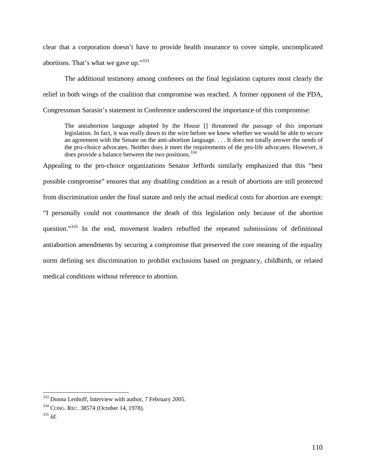clear that a corporation doesn't have to provide health insurance to cover simple, uncomplicated abortions. That's what we gave up."333

The additional testimony among conferees on the final legislation captures most clearly the relief in both wings of the coalition that compromise was reached. A former opponent of the PDA, Congressman Sarasin's statement in Conference underscored the importance of this compromise:

The antiabortion language adopted by the House [] threatened the passage of this important legislation. In fact, it was really down to the wire before we knew whether we would be able to secure an agreement with the Senate on the anti-abortion language. . . . It does not totally answer the needs of the pro-choice advocates. Neither does it meet the requirements of the pro-life advocates. However, it does provide a balance between the two positions.<sup>334</sup>

Appealing to the pro-choice organizations Senator Jeffords similarly emphasized that this "best possible compromise" ensures that any disabling condition as a result of abortions are still protected from discrimination under the final statute and only the actual medical costs for abortion are exempt: "I personally could not countenance the death of this legislation only because of the abortion question."335 In the end, movement leaders rebuffed the repeated submissions of definitional antiabortion amendments by securing a compromise that preserved the core meaning of the equality norm defining sex discrimination to prohibit exclusions based on pregnancy, childbirth, or related medical conditions without reference to abortion.

 $\overline{a}$ 

<sup>&</sup>lt;sup>333</sup> Donna Lenhoff, Interview with author, 7 February 2005.

<sup>334</sup> CONG. REC. 38574 (October 14, 1978). 335 *Id.*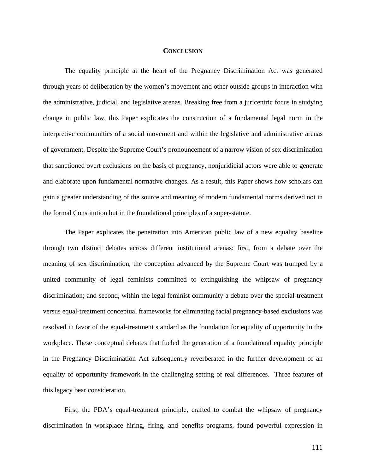## **CONCLUSION**

The equality principle at the heart of the Pregnancy Discrimination Act was generated through years of deliberation by the women's movement and other outside groups in interaction with the administrative, judicial, and legislative arenas. Breaking free from a juricentric focus in studying change in public law, this Paper explicates the construction of a fundamental legal norm in the interpretive communities of a social movement and within the legislative and administrative arenas of government. Despite the Supreme Court's pronouncement of a narrow vision of sex discrimination that sanctioned overt exclusions on the basis of pregnancy, nonjuridicial actors were able to generate and elaborate upon fundamental normative changes. As a result, this Paper shows how scholars can gain a greater understanding of the source and meaning of modern fundamental norms derived not in the formal Constitution but in the foundational principles of a super-statute.

The Paper explicates the penetration into American public law of a new equality baseline through two distinct debates across different institutional arenas: first, from a debate over the meaning of sex discrimination, the conception advanced by the Supreme Court was trumped by a united community of legal feminists committed to extinguishing the whipsaw of pregnancy discrimination; and second, within the legal feminist community a debate over the special-treatment versus equal-treatment conceptual frameworks for eliminating facial pregnancy-based exclusions was resolved in favor of the equal-treatment standard as the foundation for equality of opportunity in the workplace. These conceptual debates that fueled the generation of a foundational equality principle in the Pregnancy Discrimination Act subsequently reverberated in the further development of an equality of opportunity framework in the challenging setting of real differences. Three features of this legacy bear consideration.

First, the PDA's equal-treatment principle, crafted to combat the whipsaw of pregnancy discrimination in workplace hiring, firing, and benefits programs, found powerful expression in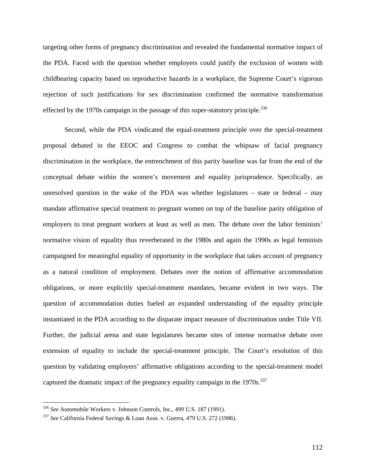targeting other forms of pregnancy discrimination and revealed the fundamental normative impact of the PDA. Faced with the question whether employers could justify the exclusion of women with childbearing capacity based on reproductive hazards in a workplace, the Supreme Court's vigorous rejection of such justifications for sex discrimination confirmed the normative transformation effected by the 1970s campaign in the passage of this super-statutory principle.<sup>336</sup>

Second, while the PDA vindicated the equal-treatment principle over the special-treatment proposal debated in the EEOC and Congress to combat the whipsaw of facial pregnancy discrimination in the workplace, the entrenchment of this parity baseline was far from the end of the conceptual debate within the women's movement and equality jurisprudence. Specifically, an unresolved question in the wake of the PDA was whether legislatures – state or federal – may mandate affirmative special treatment to pregnant women on top of the baseline parity obligation of employers to treat pregnant workers at least as well as men. The debate over the labor feminists' normative vision of equality thus reverberated in the 1980s and again the 1990s as legal feminists campaigned for meaningful equality of opportunity in the workplace that takes account of pregnancy as a natural condition of employment. Debates over the notion of affirmative accommodation obligations, or more explicitly special-treatment mandates, became evident in two ways. The question of accommodation duties fueled an expanded understanding of the equality principle instantiated in the PDA according to the disparate impact measure of discrimination under Title VII. Further, the judicial arena and state legislatures became sites of intense normative debate over extension of equality to include the special-treatment principle. The Court's resolution of this question by validating employers' affirmative obligations according to the special-treatment model captured the dramatic impact of the pregnancy equality campaign in the  $1970s$ .<sup>337</sup>

<sup>336</sup> See Automobile Workers v. Johnson Controls, Inc., 499 U.S. 187 (1991).

<sup>&</sup>lt;sup>337</sup> See California Federal Savings & Loan Assn. v. Guerra, 479 U.S. 272 (1986).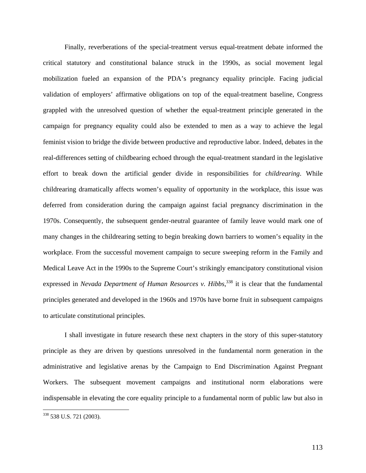Finally, reverberations of the special-treatment versus equal-treatment debate informed the critical statutory and constitutional balance struck in the 1990s, as social movement legal mobilization fueled an expansion of the PDA's pregnancy equality principle. Facing judicial validation of employers' affirmative obligations on top of the equal-treatment baseline, Congress grappled with the unresolved question of whether the equal-treatment principle generated in the campaign for pregnancy equality could also be extended to men as a way to achieve the legal feminist vision to bridge the divide between productive and reproductive labor. Indeed, debates in the real-differences setting of childbearing echoed through the equal-treatment standard in the legislative effort to break down the artificial gender divide in responsibilities for *childrearing*. While childrearing dramatically affects women's equality of opportunity in the workplace, this issue was deferred from consideration during the campaign against facial pregnancy discrimination in the 1970s. Consequently, the subsequent gender-neutral guarantee of family leave would mark one of many changes in the childrearing setting to begin breaking down barriers to women's equality in the workplace. From the successful movement campaign to secure sweeping reform in the Family and Medical Leave Act in the 1990s to the Supreme Court's strikingly emancipatory constitutional vision expressed in *Nevada Department of Human Resources v. Hibbs*,<sup>338</sup> it is clear that the fundamental principles generated and developed in the 1960s and 1970s have borne fruit in subsequent campaigns to articulate constitutional principles.

I shall investigate in future research these next chapters in the story of this super-statutory principle as they are driven by questions unresolved in the fundamental norm generation in the administrative and legislative arenas by the Campaign to End Discrimination Against Pregnant Workers. The subsequent movement campaigns and institutional norm elaborations were indispensable in elevating the core equality principle to a fundamental norm of public law but also in

 $\overline{a}$ 

<sup>&</sup>lt;sup>338</sup> 538 U.S. 721 (2003).